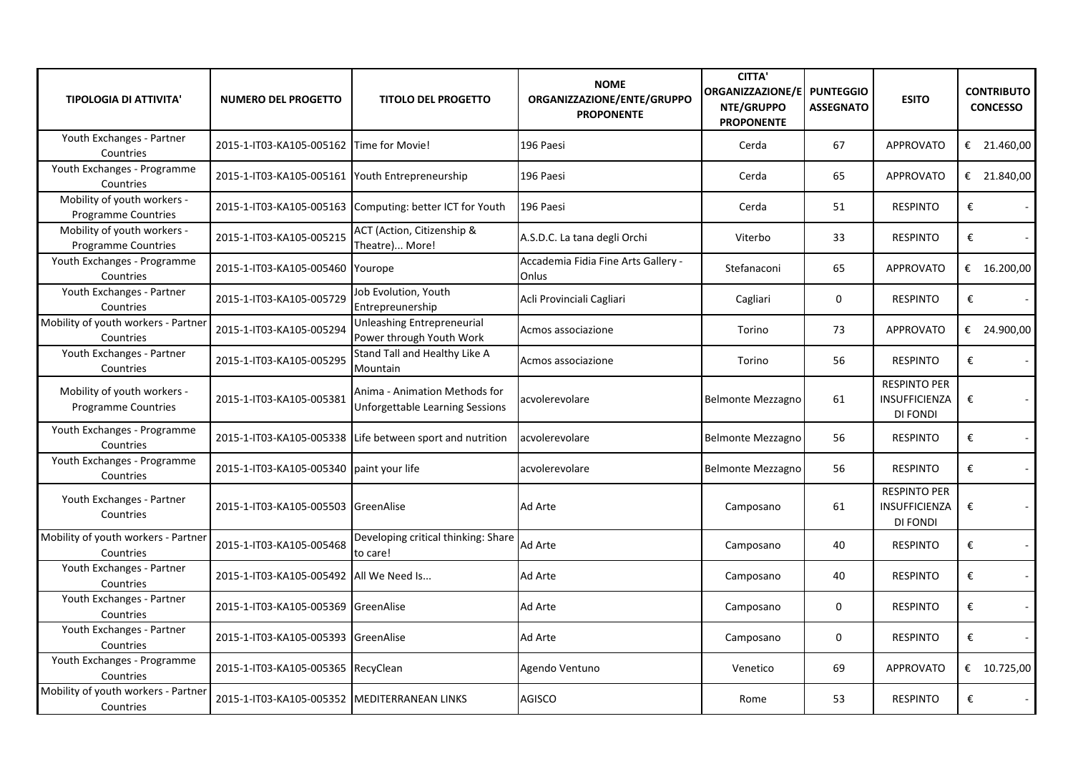| <b>TIPOLOGIA DI ATTIVITA'</b>                             | <b>NUMERO DEL PROGETTO</b>                      | <b>TITOLO DEL PROGETTO</b>                                              | <b>NOME</b><br>ORGANIZZAZIONE/ENTE/GRUPPO<br><b>PROPONENTE</b> | <b>CITTA'</b><br><b>ORGANIZZAZIONE/E</b><br>NTE/GRUPPO<br><b>PROPONENTE</b> | <b>PUNTEGGIO</b><br><b>ASSEGNATO</b> | <b>ESITO</b>                                            | <b>CONTRIBUTO</b><br><b>CONCESSO</b> |
|-----------------------------------------------------------|-------------------------------------------------|-------------------------------------------------------------------------|----------------------------------------------------------------|-----------------------------------------------------------------------------|--------------------------------------|---------------------------------------------------------|--------------------------------------|
| Youth Exchanges - Partner<br>Countries                    | 2015-1-IT03-KA105-005162 Time for Movie!        |                                                                         | 196 Paesi                                                      | Cerda                                                                       | 67                                   | <b>APPROVATO</b>                                        | € 21.460,00                          |
| Youth Exchanges - Programme<br>Countries                  | 2015-1-IT03-KA105-005161 Youth Entrepreneurship |                                                                         | 196 Paesi                                                      | Cerda                                                                       | 65                                   | <b>APPROVATO</b>                                        | € 21.840,00                          |
| Mobility of youth workers -<br><b>Programme Countries</b> | 2015-1-IT03-KA105-005163                        | Computing: better ICT for Youth                                         | 196 Paesi                                                      | Cerda                                                                       | 51                                   | <b>RESPINTO</b>                                         | €<br>$\blacksquare$                  |
| Mobility of youth workers -<br><b>Programme Countries</b> | 2015-1-IT03-KA105-005215                        | ACT (Action, Citizenship &<br>Theatre) More!                            | A.S.D.C. La tana degli Orchi                                   | Viterbo                                                                     | 33                                   | <b>RESPINTO</b>                                         | €<br>$\omega$                        |
| Youth Exchanges - Programme<br>Countries                  | 2015-1-IT03-KA105-005460                        | Yourope                                                                 | Accademia Fidia Fine Arts Gallery -<br>Onlus                   | Stefanaconi                                                                 | 65                                   | <b>APPROVATO</b>                                        | € $16.200,00$                        |
| Youth Exchanges - Partner<br>Countries                    | 2015-1-IT03-KA105-005729                        | Job Evolution, Youth<br>Entrepreunership                                | Acli Provinciali Cagliari                                      | Cagliari                                                                    | 0                                    | <b>RESPINTO</b>                                         | €                                    |
| Mobility of youth workers - Partner<br>Countries          | 2015-1-IT03-KA105-005294                        | <b>Unleashing Entrepreneurial</b><br>Power through Youth Work           | Acmos associazione                                             | Torino                                                                      | 73                                   | <b>APPROVATO</b>                                        | € 24.900,00                          |
| Youth Exchanges - Partner<br>Countries                    | 2015-1-IT03-KA105-005295                        | Stand Tall and Healthy Like A<br><b>Mountain</b>                        | Acmos associazione                                             | Torino                                                                      | 56                                   | <b>RESPINTO</b>                                         | €                                    |
| Mobility of youth workers -<br><b>Programme Countries</b> | 2015-1-IT03-KA105-005381                        | Anima - Animation Methods for<br><b>Unforgettable Learning Sessions</b> | acvolerevolare                                                 | Belmonte Mezzagno                                                           | 61                                   | <b>RESPINTO PER</b><br><b>INSUFFICIENZA</b><br>DI FONDI | €<br>$\sim$                          |
| Youth Exchanges - Programme<br>Countries                  |                                                 | 2015-1-IT03-KA105-005338 Life between sport and nutrition               | acvolerevolare                                                 | Belmonte Mezzagno                                                           | 56                                   | <b>RESPINTO</b>                                         | €<br>$\mathcal{L}_{\mathcal{A}}$     |
| Youth Exchanges - Programme<br>Countries                  | 2015-1-IT03-KA105-005340                        | paint your life                                                         | acvolerevolare                                                 | Belmonte Mezzagno                                                           | 56                                   | <b>RESPINTO</b>                                         | €<br>$\omega$                        |
| Youth Exchanges - Partner<br>Countries                    | 2015-1-IT03-KA105-005503 GreenAlise             |                                                                         | <b>Ad Arte</b>                                                 | Camposano                                                                   | 61                                   | <b>RESPINTO PER</b><br><b>INSUFFICIENZA</b><br>DI FONDI | €<br>$\sim$                          |
| Mobility of youth workers - Partner<br>Countries          | 2015-1-IT03-KA105-005468                        | Developing critical thinking: Share<br>to care!                         | Ad Arte                                                        | Camposano                                                                   | 40                                   | <b>RESPINTO</b>                                         | €<br>$\omega$                        |
| Youth Exchanges - Partner<br>Countries                    | 2015-1-IT03-KA105-005492   All We Need Is       |                                                                         | <b>Ad Arte</b>                                                 | Camposano                                                                   | 40                                   | <b>RESPINTO</b>                                         | €<br>$\sim$                          |
| Youth Exchanges - Partner<br>Countries                    | 2015-1-IT03-KA105-005369 GreenAlise             |                                                                         | Ad Arte                                                        | Camposano                                                                   | 0                                    | <b>RESPINTO</b>                                         | €<br>$\sim$                          |
| Youth Exchanges - Partner<br>Countries                    | 2015-1-IT03-KA105-005393 GreenAlise             |                                                                         | <b>Ad Arte</b>                                                 | Camposano                                                                   | 0                                    | <b>RESPINTO</b>                                         | €                                    |
| Youth Exchanges - Programme<br>Countries                  | 2015-1-IT03-KA105-005365 RecyClean              |                                                                         | Agendo Ventuno                                                 | Venetico                                                                    | 69                                   | <b>APPROVATO</b>                                        | € $10.725,00$                        |
| Mobility of youth workers - Partner<br>Countries          | 2015-1-IT03-KA105-005352 MEDITERRANEAN LINKS    |                                                                         | <b>AGISCO</b>                                                  | Rome                                                                        | 53                                   | <b>RESPINTO</b>                                         | €                                    |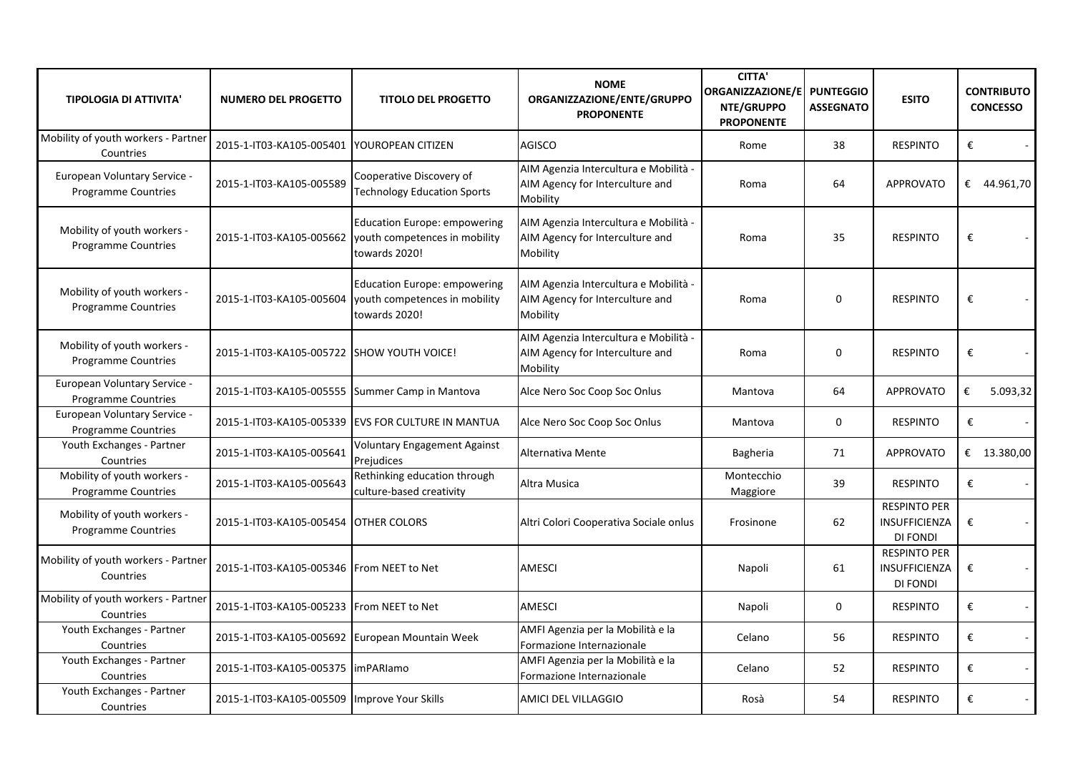| <b>TIPOLOGIA DI ATTIVITA'</b>                              | <b>NUMERO DEL PROGETTO</b>                      | <b>TITOLO DEL PROGETTO</b>                                                                                     | <b>NOME</b><br>ORGANIZZAZIONE/ENTE/GRUPPO<br><b>PROPONENTE</b>                       | <b>CITTA'</b><br><b>ORGANIZZAZIONE/E</b><br>NTE/GRUPPO<br><b>PROPONENTE</b> | <b>PUNTEGGIO</b><br><b>ASSEGNATO</b> | <b>ESITO</b>                                                   |                         | <b>CONTRIBUTO</b><br><b>CONCESSO</b> |
|------------------------------------------------------------|-------------------------------------------------|----------------------------------------------------------------------------------------------------------------|--------------------------------------------------------------------------------------|-----------------------------------------------------------------------------|--------------------------------------|----------------------------------------------------------------|-------------------------|--------------------------------------|
| Mobility of youth workers - Partner<br>Countries           | 2015-1-IT03-KA105-005401 YOUROPEAN CITIZEN      |                                                                                                                | <b>AGISCO</b>                                                                        | Rome                                                                        | 38                                   | <b>RESPINTO</b>                                                | €                       |                                      |
| European Voluntary Service -<br><b>Programme Countries</b> | 2015-1-IT03-KA105-005589                        | Cooperative Discovery of<br><b>Technology Education Sports</b>                                                 | AIM Agenzia Intercultura e Mobilità -<br>AIM Agency for Interculture and<br>Mobility | Roma                                                                        | 64                                   | <b>APPROVATO</b>                                               |                         | € 44.961,70                          |
| Mobility of youth workers -<br>Programme Countries         |                                                 | <b>Education Europe: empowering</b><br>2015-1-IT03-KA105-005662 youth competences in mobility<br>towards 2020! | AIM Agenzia Intercultura e Mobilità -<br>AIM Agency for Interculture and<br>Mobility | Roma                                                                        | 35                                   | <b>RESPINTO</b>                                                | €                       |                                      |
| Mobility of youth workers -<br><b>Programme Countries</b>  |                                                 | <b>Education Europe: empowering</b><br>2015-1-IT03-KA105-005604 vouth competences in mobility<br>towards 2020! | AIM Agenzia Intercultura e Mobilità -<br>AIM Agency for Interculture and<br>Mobility | Roma                                                                        | $\Omega$                             | <b>RESPINTO</b>                                                | €                       |                                      |
| Mobility of youth workers -<br><b>Programme Countries</b>  | 2015-1-IT03-KA105-005722 ISHOW YOUTH VOICE!     |                                                                                                                | AIM Agenzia Intercultura e Mobilità -<br>AIM Agency for Interculture and<br>Mobility | Roma                                                                        | $\Omega$                             | <b>RESPINTO</b>                                                | €                       |                                      |
| European Voluntary Service -<br><b>Programme Countries</b> | 2015-1-IT03-KA105-005555 Summer Camp in Mantova |                                                                                                                | Alce Nero Soc Coop Soc Onlus                                                         | Mantova                                                                     | 64                                   | <b>APPROVATO</b>                                               | $\boldsymbol{\epsilon}$ | 5.093,32                             |
| European Voluntary Service -<br>Programme Countries        |                                                 | 2015-1-IT03-KA105-005339 EVS FOR CULTURE IN MANTUA                                                             | Alce Nero Soc Coop Soc Onlus                                                         | Mantova                                                                     | $\Omega$                             | <b>RESPINTO</b>                                                | €                       |                                      |
| Youth Exchanges - Partner<br>Countries                     | 2015-1-IT03-KA105-005641                        | <b>Voluntary Engagement Against</b><br>Prejudices                                                              | Alternativa Mente                                                                    | Bagheria                                                                    | 71                                   | <b>APPROVATO</b>                                               |                         | € 13.380,00                          |
| Mobility of youth workers -<br>Programme Countries         | 2015-1-IT03-KA105-005643                        | Rethinking education through<br>culture-based creativity                                                       | Altra Musica                                                                         | Montecchio<br>Maggiore                                                      | 39                                   | <b>RESPINTO</b>                                                | €                       |                                      |
| Mobility of youth workers -<br><b>Programme Countries</b>  | 2015-1-IT03-KA105-005454 OTHER COLORS           |                                                                                                                | Altri Colori Cooperativa Sociale onlus                                               | Frosinone                                                                   | 62                                   | <b>RESPINTO PER</b><br><b>INSUFFICIENZA</b><br><b>DI FONDI</b> | €                       |                                      |
| Mobility of youth workers - Partner<br>Countries           | 2015-1-IT03-KA105-005346 From NEET to Net       |                                                                                                                | <b>AMESCI</b>                                                                        | Napoli                                                                      | 61                                   | <b>RESPINTO PER</b><br>INSUFFICIENZA<br><b>DI FONDI</b>        | €                       |                                      |
| Mobility of youth workers - Partner<br>Countries           | 2015-1-IT03-KA105-005233 From NEET to Net       |                                                                                                                | <b>AMESCI</b>                                                                        | Napoli                                                                      | $\Omega$                             | <b>RESPINTO</b>                                                | €                       |                                      |
| Youth Exchanges - Partner<br>Countries                     | 2015-1-IT03-KA105-005692 European Mountain Week |                                                                                                                | AMFI Agenzia per la Mobilità e la<br>Formazione Internazionale                       | Celano                                                                      | 56                                   | <b>RESPINTO</b>                                                | €                       |                                      |
| Youth Exchanges - Partner<br>Countries                     | 2015-1-IT03-KA105-005375  imPARIamo             |                                                                                                                | AMFI Agenzia per la Mobilità e la<br>Formazione Internazionale                       | Celano                                                                      | 52                                   | <b>RESPINTO</b>                                                | $\boldsymbol{\epsilon}$ |                                      |
| Youth Exchanges - Partner<br>Countries                     | 2015-1-IT03-KA105-005509 Improve Your Skills    |                                                                                                                | AMICI DEL VILLAGGIO                                                                  | Rosà                                                                        | 54                                   | <b>RESPINTO</b>                                                | €                       |                                      |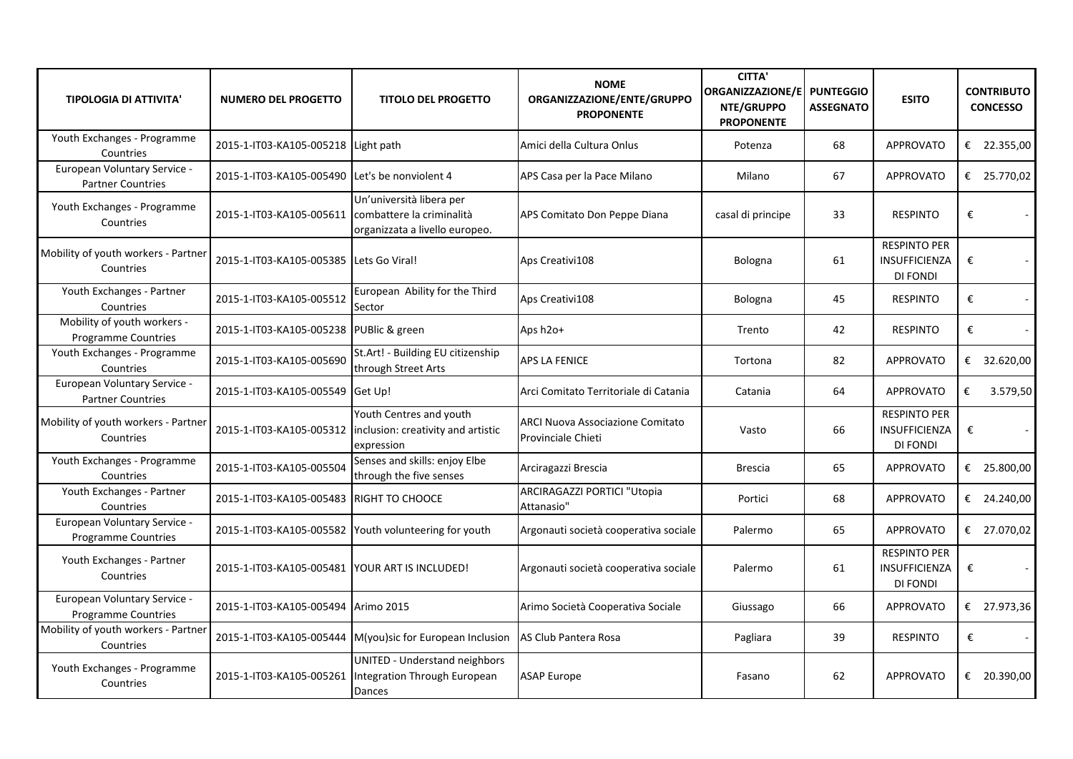| <b>TIPOLOGIA DI ATTIVITA'</b>                              | <b>NUMERO DEL PROGETTO</b>                         | <b>TITOLO DEL PROGETTO</b>                                                                            | <b>NOME</b><br>ORGANIZZAZIONE/ENTE/GRUPPO<br><b>PROPONENTE</b> | <b>CITTA'</b><br>ORGANIZZAZIONE/E<br>NTE/GRUPPO<br><b>PROPONENTE</b> | <b>PUNTEGGIO</b><br><b>ASSEGNATO</b> | <b>ESITO</b>                                                   | <b>CONTRIBUTO</b><br><b>CONCESSO</b> |
|------------------------------------------------------------|----------------------------------------------------|-------------------------------------------------------------------------------------------------------|----------------------------------------------------------------|----------------------------------------------------------------------|--------------------------------------|----------------------------------------------------------------|--------------------------------------|
| Youth Exchanges - Programme<br>Countries                   | 2015-1-IT03-KA105-005218 Light path                |                                                                                                       | Amici della Cultura Onlus                                      | Potenza                                                              | 68                                   | <b>APPROVATO</b>                                               | € 22.355,00                          |
| European Voluntary Service -<br><b>Partner Countries</b>   | 2015-1-IT03-KA105-005490 Let's be nonviolent 4     |                                                                                                       | APS Casa per la Pace Milano                                    | Milano                                                               | 67                                   | <b>APPROVATO</b>                                               | € 25.770,02                          |
| Youth Exchanges - Programme<br>Countries                   | 2015-1-IT03-KA105-005611 combattere la criminalità | Un'università libera per<br>organizzata a livello europeo.                                            | APS Comitato Don Peppe Diana                                   | casal di principe                                                    | 33                                   | <b>RESPINTO</b>                                                | €                                    |
| Mobility of youth workers - Partner<br>Countries           | 2015-1-IT03-KA105-005385 Lets Go Viral!            |                                                                                                       | Aps Creativi108                                                | Bologna                                                              | 61                                   | <b>RESPINTO PER</b><br>INSUFFICIENZA<br><b>DI FONDI</b>        | €                                    |
| Youth Exchanges - Partner<br>Countries                     | 2015-1-IT03-KA105-005512                           | European Ability for the Third<br>Sector                                                              | Aps Creativi108                                                | Bologna                                                              | 45                                   | <b>RESPINTO</b>                                                | €<br>$\sim$                          |
| Mobility of youth workers -<br><b>Programme Countries</b>  | 2015-1-IT03-KA105-005238 PUBlic & green            |                                                                                                       | Aps $h2o+$                                                     | Trento                                                               | 42                                   | <b>RESPINTO</b>                                                | €                                    |
| Youth Exchanges - Programme<br>Countries                   | 2015-1-IT03-KA105-005690                           | St.Art! - Building EU citizenship<br>through Street Arts                                              | <b>APS LA FENICE</b>                                           | Tortona                                                              | 82                                   | <b>APPROVATO</b>                                               | € 32.620,00                          |
| European Voluntary Service -<br><b>Partner Countries</b>   | 2015-1-IT03-KA105-005549 Get Up!                   |                                                                                                       | Arci Comitato Territoriale di Catania                          | Catania                                                              | 64                                   | <b>APPROVATO</b>                                               | €<br>3.579,50                        |
| Mobility of youth workers - Partner<br>Countries           |                                                    | Youth Centres and youth<br>2015-1-IT03-KA105-005312  inclusion: creativity and artistic<br>expression | <b>ARCI Nuova Associazione Comitato</b><br>Provinciale Chieti  | Vasto                                                                | 66                                   | <b>RESPINTO PER</b><br>INSUFFICIENZA<br><b>DI FONDI</b>        | €                                    |
| Youth Exchanges - Programme<br>Countries                   | 2015-1-IT03-KA105-005504                           | Senses and skills: enjoy Elbe<br>through the five senses                                              | Arciragazzi Brescia                                            | <b>Brescia</b>                                                       | 65                                   | <b>APPROVATO</b>                                               | € 25.800,00                          |
| Youth Exchanges - Partner<br>Countries                     | 2015-1-IT03-KA105-005483 RIGHT TO CHOOCE           |                                                                                                       | ARCIRAGAZZI PORTICI "Utopia<br>Attanasio"                      | Portici                                                              | 68                                   | <b>APPROVATO</b>                                               | € 24.240,00                          |
| European Voluntary Service -<br>Programme Countries        |                                                    | 2015-1-IT03-KA105-005582 Youth volunteering for youth                                                 | Argonauti società cooperativa sociale                          | Palermo                                                              | 65                                   | <b>APPROVATO</b>                                               | € 27.070,02                          |
| Youth Exchanges - Partner<br>Countries                     | 2015-1-IT03-KA105-005481 YOUR ART IS INCLUDED!     |                                                                                                       | Argonauti società cooperativa sociale                          | Palermo                                                              | 61                                   | <b>RESPINTO PER</b><br><b>INSUFFICIENZA</b><br><b>DI FONDI</b> | €                                    |
| European Voluntary Service -<br><b>Programme Countries</b> | 2015-1-IT03-KA105-005494 Arimo 2015                |                                                                                                       | Arimo Società Cooperativa Sociale                              | Giussago                                                             | 66                                   | <b>APPROVATO</b>                                               | € 27.973,36                          |
| Mobility of youth workers - Partner<br>Countries           |                                                    | 2015-1-IT03-KA105-005444 M(you)sic for European Inclusion                                             | AS Club Pantera Rosa                                           | Pagliara                                                             | 39                                   | <b>RESPINTO</b>                                                | €                                    |
| Youth Exchanges - Programme<br>Countries                   |                                                    | UNITED - Understand neighbors<br>2015-1-IT03-KA105-005261  Integration Through European<br>Dances     | <b>ASAP Europe</b>                                             | Fasano                                                               | 62                                   | <b>APPROVATO</b>                                               | € 20.390,00                          |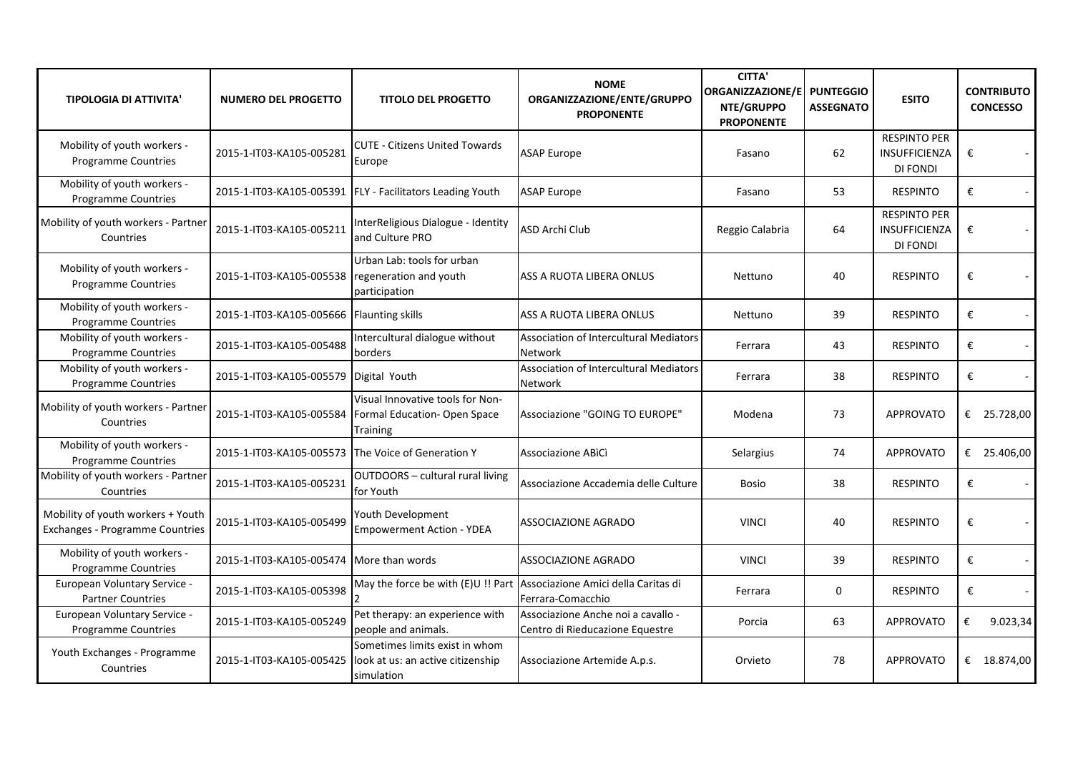| <b>TIPOLOGIA DI ATTIVITA'</b>                                        | <b>NUMERO DEL PROGETTO</b>                         | <b>TITOLO DEL PROGETTO</b>                                                        | <b>NOME</b><br>ORGANIZZAZIONE/ENTE/GRUPPO<br><b>PROPONENTE</b>                              | <b>CITTA'</b><br><b>ORGANIZZAZIONE/E</b><br>NTE/GRUPPO<br><b>PROPONENTE</b> | <b>PUNTEGGIO</b><br><b>ASSEGNATO</b> | <b>ESITO</b>                                     | <b>CONTRIBUTO</b><br><b>CONCESSO</b> |
|----------------------------------------------------------------------|----------------------------------------------------|-----------------------------------------------------------------------------------|---------------------------------------------------------------------------------------------|-----------------------------------------------------------------------------|--------------------------------------|--------------------------------------------------|--------------------------------------|
| Mobility of youth workers -<br><b>Programme Countries</b>            | 2015-1-IT03-KA105-005281                           | <b>CUTE - Citizens United Towards</b><br>Europe                                   | <b>ASAP Europe</b>                                                                          | Fasano                                                                      | 62                                   | <b>RESPINTO PER</b><br>INSUFFICIENZA<br>DI FONDI | €                                    |
| Mobility of youth workers -<br>Programme Countries                   |                                                    | 2015-1-IT03-KA105-005391   FLY - Facilitators Leading Youth                       | <b>ASAP Europe</b>                                                                          | Fasano                                                                      | 53                                   | <b>RESPINTO</b>                                  | €                                    |
| Mobility of youth workers - Partner<br>Countries                     | 2015-1-IT03-KA105-005211                           | InterReligious Dialogue - Identity<br>and Culture PRO                             | ASD Archi Club                                                                              | Reggio Calabria                                                             | 64                                   | <b>RESPINTO PER</b><br>INSUFFICIENZA<br>DI FONDI | €                                    |
| Mobility of youth workers -<br>Programme Countries                   | 2015-1-IT03-KA105-005538                           | Urban Lab: tools for urban<br>regeneration and youth<br>participation             | ASS A RUOTA LIBERA ONLUS                                                                    | Nettuno                                                                     | 40                                   | <b>RESPINTO</b>                                  | €                                    |
| Mobility of youth workers -<br>Programme Countries                   | 2015-1-IT03-KA105-005666 Flaunting skills          |                                                                                   | ASS A RUOTA LIBERA ONLUS                                                                    | Nettuno                                                                     | 39                                   | <b>RESPINTO</b>                                  | €<br>$\sim$                          |
| Mobility of youth workers -<br><b>Programme Countries</b>            | 2015-1-IT03-KA105-005488                           | Intercultural dialogue without<br>borders                                         | Association of Intercultural Mediators<br><b>Network</b>                                    | Ferrara                                                                     | 43                                   | <b>RESPINTO</b>                                  | €<br>$\blacksquare$                  |
| Mobility of youth workers -<br><b>Programme Countries</b>            | 2015-1-IT03-KA105-005579 Digital Youth             |                                                                                   | Association of Intercultural Mediators<br>Network                                           | Ferrara                                                                     | 38                                   | <b>RESPINTO</b>                                  | €<br>$\sim$                          |
| Mobility of youth workers - Partner<br>Countries                     | 2015-1-IT03-KA105-005584                           | Visual Innovative tools for Non-<br>Formal Education-Open Space<br>Training       | Associazione "GOING TO EUROPE"                                                              | Modena                                                                      | 73                                   | <b>APPROVATO</b>                                 | € 25.728,00                          |
| Mobility of youth workers -<br><b>Programme Countries</b>            | 2015-1-IT03-KA105-005573 The Voice of Generation Y |                                                                                   | Associazione ABICI                                                                          | Selargius                                                                   | 74                                   | <b>APPROVATO</b>                                 | € 25.406,00                          |
| Mobility of youth workers - Partner<br>Countries                     | 2015-1-IT03-KA105-005231                           | OUTDOORS - cultural rural living<br>for Youth                                     | Associazione Accademia delle Culture                                                        | <b>Bosio</b>                                                                | 38                                   | <b>RESPINTO</b>                                  | €                                    |
| Mobility of youth workers + Youth<br>Exchanges - Programme Countries | 2015-1-IT03-KA105-005499                           | Youth Development<br><b>Empowerment Action - YDEA</b>                             | <b>ASSOCIAZIONE AGRADO</b>                                                                  | <b>VINCI</b>                                                                | 40                                   | <b>RESPINTO</b>                                  | €                                    |
| Mobility of youth workers -<br><b>Programme Countries</b>            | 2015-1-IT03-KA105-005474                           | More than words                                                                   | <b>ASSOCIAZIONE AGRADO</b>                                                                  | <b>VINCI</b>                                                                | 39                                   | <b>RESPINTO</b>                                  | $\pmb{\epsilon}$                     |
| European Voluntary Service -<br><b>Partner Countries</b>             | 2015-1-IT03-KA105-005398                           |                                                                                   | May the force be with (E)U !! Part Associazione Amici della Caritas di<br>Ferrara-Comacchio | Ferrara                                                                     | 0                                    | <b>RESPINTO</b>                                  | €<br>$\sim$                          |
| European Voluntary Service -<br>Programme Countries                  | 2015-1-IT03-KA105-005249                           | Pet therapy: an experience with<br>people and animals.                            | Associazione Anche noi a cavallo -<br>Centro di Rieducazione Equestre                       | Porcia                                                                      | 63                                   | <b>APPROVATO</b>                                 | €<br>9.023,34                        |
| Youth Exchanges - Programme<br>Countries                             | 2015-1-IT03-KA105-005425                           | Sometimes limits exist in whom<br>look at us: an active citizenship<br>simulation | Associazione Artemide A.p.s.                                                                | Orvieto                                                                     | 78                                   | <b>APPROVATO</b>                                 | € $18.874,00$                        |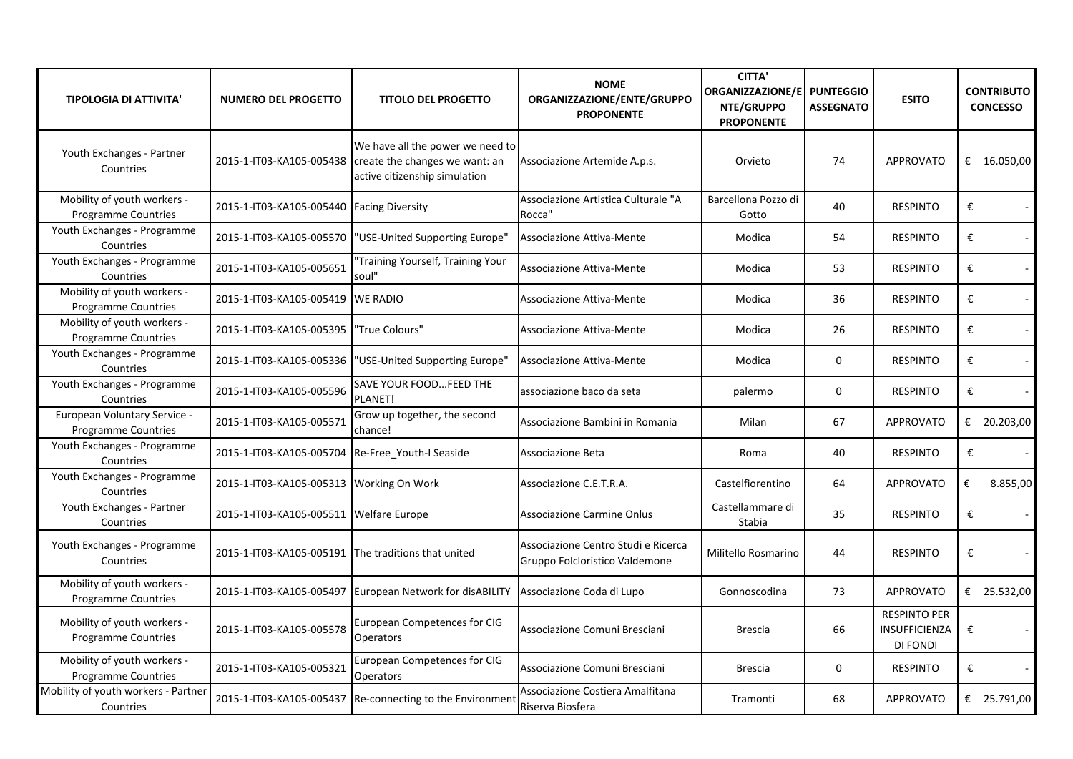| <b>TIPOLOGIA DI ATTIVITA'</b>                             | NUMERO DEL PROGETTO                                 | <b>TITOLO DEL PROGETTO</b>                                                                                                   | <b>NOME</b><br>ORGANIZZAZIONE/ENTE/GRUPPO<br><b>PROPONENTE</b>        | <b>CITTA'</b><br>ORGANIZZAZIONE/E PUNTEGGIO<br>NTE/GRUPPO<br><b>PROPONENTE</b> | <b>ASSEGNATO</b> | <b>ESITO</b>                                            | <b>CONTRIBUTO</b><br><b>CONCESSO</b> |
|-----------------------------------------------------------|-----------------------------------------------------|------------------------------------------------------------------------------------------------------------------------------|-----------------------------------------------------------------------|--------------------------------------------------------------------------------|------------------|---------------------------------------------------------|--------------------------------------|
| Youth Exchanges - Partner<br>Countries                    |                                                     | We have all the power we need to<br>2015-1-IT03-KA105-005438 create the changes we want: an<br>active citizenship simulation | Associazione Artemide A.p.s.                                          | Orvieto                                                                        | 74               | <b>APPROVATO</b>                                        | € $16.050,00$                        |
| Mobility of youth workers -<br><b>Programme Countries</b> | 2015-1-IT03-KA105-005440 Facing Diversity           |                                                                                                                              | Associazione Artistica Culturale "A<br>Rocca"                         | Barcellona Pozzo di<br>Gotto                                                   | 40               | <b>RESPINTO</b>                                         | €                                    |
| Youth Exchanges - Programme<br>Countries                  |                                                     | 2015-1-IT03-KA105-005570  "USE-United Supporting Europe"                                                                     | Associazione Attiva-Mente                                             | Modica                                                                         | 54               | <b>RESPINTO</b>                                         | €                                    |
| Youth Exchanges - Programme<br>Countries                  | 2015-1-IT03-KA105-005651                            | "Training Yourself, Training Your<br>soul"                                                                                   | Associazione Attiva-Mente                                             | Modica                                                                         | 53               | <b>RESPINTO</b>                                         | €                                    |
| Mobility of youth workers -<br>Programme Countries        | 2015-1-IT03-KA105-005419 WE RADIO                   |                                                                                                                              | Associazione Attiva-Mente                                             | Modica                                                                         | 36               | <b>RESPINTO</b>                                         | €                                    |
| Mobility of youth workers -<br><b>Programme Countries</b> | 2015-1-IT03-KA105-005395                            | "True Colours"                                                                                                               | Associazione Attiva-Mente                                             | Modica                                                                         | 26               | <b>RESPINTO</b>                                         | €                                    |
| Youth Exchanges - Programme<br>Countries                  | 2015-1-IT03-KA105-005336                            | "USE-United Supporting Europe"                                                                                               | Associazione Attiva-Mente                                             | Modica                                                                         | 0                | <b>RESPINTO</b>                                         | €                                    |
| Youth Exchanges - Programme<br>Countries                  | 2015-1-IT03-KA105-005596                            | SAVE YOUR FOODFEED THE<br>PLANET!                                                                                            | associazione baco da seta                                             | palermo                                                                        | 0                | <b>RESPINTO</b>                                         | €                                    |
| European Voluntary Service -<br>Programme Countries       | 2015-1-IT03-KA105-005571                            | Grow up together, the second<br>chance!                                                                                      | Associazione Bambini in Romania                                       | Milan                                                                          | 67               | <b>APPROVATO</b>                                        | € 20.203,00                          |
| Youth Exchanges - Programme<br>Countries                  | 2015-1-IT03-KA105-005704 Re-Free Youth-I Seaside    |                                                                                                                              | Associazione Beta                                                     | Roma                                                                           | 40               | <b>RESPINTO</b>                                         | €                                    |
| Youth Exchanges - Programme<br>Countries                  | 2015-1-IT03-KA105-005313 Working On Work            |                                                                                                                              | Associazione C.E.T.R.A.                                               | Castelfiorentino                                                               | 64               | <b>APPROVATO</b>                                        | €<br>8.855,00                        |
| Youth Exchanges - Partner<br>Countries                    | 2015-1-IT03-KA105-005511 Welfare Europe             |                                                                                                                              | <b>Associazione Carmine Onlus</b>                                     | Castellammare di<br>Stabia                                                     | 35               | <b>RESPINTO</b>                                         | €                                    |
| Youth Exchanges - Programme<br>Countries                  | 2015-1-IT03-KA105-005191 The traditions that united |                                                                                                                              | Associazione Centro Studi e Ricerca<br>Gruppo Folcloristico Valdemone | Militello Rosmarino                                                            | 44               | <b>RESPINTO</b>                                         | €                                    |
| Mobility of youth workers -<br>Programme Countries        |                                                     | 2015-1-IT03-KA105-005497 European Network for disABILITY                                                                     | Associazione Coda di Lupo                                             | Gonnoscodina                                                                   | 73               | <b>APPROVATO</b>                                        | € 25.532,00                          |
| Mobility of youth workers -<br><b>Programme Countries</b> | 2015-1-IT03-KA105-005578                            | <b>European Competences for CIG</b><br><b>Operators</b>                                                                      | Associazione Comuni Bresciani                                         | <b>Brescia</b>                                                                 | 66               | <b>RESPINTO PER</b><br><b>INSUFFICIENZA</b><br>DI FONDI | €                                    |
| Mobility of youth workers -<br><b>Programme Countries</b> | 2015-1-IT03-KA105-005321                            | <b>European Competences for CIG</b><br><b>Operators</b>                                                                      | Associazione Comuni Bresciani                                         | <b>Brescia</b>                                                                 | 0                | <b>RESPINTO</b>                                         | $\pmb{\epsilon}$                     |
| Mobility of youth workers - Partner<br>Countries          |                                                     | 2015-1-IT03-KA105-005437 Re-connecting to the Environment                                                                    | Associazione Costiera Amalfitana<br>Riserva Biosfera                  | Tramonti                                                                       | 68               | <b>APPROVATO</b>                                        | € 25.791,00                          |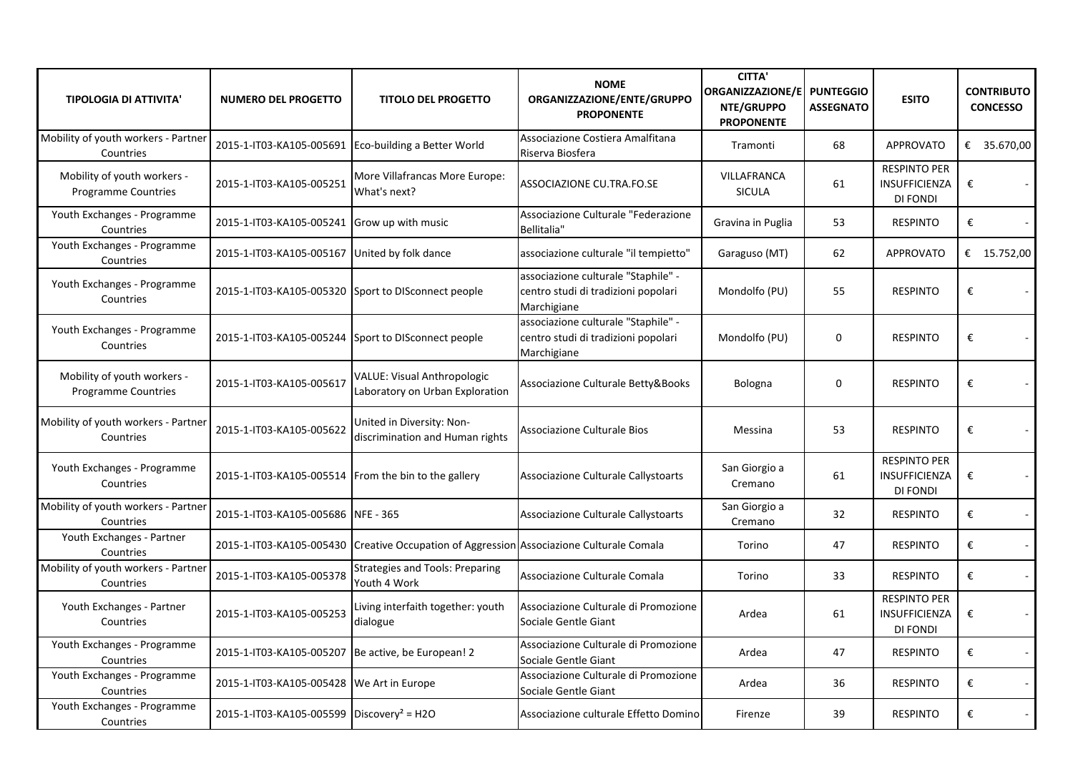| <b>TIPOLOGIA DI ATTIVITA'</b>                             | <b>NUMERO DEL PROGETTO</b>                            | <b>TITOLO DEL PROGETTO</b>                                                               | <b>NOME</b><br>ORGANIZZAZIONE/ENTE/GRUPPO<br><b>PROPONENTE</b>                            | <b>CITTA'</b><br><b>ORGANIZZAZIONE/E</b><br>NTE/GRUPPO<br><b>PROPONENTE</b> | <b>PUNTEGGIO</b><br><b>ASSEGNATO</b> | <b>ESITO</b>                                            | <b>CONTRIBUTO</b><br><b>CONCESSO</b> |
|-----------------------------------------------------------|-------------------------------------------------------|------------------------------------------------------------------------------------------|-------------------------------------------------------------------------------------------|-----------------------------------------------------------------------------|--------------------------------------|---------------------------------------------------------|--------------------------------------|
| Mobility of youth workers - Partner<br>Countries          |                                                       | 2015-1-IT03-KA105-005691 Eco-building a Better World                                     | Associazione Costiera Amalfitana<br>Riserva Biosfera                                      | Tramonti                                                                    | 68                                   | <b>APPROVATO</b>                                        | € 35.670,00                          |
| Mobility of youth workers -<br><b>Programme Countries</b> | 2015-1-IT03-KA105-005251                              | More Villafrancas More Europe:<br>What's next?                                           | ASSOCIAZIONE CU.TRA.FO.SE                                                                 | <b>VILLAFRANCA</b><br><b>SICULA</b>                                         | 61                                   | <b>RESPINTO PER</b><br><b>INSUFFICIENZA</b><br>DI FONDI | €<br>$\sim$                          |
| Youth Exchanges - Programme<br>Countries                  | 2015-1-IT03-KA105-005241 Grow up with music           |                                                                                          | Associazione Culturale "Federazione<br>Bellitalia"                                        | Gravina in Puglia                                                           | 53                                   | <b>RESPINTO</b>                                         | €                                    |
| Youth Exchanges - Programme<br>Countries                  | 2015-1-IT03-KA105-005167 United by folk dance         |                                                                                          | associazione culturale "il tempietto"                                                     | Garaguso (MT)                                                               | 62                                   | <b>APPROVATO</b>                                        | € $15.752,00$                        |
| Youth Exchanges - Programme<br>Countries                  | 2015-1-IT03-KA105-005320 Sport to DISconnect people   |                                                                                          | associazione culturale "Staphile" -<br>centro studi di tradizioni popolari<br>Marchigiane | Mondolfo (PU)                                                               | 55                                   | <b>RESPINTO</b>                                         | €<br>$\sim$                          |
| Youth Exchanges - Programme<br>Countries                  | 2015-1-IT03-KA105-005244 Sport to DISconnect people   |                                                                                          | associazione culturale "Staphile" -<br>centro studi di tradizioni popolari<br>Marchigiane | Mondolfo (PU)                                                               | $\mathbf 0$                          | <b>RESPINTO</b>                                         | €                                    |
| Mobility of youth workers -<br>Programme Countries        | 2015-1-IT03-KA105-005617                              | <b>VALUE: Visual Anthropologic</b><br>Laboratory on Urban Exploration                    | Associazione Culturale Betty&Books                                                        | Bologna                                                                     | $\Omega$                             | <b>RESPINTO</b>                                         | €                                    |
| Mobility of youth workers - Partner<br>Countries          | 2015-1-IT03-KA105-005622                              | United in Diversity: Non-<br>discrimination and Human rights                             | Associazione Culturale Bios                                                               | Messina                                                                     | 53                                   | <b>RESPINTO</b>                                         | €                                    |
| Youth Exchanges - Programme<br>Countries                  | 2015-1-IT03-KA105-005514 From the bin to the gallery  |                                                                                          | Associazione Culturale Callystoarts                                                       | San Giorgio a<br>Cremano                                                    | 61                                   | <b>RESPINTO PER</b><br><b>INSUFFICIENZA</b><br>DI FONDI | €<br>$\sim$                          |
| Mobility of youth workers - Partner<br>Countries          | 2015-1-IT03-KA105-005686 NFE - 365                    |                                                                                          | Associazione Culturale Callystoarts                                                       | San Giorgio a<br>Cremano                                                    | 32                                   | <b>RESPINTO</b>                                         | €<br>$\sim$                          |
| Youth Exchanges - Partner<br>Countries                    |                                                       | 2015-1-IT03-KA105-005430 Creative Occupation of Aggression Associazione Culturale Comala |                                                                                           | Torino                                                                      | 47                                   | <b>RESPINTO</b>                                         | €<br>$\blacksquare$                  |
| Mobility of youth workers - Partner<br>Countries          | 2015-1-IT03-KA105-005378                              | <b>Strategies and Tools: Preparing</b><br>Youth 4 Work                                   | Associazione Culturale Comala                                                             | Torino                                                                      | 33                                   | <b>RESPINTO</b>                                         | €<br>$\sim$                          |
| Youth Exchanges - Partner<br>Countries                    | 2015-1-IT03-KA105-005253                              | Living interfaith together: youth<br>dialogue                                            | Associazione Culturale di Promozione<br>Sociale Gentle Giant                              | Ardea                                                                       | 61                                   | <b>RESPINTO PER</b><br><b>INSUFFICIENZA</b><br>DI FONDI | €                                    |
| Youth Exchanges - Programme<br>Countries                  | 2015-1-IT03-KA105-005207 Be active, be European! 2    |                                                                                          | Associazione Culturale di Promozione<br>Sociale Gentle Giant                              | Ardea                                                                       | 47                                   | <b>RESPINTO</b>                                         | €<br>$\blacksquare$                  |
| Youth Exchanges - Programme<br>Countries                  | 2015-1-IT03-KA105-005428 We Art in Europe             |                                                                                          | Associazione Culturale di Promozione<br>Sociale Gentle Giant                              | Ardea                                                                       | 36                                   | <b>RESPINTO</b>                                         | €<br>$\mathcal{L}_{\mathcal{A}}$     |
| Youth Exchanges - Programme<br>Countries                  | 2015-1-IT03-KA105-005599 Discovery <sup>2</sup> = H2O |                                                                                          | Associazione culturale Effetto Domino                                                     | Firenze                                                                     | 39                                   | <b>RESPINTO</b>                                         | €                                    |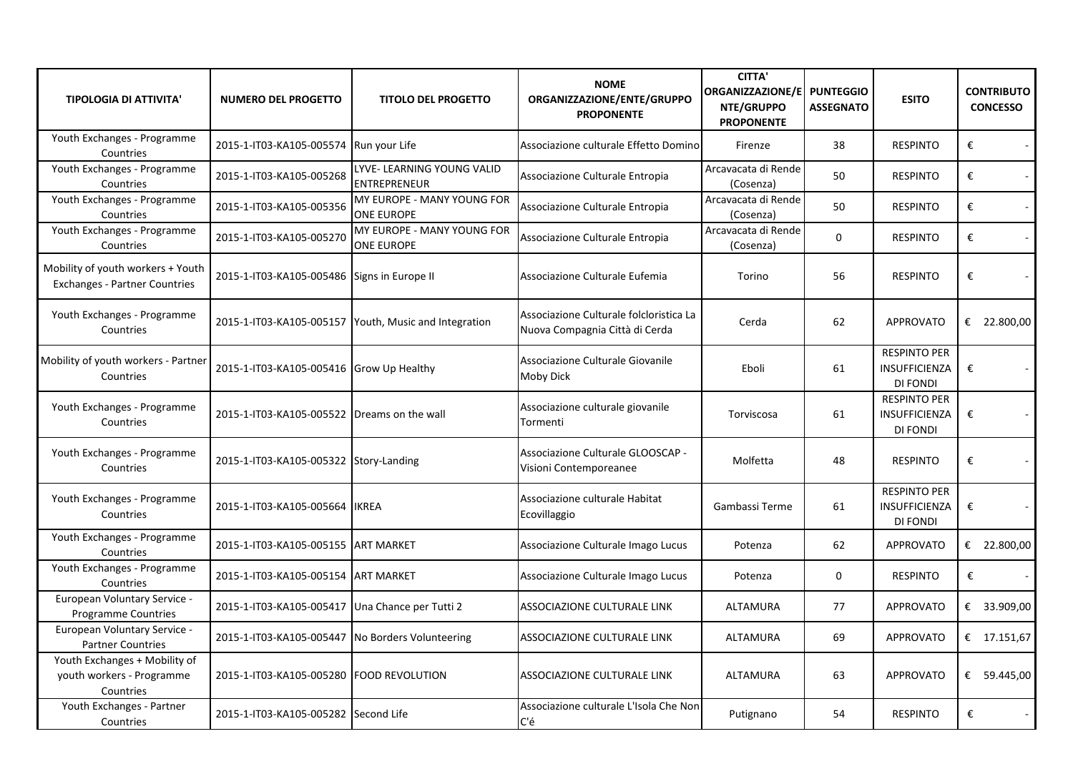| <b>TIPOLOGIA DI ATTIVITA'</b>                                             | <b>NUMERO DEL PROGETTO</b>                       | <b>TITOLO DEL PROGETTO</b>                            | <b>NOME</b><br>ORGANIZZAZIONE/ENTE/GRUPPO<br><b>PROPONENTE</b>            | <b>CITTA'</b><br>ORGANIZZAZIONE/E<br>NTE/GRUPPO<br><b>PROPONENTE</b> | <b>PUNTEGGIO</b><br><b>ASSEGNATO</b> | <b>ESITO</b>                                                   | <b>CONTRIBUTO</b><br><b>CONCESSO</b> |
|---------------------------------------------------------------------------|--------------------------------------------------|-------------------------------------------------------|---------------------------------------------------------------------------|----------------------------------------------------------------------|--------------------------------------|----------------------------------------------------------------|--------------------------------------|
| Youth Exchanges - Programme<br>Countries                                  | 2015-1-IT03-KA105-005574 Run your Life           |                                                       | Associazione culturale Effetto Domino                                     | Firenze                                                              | 38                                   | <b>RESPINTO</b>                                                | €<br>$\sim$                          |
| Youth Exchanges - Programme<br>Countries                                  | 2015-1-IT03-KA105-005268                         | LYVE- LEARNING YOUNG VALID<br><b>ENTREPRENEUR</b>     | Associazione Culturale Entropia                                           | Arcavacata di Rende<br>(Cosenza)                                     | 50                                   | <b>RESPINTO</b>                                                | €<br>$\sim$                          |
| Youth Exchanges - Programme<br>Countries                                  | 2015-1-IT03-KA105-005356                         | MY EUROPE - MANY YOUNG FOR<br><b>ONE EUROPE</b>       | Associazione Culturale Entropia                                           | Arcavacata di Rende<br>(Cosenza)                                     | 50                                   | <b>RESPINTO</b>                                                | €<br>$\sim$                          |
| Youth Exchanges - Programme<br>Countries                                  | 2015-1-IT03-KA105-005270                         | MY EUROPE - MANY YOUNG FOR<br><b>ONE EUROPE</b>       | Associazione Culturale Entropia                                           | Arcavacata di Rende<br>(Cosenza)                                     | $\mathbf{0}$                         | <b>RESPINTO</b>                                                | €<br>$\sim$                          |
| Mobility of youth workers + Youth<br><b>Exchanges - Partner Countries</b> | 2015-1-IT03-KA105-005486 Signs in Europe II      |                                                       | Associazione Culturale Eufemia                                            | Torino                                                               | 56                                   | <b>RESPINTO</b>                                                | €<br>$\mathcal{L}_{\mathcal{A}}$     |
| Youth Exchanges - Programme<br>Countries                                  |                                                  | 2015-1-IT03-KA105-005157 Youth, Music and Integration | Associazione Culturale folcloristica La<br>Nuova Compagnia Città di Cerda | Cerda                                                                | 62                                   | <b>APPROVATO</b>                                               | € 22.800,00                          |
| Mobility of youth workers - Partner<br>Countries                          | 2015-1-IT03-KA105-005416 Grow Up Healthy         |                                                       | Associazione Culturale Giovanile<br>Moby Dick                             | Eboli                                                                | 61                                   | <b>RESPINTO PER</b><br>INSUFFICIENZA<br><b>DI FONDI</b>        | €                                    |
| Youth Exchanges - Programme<br>Countries                                  | 2015-1-IT03-KA105-005522 Dreams on the wall      |                                                       | Associazione culturale giovanile<br>Tormenti                              | Torviscosa                                                           | 61                                   | <b>RESPINTO PER</b><br><b>INSUFFICIENZA</b><br><b>DI FONDI</b> | €<br>$\blacksquare$                  |
| Youth Exchanges - Programme<br>Countries                                  | 2015-1-IT03-KA105-005322 Story-Landing           |                                                       | Associazione Culturale GLOOSCAP -<br>Visioni Contemporeanee               | Molfetta                                                             | 48                                   | <b>RESPINTO</b>                                                | €<br>$\sim$                          |
| Youth Exchanges - Programme<br>Countries                                  | 2015-1-IT03-KA105-005664 IKREA                   |                                                       | Associazione culturale Habitat<br>Ecovillaggio                            | Gambassi Terme                                                       | 61                                   | <b>RESPINTO PER</b><br>INSUFFICIENZA<br>DI FONDI               | €                                    |
| Youth Exchanges - Programme<br>Countries                                  | 2015-1-IT03-KA105-005155 ART MARKET              |                                                       | Associazione Culturale Imago Lucus                                        | Potenza                                                              | 62                                   | <b>APPROVATO</b>                                               | € 22.800,00                          |
| Youth Exchanges - Programme<br>Countries                                  | 2015-1-IT03-KA105-005154 ART MARKET              |                                                       | Associazione Culturale Imago Lucus                                        | Potenza                                                              | $\mathbf{0}$                         | <b>RESPINTO</b>                                                | €                                    |
| European Voluntary Service -<br><b>Programme Countries</b>                | 2015-1-IT03-KA105-005417 Una Chance per Tutti 2  |                                                       | ASSOCIAZIONE CULTURALE LINK                                               | ALTAMURA                                                             | 77                                   | <b>APPROVATO</b>                                               | € 33.909,00                          |
| European Voluntary Service -<br><b>Partner Countries</b>                  | 2015-1-IT03-KA105-005447 No Borders Volunteering |                                                       | ASSOCIAZIONE CULTURALE LINK                                               | ALTAMURA                                                             | 69                                   | <b>APPROVATO</b>                                               | € 17.151,67                          |
| Youth Exchanges + Mobility of<br>youth workers - Programme<br>Countries   | 2015-1-IT03-KA105-005280 FOOD REVOLUTION         |                                                       | ASSOCIAZIONE CULTURALE LINK                                               | <b>ALTAMURA</b>                                                      | 63                                   | <b>APPROVATO</b>                                               | € 59.445,00                          |
| Youth Exchanges - Partner<br>Countries                                    | 2015-1-IT03-KA105-005282 Second Life             |                                                       | Associazione culturale L'Isola Che Non<br>C'é                             | Putignano                                                            | 54                                   | <b>RESPINTO</b>                                                | €                                    |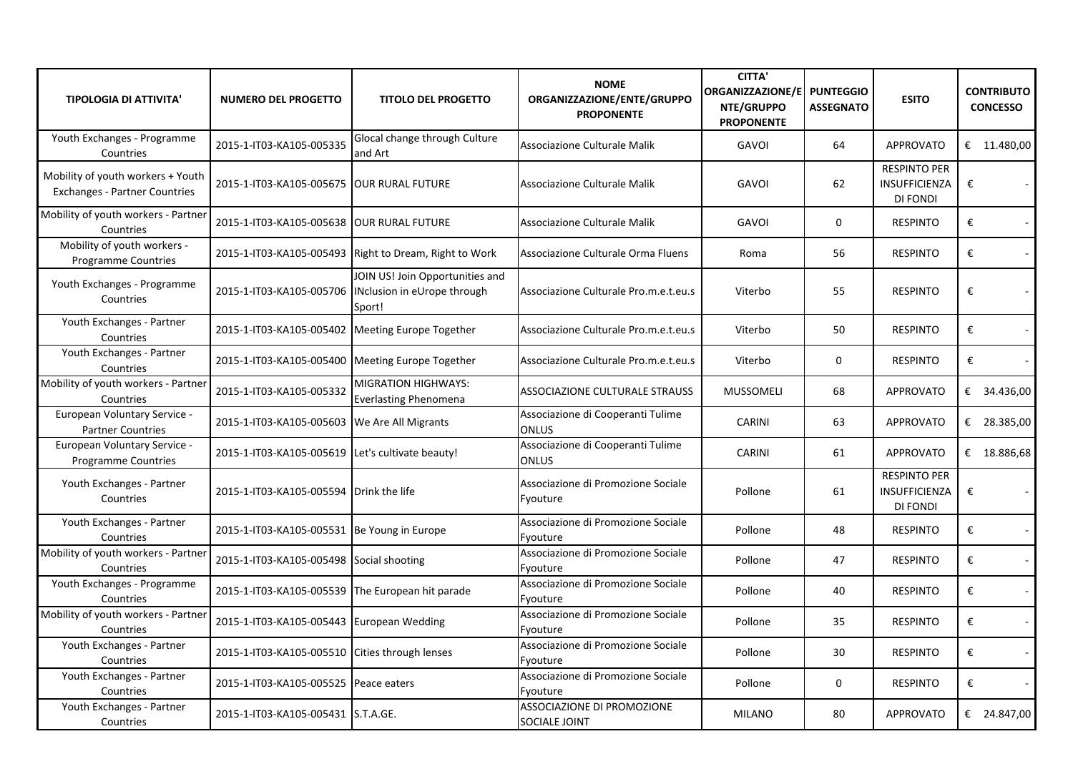| <b>TIPOLOGIA DI ATTIVITA'</b>                                             | <b>NUMERO DEL PROGETTO</b>                       | <b>TITOLO DEL PROGETTO</b>                                               | <b>NOME</b><br>ORGANIZZAZIONE/ENTE/GRUPPO<br><b>PROPONENTE</b> | <b>CITTA'</b><br>ORGANIZZAZIONE/E<br>NTE/GRUPPO<br><b>PROPONENTE</b> | <b>PUNTEGGIO</b><br><b>ASSEGNATO</b> | <b>ESITO</b>                                            | <b>CONTRIBUTO</b><br><b>CONCESSO</b> |
|---------------------------------------------------------------------------|--------------------------------------------------|--------------------------------------------------------------------------|----------------------------------------------------------------|----------------------------------------------------------------------|--------------------------------------|---------------------------------------------------------|--------------------------------------|
| Youth Exchanges - Programme<br>Countries                                  | 2015-1-IT03-KA105-005335                         | Glocal change through Culture<br>and Art                                 | Associazione Culturale Malik                                   | <b>GAVOI</b>                                                         | 64                                   | <b>APPROVATO</b>                                        | € $11.480,00$                        |
| Mobility of youth workers + Youth<br><b>Exchanges - Partner Countries</b> | 2015-1-IT03-KA105-005675 OUR RURAL FUTURE        |                                                                          | Associazione Culturale Malik                                   | <b>GAVOI</b>                                                         | 62                                   | <b>RESPINTO PER</b><br><b>INSUFFICIENZA</b><br>DI FONDI | €<br>$\sim$                          |
| Mobility of youth workers - Partner<br>Countries                          | 2015-1-IT03-KA105-005638 OUR RURAL FUTURE        |                                                                          | Associazione Culturale Malik                                   | <b>GAVOI</b>                                                         | $\mathbf 0$                          | <b>RESPINTO</b>                                         | €<br>$\sim$                          |
| Mobility of youth workers -<br>Programme Countries                        |                                                  | 2015-1-IT03-KA105-005493 Right to Dream, Right to Work                   | Associazione Culturale Orma Fluens                             | Roma                                                                 | 56                                   | <b>RESPINTO</b>                                         | €<br>$\sim$                          |
| Youth Exchanges - Programme<br>Countries                                  | 2015-1-IT03-KA105-005706                         | JOIN US! Join Opportunities and<br>INclusion in eUrope through<br>Sport! | Associazione Culturale Pro.m.e.t.eu.s                          | Viterbo                                                              | 55                                   | <b>RESPINTO</b>                                         | €<br>$\sim$                          |
| Youth Exchanges - Partner<br>Countries                                    | 2015-1-IT03-KA105-005402 Meeting Europe Together |                                                                          | Associazione Culturale Pro.m.e.t.eu.s                          | Viterbo                                                              | 50                                   | <b>RESPINTO</b>                                         | €<br>$\mathbb{Z}^2$                  |
| Youth Exchanges - Partner<br>Countries                                    | 2015-1-IT03-KA105-005400 Meeting Europe Together |                                                                          | Associazione Culturale Pro.m.e.t.eu.s                          | Viterbo                                                              | $\mathbf{0}$                         | <b>RESPINTO</b>                                         | €                                    |
| Mobility of youth workers - Partner<br>Countries                          | 2015-1-IT03-KA105-005332                         | MIGRATION HIGHWAYS:<br><b>Everlasting Phenomena</b>                      | <b>ASSOCIAZIONE CULTURALE STRAUSS</b>                          | <b>MUSSOMELI</b>                                                     | 68                                   | <b>APPROVATO</b>                                        | € 34.436,00                          |
| European Voluntary Service -<br><b>Partner Countries</b>                  | 2015-1-IT03-KA105-005603 We Are All Migrants     |                                                                          | Associazione di Cooperanti Tulime<br><b>ONLUS</b>              | <b>CARINI</b>                                                        | 63                                   | <b>APPROVATO</b>                                        | € 28.385,00                          |
| European Voluntary Service -<br><b>Programme Countries</b>                | 2015-1-IT03-KA105-005619 Let's cultivate beauty! |                                                                          | Associazione di Cooperanti Tulime<br><b>ONLUS</b>              | <b>CARINI</b>                                                        | 61                                   | <b>APPROVATO</b>                                        | € 18.886,68                          |
| Youth Exchanges - Partner<br>Countries                                    | 2015-1-IT03-KA105-005594 Drink the life          |                                                                          | Associazione di Promozione Sociale<br>Fyouture                 | Pollone                                                              | 61                                   | <b>RESPINTO PER</b><br><b>INSUFFICIENZA</b><br>DI FONDI | €                                    |
| Youth Exchanges - Partner<br>Countries                                    | 2015-1-IT03-KA105-005531 Be Young in Europe      |                                                                          | Associazione di Promozione Sociale<br>Fyouture                 | Pollone                                                              | 48                                   | <b>RESPINTO</b>                                         | €<br>$\blacksquare$                  |
| Mobility of youth workers - Partner<br>Countries                          | 2015-1-IT03-KA105-005498 Social shooting         |                                                                          | Associazione di Promozione Sociale<br>Fyouture                 | Pollone                                                              | 47                                   | <b>RESPINTO</b>                                         | €<br>$\sim$                          |
| Youth Exchanges - Programme<br>Countries                                  | 2015-1-IT03-KA105-005539 The European hit parade |                                                                          | Associazione di Promozione Sociale<br>Fyouture                 | Pollone                                                              | 40                                   | <b>RESPINTO</b>                                         | €<br>$\blacksquare$                  |
| Mobility of youth workers - Partner<br>Countries                          | 2015-1-IT03-KA105-005443 European Wedding        |                                                                          | Associazione di Promozione Sociale<br>Fyouture                 | Pollone                                                              | 35                                   | <b>RESPINTO</b>                                         | €<br>$\sim$                          |
| Youth Exchanges - Partner<br>Countries                                    | 2015-1-IT03-KA105-005510 Cities through lenses   |                                                                          | Associazione di Promozione Sociale<br>Fyouture                 | Pollone                                                              | 30                                   | <b>RESPINTO</b>                                         | €                                    |
| Youth Exchanges - Partner<br>Countries                                    | 2015-1-IT03-KA105-005525 Peace eaters            |                                                                          | Associazione di Promozione Sociale<br>Fyouture                 | Pollone                                                              | 0                                    | <b>RESPINTO</b>                                         | €                                    |
| Youth Exchanges - Partner<br>Countries                                    | 2015-1-IT03-KA105-005431 S.T.A.GE.               |                                                                          | ASSOCIAZIONE DI PROMOZIONE<br><b>SOCIALE JOINT</b>             | <b>MILANO</b>                                                        | 80                                   | <b>APPROVATO</b>                                        | € 24.847,00                          |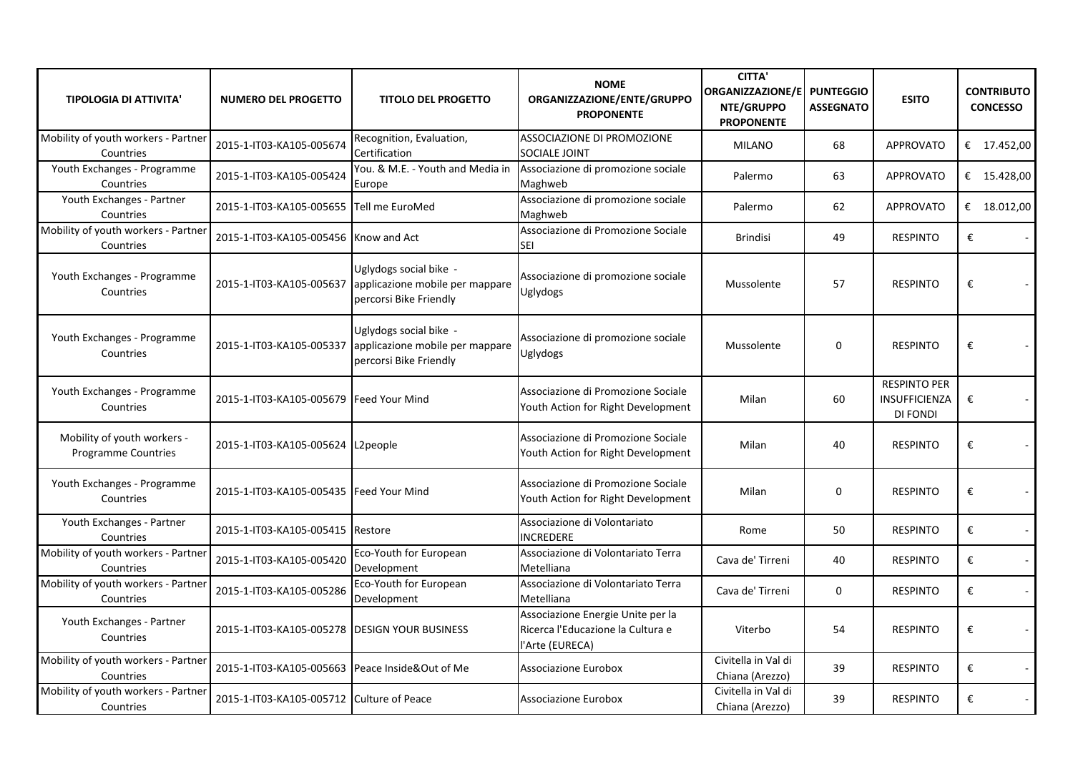| <b>TIPOLOGIA DI ATTIVITA'</b>                      | <b>NUMERO DEL PROGETTO</b>                      | <b>TITOLO DEL PROGETTO</b>                                                          | <b>NOME</b><br>ORGANIZZAZIONE/ENTE/GRUPPO<br><b>PROPONENTE</b>                            | <b>CITTA'</b><br><b>ORGANIZZAZIONE/E</b><br>NTE/GRUPPO<br><b>PROPONENTE</b> | <b>PUNTEGGIO</b><br><b>ASSEGNATO</b> | <b>ESITO</b>                                     | <b>CONTRIBUTO</b><br><b>CONCESSO</b> |
|----------------------------------------------------|-------------------------------------------------|-------------------------------------------------------------------------------------|-------------------------------------------------------------------------------------------|-----------------------------------------------------------------------------|--------------------------------------|--------------------------------------------------|--------------------------------------|
| Mobility of youth workers - Partner<br>Countries   | 2015-1-IT03-KA105-005674                        | Recognition, Evaluation,<br>Certification                                           | <b>ASSOCIAZIONE DI PROMOZIONE</b><br>SOCIALE JOINT                                        | <b>MILANO</b>                                                               | 68                                   | <b>APPROVATO</b>                                 | € $17.452,00$                        |
| Youth Exchanges - Programme<br>Countries           | 2015-1-IT03-KA105-005424                        | You. & M.E. - Youth and Media in<br>Europe                                          | Associazione di promozione sociale<br>Maghweb                                             | Palermo                                                                     | 63                                   | <b>APPROVATO</b>                                 | € 15.428,00                          |
| Youth Exchanges - Partner<br>Countries             | 2015-1-IT03-KA105-005655 Tell me EuroMed        |                                                                                     | Associazione di promozione sociale<br>Maghweb                                             | Palermo                                                                     | 62                                   | <b>APPROVATO</b>                                 | € 18.012,00                          |
| Mobility of youth workers - Partner<br>Countries   | 2015-1-IT03-KA105-005456 Know and Act           |                                                                                     | Associazione di Promozione Sociale<br><b>SEI</b>                                          | <b>Brindisi</b>                                                             | 49                                   | <b>RESPINTO</b>                                  | €                                    |
| Youth Exchanges - Programme<br>Countries           | 2015-1-IT03-KA105-005637                        | Uglydogs social bike -<br>applicazione mobile per mappare<br>percorsi Bike Friendly | Associazione di promozione sociale<br>Uglydogs                                            | Mussolente                                                                  | 57                                   | <b>RESPINTO</b>                                  | €                                    |
| Youth Exchanges - Programme<br>Countries           | 2015-1-IT03-KA105-005337                        | Uglydogs social bike -<br>applicazione mobile per mappare<br>percorsi Bike Friendly | Associazione di promozione sociale<br><b>Uglydogs</b>                                     | Mussolente                                                                  | 0                                    | <b>RESPINTO</b>                                  | €                                    |
| Youth Exchanges - Programme<br>Countries           | 2015-1-IT03-KA105-005679 Feed Your Mind         |                                                                                     | Associazione di Promozione Sociale<br>Youth Action for Right Development                  | Milan                                                                       | 60                                   | <b>RESPINTO PER</b><br>INSUFFICIENZA<br>DI FONDI | €                                    |
| Mobility of youth workers -<br>Programme Countries | 2015-1-IT03-KA105-005624 L2people               |                                                                                     | Associazione di Promozione Sociale<br>Youth Action for Right Development                  | Milan                                                                       | 40                                   | <b>RESPINTO</b>                                  | €                                    |
| Youth Exchanges - Programme<br>Countries           | 2015-1-IT03-KA105-005435   Feed Your Mind       |                                                                                     | Associazione di Promozione Sociale<br>Youth Action for Right Development                  | Milan                                                                       | 0                                    | <b>RESPINTO</b>                                  | €                                    |
| Youth Exchanges - Partner<br>Countries             | 2015-1-IT03-KA105-005415 Restore                |                                                                                     | Associazione di Volontariato<br><b>INCREDERE</b>                                          | Rome                                                                        | 50                                   | <b>RESPINTO</b>                                  | €<br>$\sim$                          |
| Mobility of youth workers - Partner<br>Countries   | 2015-1-IT03-KA105-005420                        | Eco-Youth for European<br>Development                                               | Associazione di Volontariato Terra<br>Metelliana                                          | Cava de' Tirreni                                                            | 40                                   | <b>RESPINTO</b>                                  | €<br>$\mathcal{L}_{\mathcal{A}}$     |
| Mobility of youth workers - Partner<br>Countries   | 2015-1-IT03-KA105-005286                        | Eco-Youth for European<br>Development                                               | Associazione di Volontariato Terra<br>Metelliana                                          | Cava de' Tirreni                                                            | 0                                    | <b>RESPINTO</b>                                  | €<br>$\omega$                        |
| Youth Exchanges - Partner<br>Countries             | 2015-1-IT03-KA105-005278 DESIGN YOUR BUSINESS   |                                                                                     | Associazione Energie Unite per la<br>Ricerca l'Educazione la Cultura e<br>l'Arte (EURECA) | Viterbo                                                                     | 54                                   | <b>RESPINTO</b>                                  | €                                    |
| Mobility of youth workers - Partner<br>Countries   | 2015-1-IT03-KA105-005663 Peace Inside&Out of Me |                                                                                     | Associazione Eurobox                                                                      | Civitella in Val di<br>Chiana (Arezzo)                                      | 39                                   | <b>RESPINTO</b>                                  | €<br>$\sim$                          |
| Mobility of youth workers - Partner<br>Countries   | 2015-1-IT03-KA105-005712 Culture of Peace       |                                                                                     | Associazione Eurobox                                                                      | Civitella in Val di<br>Chiana (Arezzo)                                      | 39                                   | <b>RESPINTO</b>                                  | €                                    |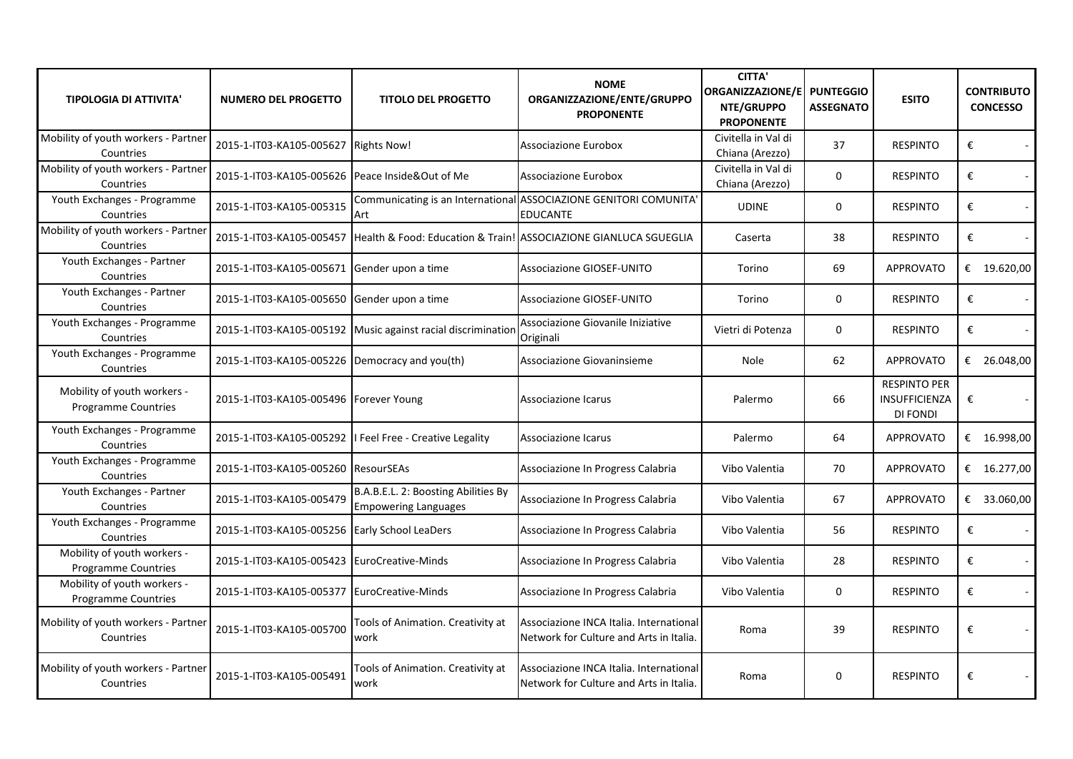| <b>TIPOLOGIA DI ATTIVITA'</b>                             | <b>NUMERO DEL PROGETTO</b>                      | <b>TITOLO DEL PROGETTO</b>                                         | <b>NOME</b><br>ORGANIZZAZIONE/ENTE/GRUPPO<br><b>PROPONENTE</b>                       | <b>CITTA'</b><br>ORGANIZZAZIONE/E   PUNTEGGIO<br>NTE/GRUPPO<br><b>PROPONENTE</b> | <b>ASSEGNATO</b> | <b>ESITO</b>                                                   | <b>CONTRIBUTO</b><br><b>CONCESSO</b> |
|-----------------------------------------------------------|-------------------------------------------------|--------------------------------------------------------------------|--------------------------------------------------------------------------------------|----------------------------------------------------------------------------------|------------------|----------------------------------------------------------------|--------------------------------------|
| Mobility of youth workers - Partner<br>Countries          | 2015-1-IT03-KA105-005627 Rights Now!            |                                                                    | Associazione Eurobox                                                                 | Civitella in Val di<br>Chiana (Arezzo)                                           | 37               | <b>RESPINTO</b>                                                | €<br>$\sim$                          |
| Mobility of youth workers - Partner<br>Countries          | 2015-1-IT03-KA105-005626 Peace Inside&Out of Me |                                                                    | Associazione Eurobox                                                                 | Civitella in Val di<br>Chiana (Arezzo)                                           | $\mathbf 0$      | <b>RESPINTO</b>                                                | €<br>$\sim$                          |
| Youth Exchanges - Programme<br>Countries                  | 2015-1-IT03-KA105-005315                        | Art                                                                | Communicating is an International ASSOCIAZIONE GENITORI COMUNITA'<br><b>EDUCANTE</b> | <b>UDINE</b>                                                                     | $\mathbf{0}$     | <b>RESPINTO</b>                                                | €<br>$\blacksquare$                  |
| Mobility of youth workers - Partner<br>Countries          | 2015-1-IT03-KA105-005457                        |                                                                    | Health & Food: Education & Train! ASSOCIAZIONE GIANLUCA SGUEGLIA                     | Caserta                                                                          | 38               | <b>RESPINTO</b>                                                | €                                    |
| Youth Exchanges - Partner<br>Countries                    | 2015-1-IT03-KA105-005671 Gender upon a time     |                                                                    | <b>Associazione GIOSEF-UNITO</b>                                                     | Torino                                                                           | 69               | <b>APPROVATO</b>                                               | € 19.620,00                          |
| Youth Exchanges - Partner<br>Countries                    | 2015-1-IT03-KA105-005650 Gender upon a time     |                                                                    | <b>Associazione GIOSEF-UNITO</b>                                                     | Torino                                                                           | $\mathbf{0}$     | <b>RESPINTO</b>                                                | €                                    |
| Youth Exchanges - Programme<br>Countries                  |                                                 | 2015-1-IT03-KA105-005192 Music against racial discrimination       | Associazione Giovanile Iniziative<br>Originali                                       | Vietri di Potenza                                                                | $\mathbf{0}$     | <b>RESPINTO</b>                                                | €                                    |
| Youth Exchanges - Programme<br>Countries                  | 2015-1-IT03-KA105-005226 Democracy and you(th)  |                                                                    | Associazione Giovaninsieme                                                           | <b>Nole</b>                                                                      | 62               | <b>APPROVATO</b>                                               | € 26.048,00                          |
| Mobility of youth workers -<br><b>Programme Countries</b> | 2015-1-IT03-KA105-005496 Forever Young          |                                                                    | Associazione Icarus                                                                  | Palermo                                                                          | 66               | <b>RESPINTO PER</b><br><b>INSUFFICIENZA</b><br><b>DI FONDI</b> | €                                    |
| Youth Exchanges - Programme<br>Countries                  |                                                 | 2015-1-IT03-KA105-005292   Feel Free - Creative Legality           | Associazione Icarus                                                                  | Palermo                                                                          | 64               | <b>APPROVATO</b>                                               | € $16.998,00$                        |
| Youth Exchanges - Programme<br>Countries                  | 2015-1-IT03-KA105-005260 ResourSEAs             |                                                                    | Associazione In Progress Calabria                                                    | Vibo Valentia                                                                    | 70               | <b>APPROVATO</b>                                               | € $16.277,00$                        |
| Youth Exchanges - Partner<br>Countries                    | 2015-1-IT03-KA105-005479                        | B.A.B.E.L. 2: Boosting Abilities By<br><b>Empowering Languages</b> | Associazione In Progress Calabria                                                    | Vibo Valentia                                                                    | 67               | <b>APPROVATO</b>                                               | € 33.060,00                          |
| Youth Exchanges - Programme<br>Countries                  | 2015-1-IT03-KA105-005256 Early School LeaDers   |                                                                    | Associazione In Progress Calabria                                                    | Vibo Valentia                                                                    | 56               | <b>RESPINTO</b>                                                | €                                    |
| Mobility of youth workers -<br><b>Programme Countries</b> | 2015-1-IT03-KA105-005423 EuroCreative-Minds     |                                                                    | Associazione In Progress Calabria                                                    | Vibo Valentia                                                                    | 28               | <b>RESPINTO</b>                                                | €<br>$\sim$                          |
| Mobility of youth workers -<br>Programme Countries        | 2015-1-IT03-KA105-005377   Euro Creative-Minds  |                                                                    | Associazione In Progress Calabria                                                    | Vibo Valentia                                                                    | $\mathbf{0}$     | <b>RESPINTO</b>                                                | €<br>$\sim$                          |
| Mobility of youth workers - Partner<br>Countries          | 2015-1-IT03-KA105-005700                        | Tools of Animation. Creativity at<br>work                          | Associazione INCA Italia. International<br>Network for Culture and Arts in Italia.   | Roma                                                                             | 39               | <b>RESPINTO</b>                                                | €<br>$\overline{\phantom{a}}$        |
| Mobility of youth workers - Partner<br>Countries          | 2015-1-IT03-KA105-005491                        | Tools of Animation. Creativity at<br>work                          | Associazione INCA Italia. International<br>Network for Culture and Arts in Italia.   | Roma                                                                             | $\mathbf 0$      | <b>RESPINTO</b>                                                | €                                    |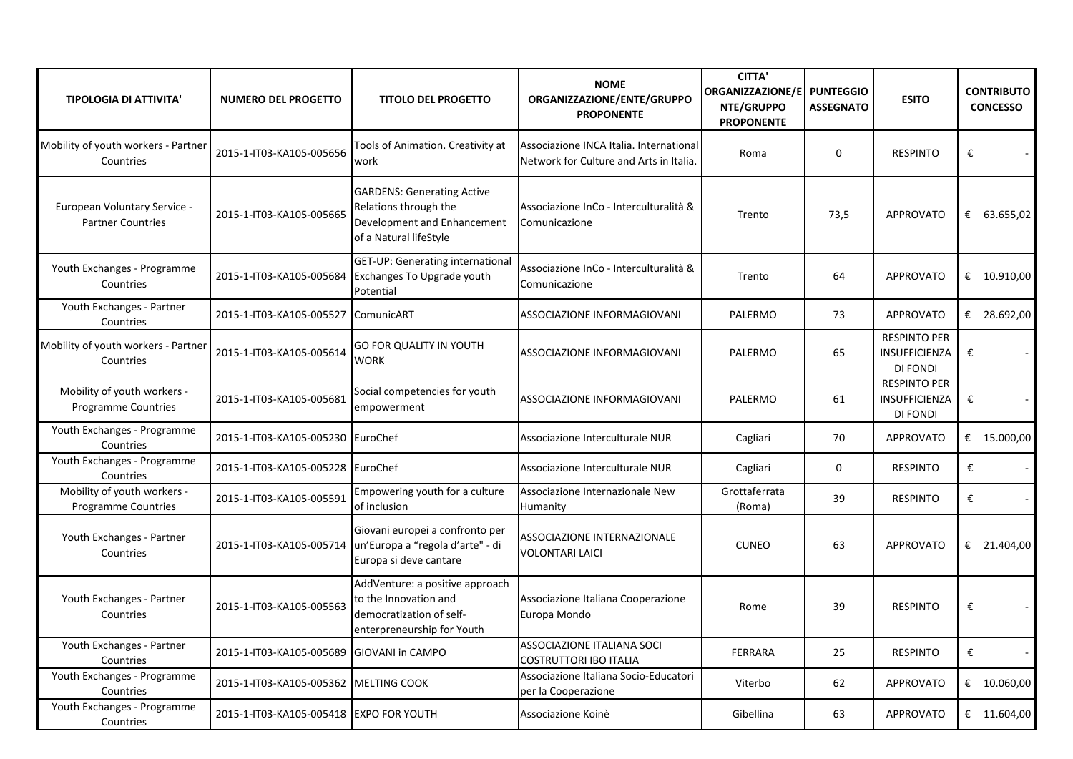| <b>TIPOLOGIA DI ATTIVITA'</b>                            | <b>NUMERO DEL PROGETTO</b>                | <b>TITOLO DEL PROGETTO</b>                                                                                          | <b>NOME</b><br>ORGANIZZAZIONE/ENTE/GRUPPO<br><b>PROPONENTE</b>                     | <b>CITTA'</b><br>ORGANIZZAZIONE/E<br>NTE/GRUPPO<br><b>PROPONENTE</b> | <b>PUNTEGGIO</b><br><b>ASSEGNATO</b> | <b>ESITO</b>                                            | <b>CONTRIBUTO</b><br><b>CONCESSO</b> |
|----------------------------------------------------------|-------------------------------------------|---------------------------------------------------------------------------------------------------------------------|------------------------------------------------------------------------------------|----------------------------------------------------------------------|--------------------------------------|---------------------------------------------------------|--------------------------------------|
| Mobility of youth workers - Partner<br>Countries         | 2015-1-IT03-KA105-005656                  | Tools of Animation. Creativity at<br>work                                                                           | Associazione INCA Italia. International<br>Network for Culture and Arts in Italia. | Roma                                                                 | $\mathbf 0$                          | <b>RESPINTO</b>                                         | €                                    |
| European Voluntary Service -<br><b>Partner Countries</b> | 2015-1-IT03-KA105-005665                  | <b>GARDENS: Generating Active</b><br>Relations through the<br>Development and Enhancement<br>of a Natural lifeStyle | Associazione InCo - Interculturalità &<br>Comunicazione                            | Trento                                                               | 73,5                                 | <b>APPROVATO</b>                                        | € 63.655,02                          |
| Youth Exchanges - Programme<br>Countries                 | 2015-1-IT03-KA105-005684                  | GET-UP: Generating international<br>Exchanges To Upgrade youth<br>Potential                                         | Associazione InCo - Interculturalità &<br>Comunicazione                            | Trento                                                               | 64                                   | <b>APPROVATO</b>                                        | € $10.910,00$                        |
| Youth Exchanges - Partner<br>Countries                   | 2015-1-IT03-KA105-005527 ComunicART       |                                                                                                                     | ASSOCIAZIONE INFORMAGIOVANI                                                        | PALERMO                                                              | 73                                   | <b>APPROVATO</b>                                        | € 28.692,00                          |
| Mobility of youth workers - Partner<br>Countries         | 2015-1-IT03-KA105-005614                  | <b>GO FOR QUALITY IN YOUTH</b><br><b>WORK</b>                                                                       | ASSOCIAZIONE INFORMAGIOVANI                                                        | PALERMO                                                              | 65                                   | <b>RESPINTO PER</b><br>INSUFFICIENZA<br>DI FONDI        | €                                    |
| Mobility of youth workers -<br>Programme Countries       | 2015-1-IT03-KA105-005681                  | Social competencies for youth<br>empowerment                                                                        | ASSOCIAZIONE INFORMAGIOVANI                                                        | PALERMO                                                              | 61                                   | <b>RESPINTO PER</b><br><b>INSUFFICIENZA</b><br>DI FONDI | €                                    |
| Youth Exchanges - Programme<br>Countries                 | 2015-1-IT03-KA105-005230 EuroChef         |                                                                                                                     | Associazione Interculturale NUR                                                    | Cagliari                                                             | 70                                   | <b>APPROVATO</b>                                        | € 15.000,00                          |
| Youth Exchanges - Programme<br>Countries                 | 2015-1-IT03-KA105-005228 EuroChef         |                                                                                                                     | Associazione Interculturale NUR                                                    | Cagliari                                                             | 0                                    | <b>RESPINTO</b>                                         | $\pmb{\epsilon}$                     |
| Mobility of youth workers -<br>Programme Countries       | 2015-1-IT03-KA105-005591                  | Empowering youth for a culture<br>of inclusion                                                                      | Associazione Internazionale New<br>Humanity                                        | Grottaferrata<br>(Roma)                                              | 39                                   | <b>RESPINTO</b>                                         | €                                    |
| Youth Exchanges - Partner<br>Countries                   | 2015-1-IT03-KA105-005714                  | Giovani europei a confronto per<br>un'Europa a "regola d'arte" - di<br>Europa si deve cantare                       | <b>ASSOCIAZIONE INTERNAZIONALE</b><br><b>VOLONTARI LAICI</b>                       | <b>CUNEO</b>                                                         | 63                                   | <b>APPROVATO</b>                                        | € 21.404,00                          |
| Youth Exchanges - Partner<br>Countries                   | 2015-1-IT03-KA105-005563                  | AddVenture: a positive approach<br>to the Innovation and<br>democratization of self-<br>enterpreneurship for Youth  | Associazione Italiana Cooperazione<br>Europa Mondo                                 | Rome                                                                 | 39                                   | <b>RESPINTO</b>                                         | €                                    |
| Youth Exchanges - Partner<br>Countries                   | 2015-1-IT03-KA105-005689 GIOVANI in CAMPO |                                                                                                                     | ASSOCIAZIONE ITALIANA SOCI<br>COSTRUTTORI IBO ITALIA                               | FERRARA                                                              | 25                                   | <b>RESPINTO</b>                                         | €                                    |
| Youth Exchanges - Programme<br>Countries                 | 2015-1-IT03-KA105-005362 MELTING COOK     |                                                                                                                     | Associazione Italiana Socio-Educatori<br>per la Cooperazione                       | Viterbo                                                              | 62                                   | <b>APPROVATO</b>                                        | € $10.060,00$                        |
| Youth Exchanges - Programme<br>Countries                 | 2015-1-IT03-KA105-005418 EXPO FOR YOUTH   |                                                                                                                     | Associazione Koinè                                                                 | Gibellina                                                            | 63                                   | <b>APPROVATO</b>                                        | € 11.604,00                          |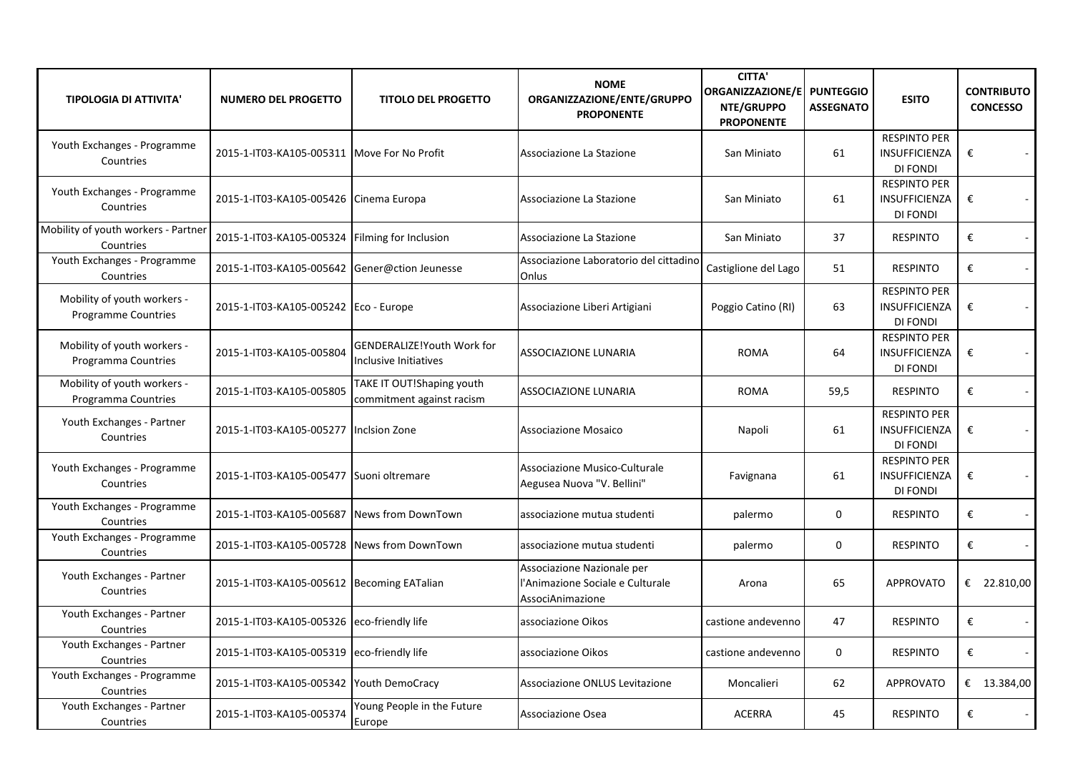| <b>TIPOLOGIA DI ATTIVITA'</b>                             | <b>NUMERO DEL PROGETTO</b>                    | <b>TITOLO DEL PROGETTO</b>                                        | <b>NOME</b><br>ORGANIZZAZIONE/ENTE/GRUPPO<br><b>PROPONENTE</b>                     | <b>CITTA'</b><br>ORGANIZZAZIONE/E   PUNTEGGIO<br>NTE/GRUPPO<br><b>PROPONENTE</b> | <b>ASSEGNATO</b> | <b>ESITO</b>                                                   | <b>CONTRIBUTO</b><br><b>CONCESSO</b> |
|-----------------------------------------------------------|-----------------------------------------------|-------------------------------------------------------------------|------------------------------------------------------------------------------------|----------------------------------------------------------------------------------|------------------|----------------------------------------------------------------|--------------------------------------|
| Youth Exchanges - Programme<br>Countries                  | 2015-1-IT03-KA105-005311                      | Move For No Profit                                                | Associazione La Stazione                                                           | San Miniato                                                                      | 61               | <b>RESPINTO PER</b><br>INSUFFICIENZA<br>DI FONDI               | €                                    |
| Youth Exchanges - Programme<br>Countries                  | 2015-1-IT03-KA105-005426 Cinema Europa        |                                                                   | Associazione La Stazione                                                           | San Miniato                                                                      | 61               | <b>RESPINTO PER</b><br>INSUFFICIENZA<br><b>DI FONDI</b>        | €                                    |
| Mobility of youth workers - Partner<br>Countries          | 2015-1-IT03-KA105-005324                      | Filming for Inclusion                                             | Associazione La Stazione                                                           | San Miniato                                                                      | 37               | <b>RESPINTO</b>                                                | €<br>$\sim$                          |
| Youth Exchanges - Programme<br>Countries                  | 2015-1-IT03-KA105-005642 Gener@ction Jeunesse |                                                                   | Associazione Laboratorio del cittadino<br>Onlus                                    | Castiglione del Lago                                                             | 51               | <b>RESPINTO</b>                                                | €<br>$\sim$                          |
| Mobility of youth workers -<br><b>Programme Countries</b> | 2015-1-IT03-KA105-005242 Eco - Europe         |                                                                   | Associazione Liberi Artigiani                                                      | Poggio Catino (RI)                                                               | 63               | <b>RESPINTO PER</b><br><b>INSUFFICIENZA</b><br>DI FONDI        | €<br>$\sim$                          |
| Mobility of youth workers -<br>Programma Countries        | 2015-1-IT03-KA105-005804                      | <b>GENDERALIZE!Youth Work for</b><br><b>Inclusive Initiatives</b> | <b>ASSOCIAZIONE LUNARIA</b>                                                        | <b>ROMA</b>                                                                      | 64               | <b>RESPINTO PER</b><br>INSUFFICIENZA<br>DI FONDI               | €<br>$\sim$                          |
| Mobility of youth workers -<br>Programma Countries        | 2015-1-IT03-KA105-005805                      | TAKE IT OUT!Shaping youth<br>commitment against racism            | <b>ASSOCIAZIONE LUNARIA</b>                                                        | <b>ROMA</b>                                                                      | 59,5             | <b>RESPINTO</b>                                                | €<br>$\sim$                          |
| Youth Exchanges - Partner<br>Countries                    | 2015-1-IT03-KA105-005277                      | Inclsion Zone                                                     | <b>Associazione Mosaico</b>                                                        | Napoli                                                                           | 61               | <b>RESPINTO PER</b><br><b>INSUFFICIENZA</b><br><b>DI FONDI</b> | €                                    |
| Youth Exchanges - Programme<br>Countries                  | 2015-1-IT03-KA105-005477 Suoni oltremare      |                                                                   | Associazione Musico-Culturale<br>Aegusea Nuova "V. Bellini"                        | Favignana                                                                        | 61               | <b>RESPINTO PER</b><br><b>INSUFFICIENZA</b><br>DI FONDI        | €<br>$\sim$                          |
| Youth Exchanges - Programme<br>Countries                  | 2015-1-IT03-KA105-005687                      | News from DownTown                                                | associazione mutua studenti                                                        | palermo                                                                          | 0                | <b>RESPINTO</b>                                                | €<br>$\sim$                          |
| Youth Exchanges - Programme<br>Countries                  | 2015-1-IT03-KA105-005728                      | News from DownTown                                                | associazione mutua studenti                                                        | palermo                                                                          | 0                | <b>RESPINTO</b>                                                | €<br>$\sim$                          |
| Youth Exchanges - Partner<br>Countries                    | 2015-1-IT03-KA105-005612 Becoming EATalian    |                                                                   | Associazione Nazionale per<br>l'Animazione Sociale e Culturale<br>AssociAnimazione | Arona                                                                            | 65               | <b>APPROVATO</b>                                               | € 22.810,00                          |
| Youth Exchanges - Partner<br>Countries                    | 2015-1-IT03-KA105-005326 eco-friendly life    |                                                                   | associazione Oikos                                                                 | castione andevenno                                                               | 47               | <b>RESPINTO</b>                                                | €                                    |
| Youth Exchanges - Partner<br>Countries                    | 2015-1-IT03-KA105-005319                      | eco-friendly life                                                 | associazione Oikos                                                                 | castione andevenno                                                               | $\mathbf{0}$     | <b>RESPINTO</b>                                                | €                                    |
| Youth Exchanges - Programme<br>Countries                  | 2015-1-IT03-KA105-005342                      | Youth DemoCracy                                                   | Associazione ONLUS Levitazione                                                     | Moncalieri                                                                       | 62               | <b>APPROVATO</b>                                               | € $13.384,00$                        |
| Youth Exchanges - Partner<br>Countries                    | 2015-1-IT03-KA105-005374                      | Young People in the Future<br>Europe                              | Associazione Osea                                                                  | <b>ACERRA</b>                                                                    | 45               | <b>RESPINTO</b>                                                | €                                    |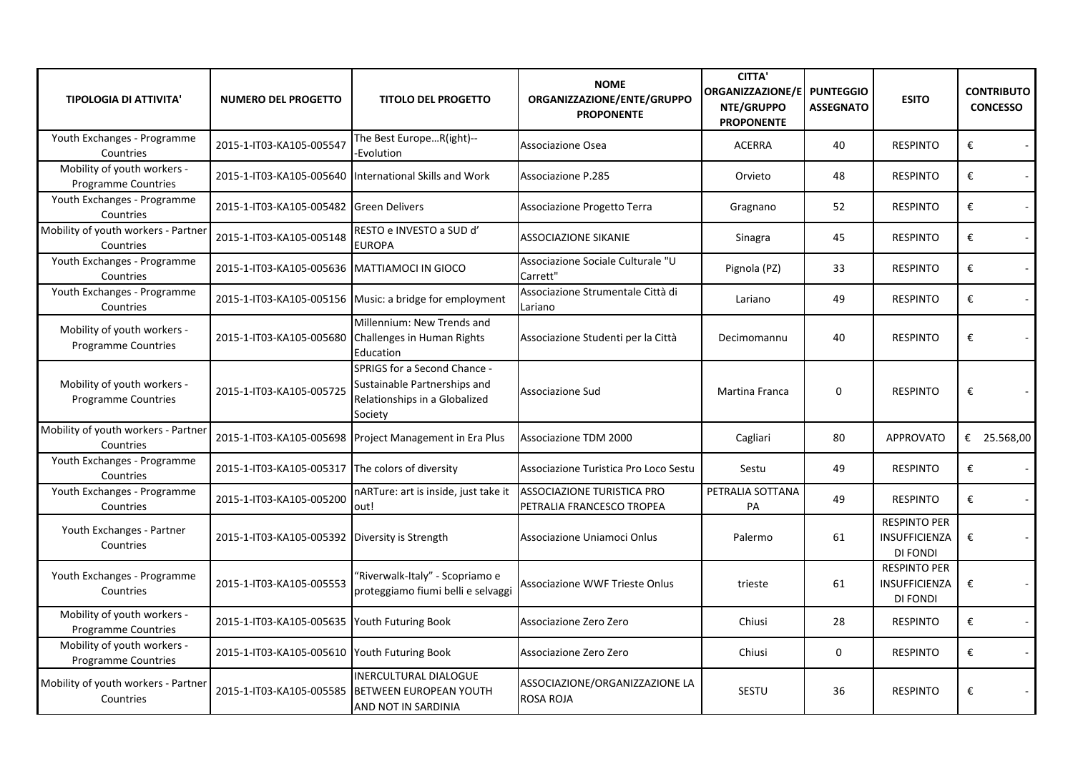| <b>TIPOLOGIA DI ATTIVITA'</b>                             | <b>NUMERO DEL PROGETTO</b>                       | <b>TITOLO DEL PROGETTO</b>                                                                                      | <b>NOME</b><br>ORGANIZZAZIONE/ENTE/GRUPPO<br><b>PROPONENTE</b> | <b>CITTA'</b><br>ORGANIZZAZIONE/E<br>NTE/GRUPPO<br><b>PROPONENTE</b> | <b>PUNTEGGIO</b><br><b>ASSEGNATO</b> | <b>ESITO</b>                                     | <b>CONTRIBUTO</b><br><b>CONCESSO</b> |
|-----------------------------------------------------------|--------------------------------------------------|-----------------------------------------------------------------------------------------------------------------|----------------------------------------------------------------|----------------------------------------------------------------------|--------------------------------------|--------------------------------------------------|--------------------------------------|
| Youth Exchanges - Programme<br>Countries                  | 2015-1-IT03-KA105-005547                         | The Best EuropeR(ight)--<br>-Evolution                                                                          | Associazione Osea                                              | <b>ACERRA</b>                                                        | 40                                   | <b>RESPINTO</b>                                  | €                                    |
| Mobility of youth workers -<br><b>Programme Countries</b> | 2015-1-IT03-KA105-005640                         | International Skills and Work                                                                                   | Associazione P.285                                             | Orvieto                                                              | 48                                   | <b>RESPINTO</b>                                  | €                                    |
| Youth Exchanges - Programme<br>Countries                  | 2015-1-IT03-KA105-005482 Green Delivers          |                                                                                                                 | Associazione Progetto Terra                                    | Gragnano                                                             | 52                                   | <b>RESPINTO</b>                                  | €<br>$\overline{\phantom{a}}$        |
| Mobility of youth workers - Partner<br>Countries          | 2015-1-IT03-KA105-005148                         | RESTO e INVESTO a SUD d'<br><b>EUROPA</b>                                                                       | <b>ASSOCIAZIONE SIKANIE</b>                                    | Sinagra                                                              | 45                                   | <b>RESPINTO</b>                                  | $\pmb{\epsilon}$<br>$\blacksquare$   |
| Youth Exchanges - Programme<br>Countries                  | 2015-1-IT03-KA105-005636                         | <b>MATTIAMOCI IN GIOCO</b>                                                                                      | Associazione Sociale Culturale "U<br>Carrett"                  | Pignola (PZ)                                                         | 33                                   | <b>RESPINTO</b>                                  | €<br>$\blacksquare$                  |
| Youth Exchanges - Programme<br>Countries                  |                                                  | 2015-1-IT03-KA105-005156 Music: a bridge for employment                                                         | Associazione Strumentale Città di<br>Lariano                   | Lariano                                                              | 49                                   | <b>RESPINTO</b>                                  | €<br>$\sim$                          |
| Mobility of youth workers -<br><b>Programme Countries</b> | 2015-1-IT03-KA105-005680                         | Millennium: New Trends and<br>Challenges in Human Rights<br>Education                                           | Associazione Studenti per la Città                             | Decimomannu                                                          | 40                                   | <b>RESPINTO</b>                                  | €<br>$\blacksquare$                  |
| Mobility of youth workers -<br><b>Programme Countries</b> | 2015-1-IT03-KA105-005725                         | <b>SPRIGS for a Second Chance -</b><br>Sustainable Partnerships and<br>Relationships in a Globalized<br>Society | Associazione Sud                                               | Martina Franca                                                       | 0                                    | <b>RESPINTO</b>                                  | $\pmb{\epsilon}$                     |
| Mobility of youth workers - Partner<br>Countries          |                                                  | 2015-1-IT03-KA105-005698 Project Management in Era Plus                                                         | Associazione TDM 2000                                          | Cagliari                                                             | 80                                   | <b>APPROVATO</b>                                 | € 25.568,00                          |
| Youth Exchanges - Programme<br>Countries                  | 2015-1-IT03-KA105-005317 The colors of diversity |                                                                                                                 | Associazione Turistica Pro Loco Sestu                          | Sestu                                                                | 49                                   | <b>RESPINTO</b>                                  | €<br>$\overline{\phantom{a}}$        |
| Youth Exchanges - Programme<br>Countries                  | 2015-1-IT03-KA105-005200                         | nARTure: art is inside, just take it<br>out!                                                                    | ASSOCIAZIONE TURISTICA PRO<br>PETRALIA FRANCESCO TROPEA        | PETRALIA SOTTANA<br>PA                                               | 49                                   | <b>RESPINTO</b>                                  | €                                    |
| Youth Exchanges - Partner<br>Countries                    | 2015-1-IT03-KA105-005392 Diversity is Strength   |                                                                                                                 | Associazione Uniamoci Onlus                                    | Palermo                                                              | 61                                   | <b>RESPINTO PER</b><br>INSUFFICIENZA<br>DI FONDI | €<br>$\blacksquare$                  |
| Youth Exchanges - Programme<br>Countries                  | 2015-1-IT03-KA105-005553                         | 'Riverwalk-Italy" - Scopriamo e<br>proteggiamo fiumi belli e selvaggi                                           | Associazione WWF Trieste Onlus                                 | trieste                                                              | 61                                   | <b>RESPINTO PER</b><br>INSUFFICIENZA<br>DI FONDI | €                                    |
| Mobility of youth workers -<br>Programme Countries        | 2015-1-IT03-KA105-005635                         | Youth Futuring Book                                                                                             | Associazione Zero Zero                                         | Chiusi                                                               | 28                                   | <b>RESPINTO</b>                                  | €<br>$\blacksquare$                  |
| Mobility of youth workers -<br><b>Programme Countries</b> | 2015-1-IT03-KA105-005610 Youth Futuring Book     |                                                                                                                 | Associazione Zero Zero                                         | Chiusi                                                               | $\mathbf 0$                          | <b>RESPINTO</b>                                  | €                                    |
| Mobility of youth workers - Partner<br>Countries          | 2015-1-IT03-KA105-005585                         | <b>INERCULTURAL DIALOGUE</b><br><b>BETWEEN EUROPEAN YOUTH</b><br>AND NOT IN SARDINIA                            | ASSOCIAZIONE/ORGANIZZAZIONE LA<br><b>ROSA ROJA</b>             | <b>SESTU</b>                                                         | 36                                   | <b>RESPINTO</b>                                  | €                                    |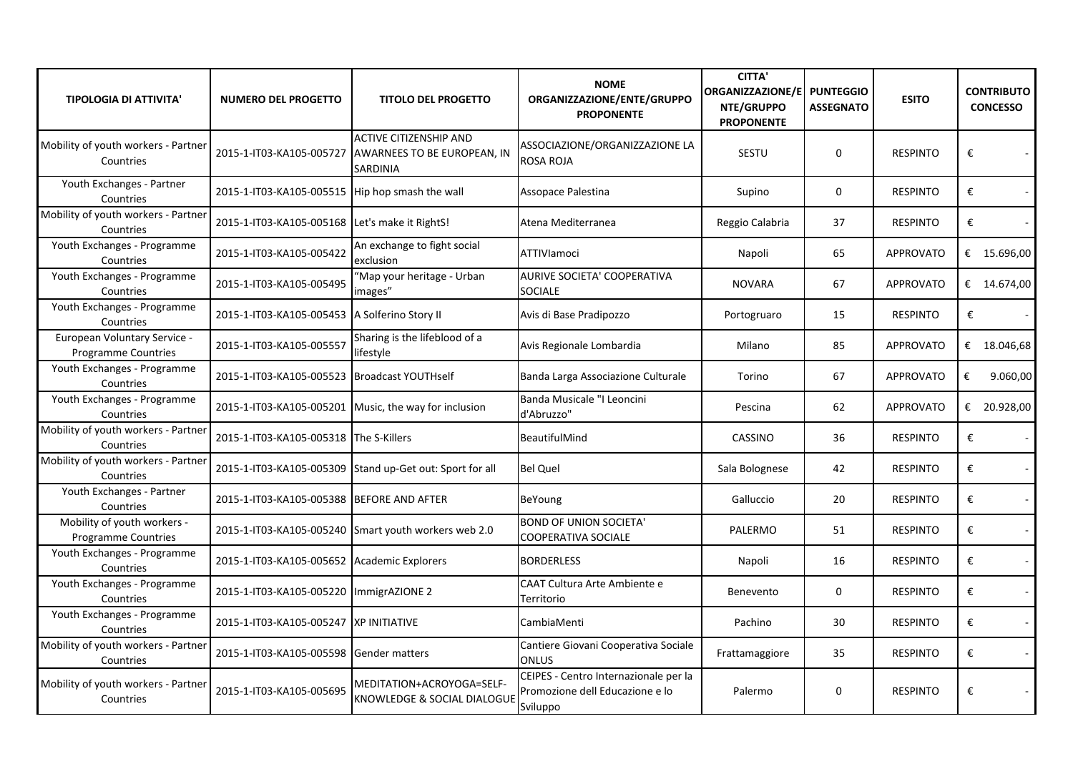| <b>TIPOLOGIA DI ATTIVITA'</b>                             | <b>NUMERO DEL PROGETTO</b>                      | <b>TITOLO DEL PROGETTO</b>                                                                        | <b>NOME</b><br>ORGANIZZAZIONE/ENTE/GRUPPO<br><b>PROPONENTE</b>                       | <b>CITTA'</b><br><b>ORGANIZZAZIONE/E</b><br>NTE/GRUPPO<br><b>PROPONENTE</b> | <b>PUNTEGGIO</b><br><b>ASSEGNATO</b> | <b>ESITO</b>     | <b>CONTRIBUTO</b><br><b>CONCESSO</b> |
|-----------------------------------------------------------|-------------------------------------------------|---------------------------------------------------------------------------------------------------|--------------------------------------------------------------------------------------|-----------------------------------------------------------------------------|--------------------------------------|------------------|--------------------------------------|
| Mobility of youth workers - Partner<br>Countries          |                                                 | <b>ACTIVE CITIZENSHIP AND</b><br>2015-1-IT03-KA105-005727 AWARNEES TO BE EUROPEAN, IN<br>SARDINIA | ASSOCIAZIONE/ORGANIZZAZIONE LA<br>ROSA ROJA                                          | SESTU                                                                       | $\mathbf 0$                          | <b>RESPINTO</b>  | €                                    |
| Youth Exchanges - Partner<br>Countries                    | 2015-1-IT03-KA105-005515 Hip hop smash the wall |                                                                                                   | Assopace Palestina                                                                   | Supino                                                                      | 0                                    | <b>RESPINTO</b>  | €                                    |
| Mobility of youth workers - Partner<br>Countries          | 2015-1-IT03-KA105-005168 Let's make it RightS!  |                                                                                                   | Atena Mediterranea                                                                   | Reggio Calabria                                                             | 37                                   | <b>RESPINTO</b>  | €                                    |
| Youth Exchanges - Programme<br>Countries                  | 2015-1-IT03-KA105-005422                        | An exchange to fight social<br>exclusion                                                          | ATTIVIamoci                                                                          | Napoli                                                                      | 65                                   | <b>APPROVATO</b> | € 15.696,00                          |
| Youth Exchanges - Programme<br>Countries                  | 2015-1-IT03-KA105-005495                        | 'Map your heritage - Urban<br>images"                                                             | <b>AURIVE SOCIETA' COOPERATIVA</b><br><b>SOCIALE</b>                                 | <b>NOVARA</b>                                                               | 67                                   | <b>APPROVATO</b> | € 14.674,00                          |
| Youth Exchanges - Programme<br>Countries                  | 2015-1-IT03-KA105-005453 A Solferino Story II   |                                                                                                   | Avis di Base Pradipozzo                                                              | Portogruaro                                                                 | 15                                   | <b>RESPINTO</b>  | €                                    |
| European Voluntary Service -<br>Programme Countries       | 2015-1-IT03-KA105-005557                        | Sharing is the lifeblood of a<br>lifestyle                                                        | Avis Regionale Lombardia                                                             | Milano                                                                      | 85                                   | <b>APPROVATO</b> | € $18.046,68$                        |
| Youth Exchanges - Programme<br>Countries                  | 2015-1-IT03-KA105-005523   Broadcast YOUTHself  |                                                                                                   | Banda Larga Associazione Culturale                                                   | Torino                                                                      | 67                                   | <b>APPROVATO</b> | €<br>9.060,00                        |
| Youth Exchanges - Programme<br>Countries                  |                                                 | 2015-1-IT03-KA105-005201 Music, the way for inclusion                                             | Banda Musicale "I Leoncini<br>d'Abruzzo"                                             | Pescina                                                                     | 62                                   | <b>APPROVATO</b> | € 20.928,00                          |
| Mobility of youth workers - Partner<br>Countries          | 2015-1-IT03-KA105-005318 The S-Killers          |                                                                                                   | BeautifulMind                                                                        | CASSINO                                                                     | 36                                   | <b>RESPINTO</b>  | €                                    |
| Mobility of youth workers - Partner<br>Countries          |                                                 | 2015-1-IT03-KA105-005309 Stand up-Get out: Sport for all                                          | <b>Bel Quel</b>                                                                      | Sala Bolognese                                                              | 42                                   | <b>RESPINTO</b>  | €                                    |
| Youth Exchanges - Partner<br>Countries                    | 2015-1-IT03-KA105-005388 BEFORE AND AFTER       |                                                                                                   | BeYoung                                                                              | Galluccio                                                                   | 20                                   | <b>RESPINTO</b>  | €                                    |
| Mobility of youth workers -<br><b>Programme Countries</b> |                                                 | 2015-1-IT03-KA105-005240 Smart youth workers web 2.0                                              | <b>BOND OF UNION SOCIETA'</b><br>COOPERATIVA SOCIALE                                 | PALERMO                                                                     | 51                                   | <b>RESPINTO</b>  | €<br>$\sim$                          |
| Youth Exchanges - Programme<br>Countries                  | 2015-1-IT03-KA105-005652 Academic Explorers     |                                                                                                   | <b>BORDERLESS</b>                                                                    | Napoli                                                                      | 16                                   | <b>RESPINTO</b>  | €                                    |
| Youth Exchanges - Programme<br>Countries                  | 2015-1-IT03-KA105-005220   ImmigrAZIONE 2       |                                                                                                   | <b>CAAT Cultura Arte Ambiente e</b><br>Territorio                                    | Benevento                                                                   | 0                                    | <b>RESPINTO</b>  | $\pmb{\epsilon}$                     |
| Youth Exchanges - Programme<br>Countries                  | 2015-1-IT03-KA105-005247 XP INITIATIVE          |                                                                                                   | CambiaMenti                                                                          | Pachino                                                                     | 30                                   | <b>RESPINTO</b>  | €                                    |
| Mobility of youth workers - Partner<br>Countries          | 2015-1-IT03-KA105-005598 Gender matters         |                                                                                                   | Cantiere Giovani Cooperativa Sociale<br><b>ONLUS</b>                                 | Frattamaggiore                                                              | 35                                   | <b>RESPINTO</b>  | €                                    |
| Mobility of youth workers - Partner<br>Countries          | 2015-1-IT03-KA105-005695                        | MEDITATION+ACROYOGA=SELF-<br>KNOWLEDGE & SOCIAL DIALOGUE                                          | CEIPES - Centro Internazionale per la<br>Promozione dell Educazione e lo<br>Sviluppo | Palermo                                                                     | 0                                    | <b>RESPINTO</b>  | €                                    |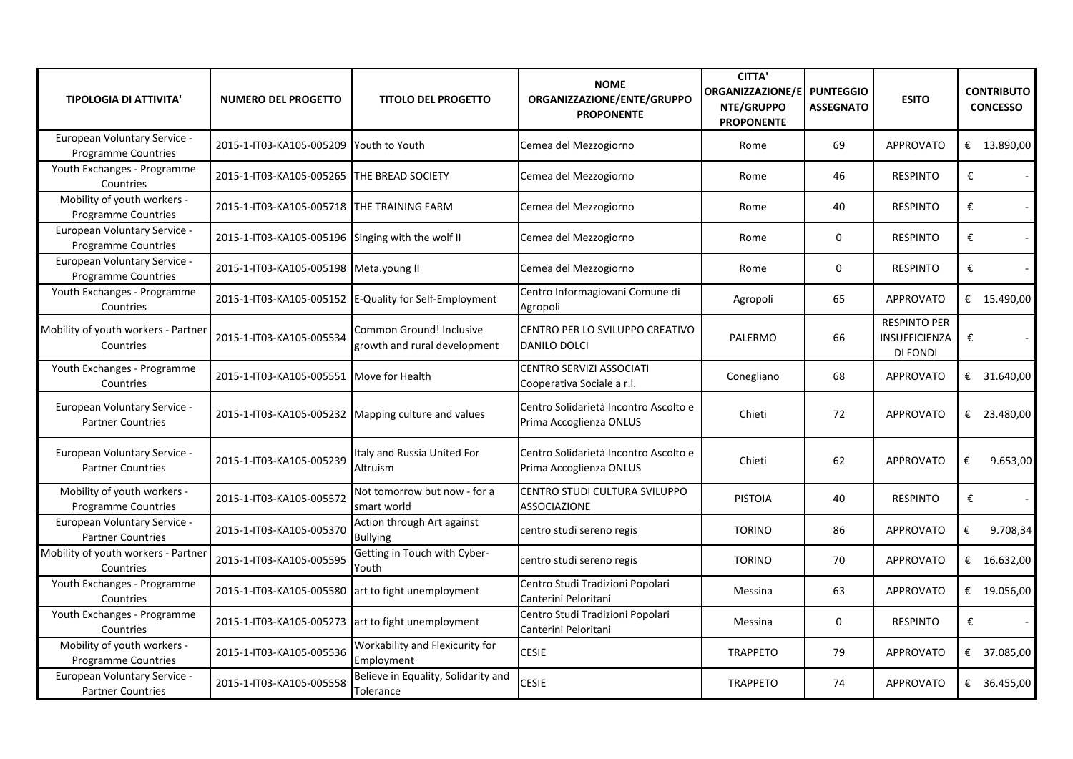| <b>TIPOLOGIA DI ATTIVITA'</b>                              | <b>NUMERO DEL PROGETTO</b>                          | <b>TITOLO DEL PROGETTO</b>                               | <b>NOME</b><br>ORGANIZZAZIONE/ENTE/GRUPPO<br><b>PROPONENTE</b>   | <b>CITTA'</b><br><b>ORGANIZZAZIONE/E</b><br>NTE/GRUPPO<br><b>PROPONENTE</b> | <b>PUNTEGGIO</b><br><b>ASSEGNATO</b> | <b>ESITO</b>                                            | <b>CONTRIBUTO</b><br><b>CONCESSO</b> |
|------------------------------------------------------------|-----------------------------------------------------|----------------------------------------------------------|------------------------------------------------------------------|-----------------------------------------------------------------------------|--------------------------------------|---------------------------------------------------------|--------------------------------------|
| European Voluntary Service -<br>Programme Countries        | 2015-1-IT03-KA105-005209                            | Youth to Youth                                           | Cemea del Mezzogiorno                                            | Rome                                                                        | 69                                   | <b>APPROVATO</b>                                        | € $13.890,00$                        |
| Youth Exchanges - Programme<br>Countries                   | 2015-1-IT03-KA105-005265 THE BREAD SOCIETY          |                                                          | Cemea del Mezzogiorno                                            | Rome                                                                        | 46                                   | <b>RESPINTO</b>                                         | €                                    |
| Mobility of youth workers -<br><b>Programme Countries</b>  | 2015-1-IT03-KA105-005718 THE TRAINING FARM          |                                                          | Cemea del Mezzogiorno                                            | Rome                                                                        | 40                                   | <b>RESPINTO</b>                                         | €                                    |
| European Voluntary Service -<br><b>Programme Countries</b> | 2015-1-IT03-KA105-005196 Singing with the wolf II   |                                                          | Cemea del Mezzogiorno                                            | Rome                                                                        | $\mathbf 0$                          | <b>RESPINTO</b>                                         | €<br>$\blacksquare$                  |
| European Voluntary Service -<br><b>Programme Countries</b> | 2015-1-IT03-KA105-005198   Meta.young II            |                                                          | Cemea del Mezzogiorno                                            | Rome                                                                        | $\mathbf 0$                          | <b>RESPINTO</b>                                         | €                                    |
| Youth Exchanges - Programme<br>Countries                   |                                                     | 2015-1-IT03-KA105-005152 E-Quality for Self-Employment   | Centro Informagiovani Comune di<br>Agropoli                      | Agropoli                                                                    | 65                                   | <b>APPROVATO</b>                                        | € 15.490,00                          |
| Mobility of youth workers - Partner<br>Countries           | 2015-1-IT03-KA105-005534                            | Common Ground! Inclusive<br>growth and rural development | CENTRO PER LO SVILUPPO CREATIVO<br><b>DANILO DOLCI</b>           | PALERMO                                                                     | 66                                   | <b>RESPINTO PER</b><br><b>INSUFFICIENZA</b><br>DI FONDI | €                                    |
| Youth Exchanges - Programme<br>Countries                   | 2015-1-IT03-KA105-005551                            | Move for Health                                          | CENTRO SERVIZI ASSOCIATI<br>Cooperativa Sociale a r.l.           | Conegliano                                                                  | 68                                   | <b>APPROVATO</b>                                        | € 31.640,00                          |
| European Voluntary Service -<br><b>Partner Countries</b>   | 2015-1-IT03-KA105-005232 Mapping culture and values |                                                          | Centro Solidarietà Incontro Ascolto e<br>Prima Accoglienza ONLUS | Chieti                                                                      | 72                                   | <b>APPROVATO</b>                                        | € 23.480,00                          |
| European Voluntary Service -<br><b>Partner Countries</b>   | 2015-1-IT03-KA105-005239                            | Italy and Russia United For<br>Altruism                  | Centro Solidarietà Incontro Ascolto e<br>Prima Accoglienza ONLUS | Chieti                                                                      | 62                                   | <b>APPROVATO</b>                                        | €<br>9.653,00                        |
| Mobility of youth workers -<br>Programme Countries         | 2015-1-IT03-KA105-005572                            | Not tomorrow but now - for a<br>smart world              | CENTRO STUDI CULTURA SVILUPPO<br><b>ASSOCIAZIONE</b>             | <b>PISTOIA</b>                                                              | 40                                   | <b>RESPINTO</b>                                         | €                                    |
| European Voluntary Service -<br><b>Partner Countries</b>   | 2015-1-IT03-KA105-005370                            | Action through Art against<br><b>Bullying</b>            | centro studi sereno regis                                        | <b>TORINO</b>                                                               | 86                                   | <b>APPROVATO</b>                                        | €<br>9.708,34                        |
| Mobility of youth workers - Partner<br>Countries           | 2015-1-IT03-KA105-005595                            | Getting in Touch with Cyber-<br>Youth                    | centro studi sereno regis                                        | <b>TORINO</b>                                                               | 70                                   | <b>APPROVATO</b>                                        | € 16.632,00                          |
| Youth Exchanges - Programme<br>Countries                   | 2015-1-IT03-KA105-005580                            | art to fight unemployment                                | Centro Studi Tradizioni Popolari<br>Canterini Peloritani         | Messina                                                                     | 63                                   | <b>APPROVATO</b>                                        | € 19.056,00                          |
| Youth Exchanges - Programme<br>Countries                   | 2015-1-IT03-KA105-005273 art to fight unemployment  |                                                          | Centro Studi Tradizioni Popolari<br>Canterini Peloritani         | Messina                                                                     | $\mathbf 0$                          | <b>RESPINTO</b>                                         | €                                    |
| Mobility of youth workers -<br><b>Programme Countries</b>  | 2015-1-IT03-KA105-005536                            | Workability and Flexicurity for<br>Employment            | <b>CESIE</b>                                                     | <b>TRAPPETO</b>                                                             | 79                                   | <b>APPROVATO</b>                                        | € 37.085,00                          |
| European Voluntary Service -<br><b>Partner Countries</b>   | 2015-1-IT03-KA105-005558                            | Believe in Equality, Solidarity and<br>Tolerance         | <b>CESIE</b>                                                     | <b>TRAPPETO</b>                                                             | 74                                   | <b>APPROVATO</b>                                        | € 36.455,00                          |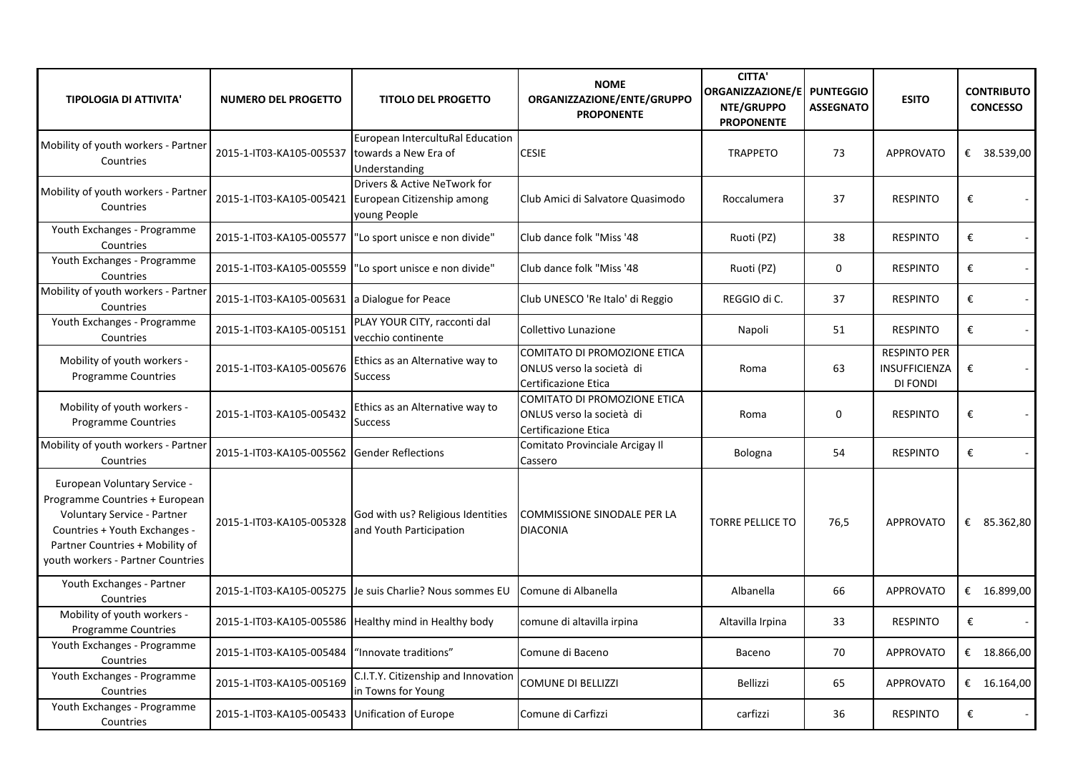| <b>TIPOLOGIA DI ATTIVITA'</b>                                                                                                                                                                          | <b>NUMERO DEL PROGETTO</b>                       | <b>TITOLO DEL PROGETTO</b>                                                                          | <b>NOME</b><br>ORGANIZZAZIONE/ENTE/GRUPPO<br><b>PROPONENTE</b>                           | <b>CITTA'</b><br><b>ORGANIZZAZIONE/E</b><br>NTE/GRUPPO<br><b>PROPONENTE</b> | <b>PUNTEGGIO</b><br><b>ASSEGNATO</b> | <b>ESITO</b>                                     | <b>CONTRIBUTO</b><br><b>CONCESSO</b> |
|--------------------------------------------------------------------------------------------------------------------------------------------------------------------------------------------------------|--------------------------------------------------|-----------------------------------------------------------------------------------------------------|------------------------------------------------------------------------------------------|-----------------------------------------------------------------------------|--------------------------------------|--------------------------------------------------|--------------------------------------|
| Mobility of youth workers - Partner<br>Countries                                                                                                                                                       | 2015-1-IT03-KA105-005537 towards a New Era of    | European IntercultuRal Education<br>Understanding                                                   | <b>CESIE</b>                                                                             | <b>TRAPPETO</b>                                                             | 73                                   | <b>APPROVATO</b>                                 | € 38.539,00                          |
| Mobility of youth workers - Partner<br>Countries                                                                                                                                                       |                                                  | Drivers & Active NeTwork for<br>2015-1-IT03-KA105-005421 European Citizenship among<br>young People | Club Amici di Salvatore Quasimodo                                                        | Roccalumera                                                                 | 37                                   | <b>RESPINTO</b>                                  | €                                    |
| Youth Exchanges - Programme<br>Countries                                                                                                                                                               |                                                  | 2015-1-IT03-KA105-005577   "Lo sport unisce e non divide"                                           | Club dance folk "Miss '48                                                                | Ruoti (PZ)                                                                  | 38                                   | <b>RESPINTO</b>                                  | €                                    |
| Youth Exchanges - Programme<br>Countries                                                                                                                                                               |                                                  | 2015-1-IT03-KA105-005559   "Lo sport unisce e non divide"                                           | Club dance folk "Miss '48                                                                | Ruoti (PZ)                                                                  | $\mathbf 0$                          | <b>RESPINTO</b>                                  | €                                    |
| Mobility of youth workers - Partner<br>Countries                                                                                                                                                       | 2015-1-IT03-KA105-005631 a Dialogue for Peace    |                                                                                                     | Club UNESCO 'Re Italo' di Reggio                                                         | REGGIO di C.                                                                | 37                                   | <b>RESPINTO</b>                                  | €                                    |
| Youth Exchanges - Programme<br>Countries                                                                                                                                                               | 2015-1-IT03-KA105-005151                         | PLAY YOUR CITY, racconti dal<br>vecchio continente                                                  | Collettivo Lunazione                                                                     | Napoli                                                                      | 51                                   | <b>RESPINTO</b>                                  | €                                    |
| Mobility of youth workers -<br><b>Programme Countries</b>                                                                                                                                              | 2015-1-IT03-KA105-005676                         | Ethics as an Alternative way to<br><b>Success</b>                                                   | COMITATO DI PROMOZIONE ETICA<br>ONLUS verso la società di<br>Certificazione Etica        | Roma                                                                        | 63                                   | <b>RESPINTO PER</b><br>INSUFFICIENZA<br>DI FONDI | €                                    |
| Mobility of youth workers -<br>Programme Countries                                                                                                                                                     | 2015-1-IT03-KA105-005432                         | Ethics as an Alternative way to<br><b>Success</b>                                                   | <b>COMITATO DI PROMOZIONE ETICA</b><br>ONLUS verso la società di<br>Certificazione Etica | Roma                                                                        | 0                                    | <b>RESPINTO</b>                                  | €                                    |
| Mobility of youth workers - Partner<br>Countries                                                                                                                                                       | 2015-1-IT03-KA105-005562 Gender Reflections      |                                                                                                     | Comitato Provinciale Arcigay Il<br>Cassero                                               | Bologna                                                                     | 54                                   | <b>RESPINTO</b>                                  | €                                    |
| European Voluntary Service -<br>Programme Countries + European<br>Voluntary Service - Partner<br>Countries + Youth Exchanges -<br>Partner Countries + Mobility of<br>youth workers - Partner Countries | 2015-1-IT03-KA105-005328                         | God with us? Religious Identities<br>and Youth Participation                                        | <b>COMMISSIONE SINODALE PER LA</b><br><b>DIACONIA</b>                                    | <b>TORRE PELLICE TO</b>                                                     | 76,5                                 | <b>APPROVATO</b>                                 | € 85.362,80                          |
| Youth Exchanges - Partner<br>Countries                                                                                                                                                                 |                                                  | 2015-1-IT03-KA105-005275 Je suis Charlie? Nous sommes EU                                            | Comune di Albanella                                                                      | Albanella                                                                   | 66                                   | <b>APPROVATO</b>                                 | € $16.899,00$                        |
| Mobility of youth workers -<br>Programme Countries                                                                                                                                                     |                                                  | 2015-1-IT03-KA105-005586 Healthy mind in Healthy body                                               | comune di altavilla irpina                                                               | Altavilla Irpina                                                            | 33                                   | <b>RESPINTO</b>                                  | €                                    |
| Youth Exchanges - Programme<br>Countries                                                                                                                                                               | 2015-1-IT03-KA105-005484   "Innovate traditions" |                                                                                                     | Comune di Baceno                                                                         | Baceno                                                                      | 70                                   | <b>APPROVATO</b>                                 | € $18.866,00$                        |
| Youth Exchanges - Programme<br>Countries                                                                                                                                                               | 2015-1-IT03-KA105-005169                         | C.I.T.Y. Citizenship and Innovation<br>in Towns for Young                                           | <b>COMUNE DI BELLIZZI</b>                                                                | Bellizzi                                                                    | 65                                   | <b>APPROVATO</b>                                 | € 16.164,00                          |
| Youth Exchanges - Programme<br>Countries                                                                                                                                                               | 2015-1-IT03-KA105-005433 Unification of Europe   |                                                                                                     | Comune di Carfizzi                                                                       | carfizzi                                                                    | 36                                   | <b>RESPINTO</b>                                  | €                                    |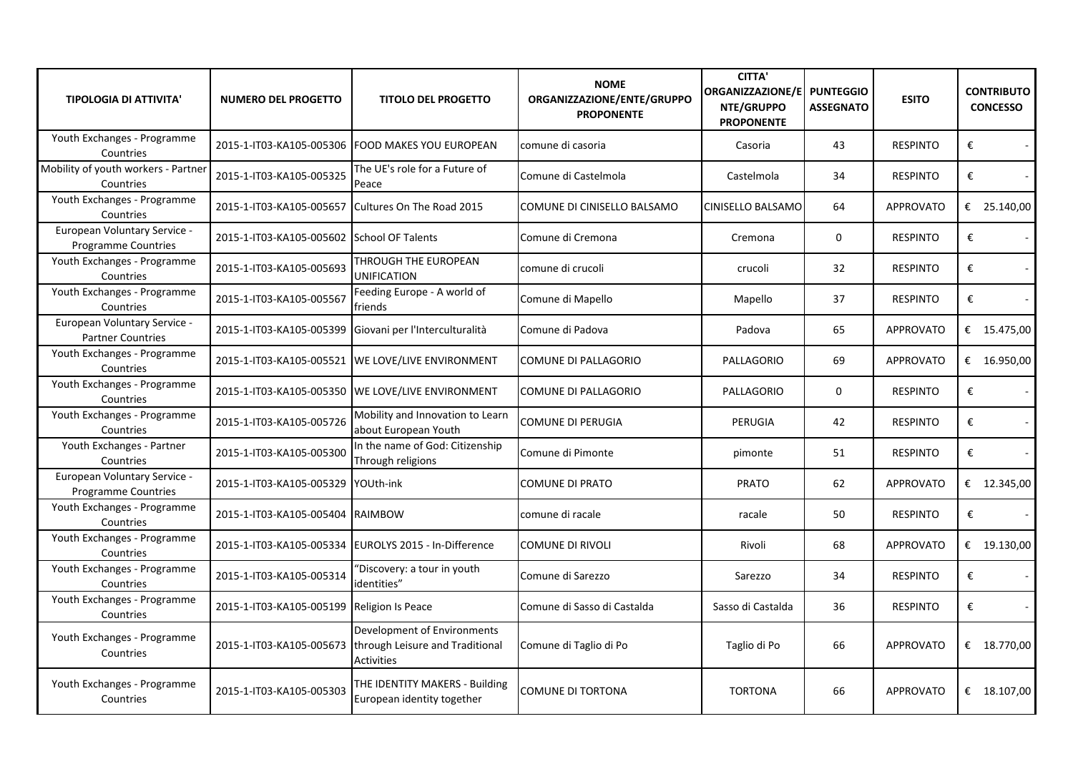| <b>TIPOLOGIA DI ATTIVITA'</b>                              | <b>NUMERO DEL PROGETTO</b>                 | <b>TITOLO DEL PROGETTO</b>                                                          | <b>NOME</b><br>ORGANIZZAZIONE/ENTE/GRUPPO<br><b>PROPONENTE</b> | <b>CITTA'</b><br><b>ORGANIZZAZIONE/E</b><br>NTE/GRUPPO<br><b>PROPONENTE</b> | <b>PUNTEGGIO</b><br><b>ASSEGNATO</b> | <b>ESITO</b>     | <b>CONTRIBUTO</b><br><b>CONCESSO</b> |
|------------------------------------------------------------|--------------------------------------------|-------------------------------------------------------------------------------------|----------------------------------------------------------------|-----------------------------------------------------------------------------|--------------------------------------|------------------|--------------------------------------|
| Youth Exchanges - Programme<br>Countries                   |                                            | 2015-1-IT03-KA105-005306 FOOD MAKES YOU EUROPEAN                                    | comune di casoria                                              | Casoria                                                                     | 43                                   | <b>RESPINTO</b>  | €                                    |
| Mobility of youth workers - Partner<br>Countries           | 2015-1-IT03-KA105-005325                   | The UE's role for a Future of<br>Peace                                              | Comune di Castelmola                                           | Castelmola                                                                  | 34                                   | <b>RESPINTO</b>  | €                                    |
| Youth Exchanges - Programme<br>Countries                   | 2015-1-IT03-KA105-005657                   | Cultures On The Road 2015                                                           | COMUNE DI CINISELLO BALSAMO                                    | <b>CINISELLO BALSAMO</b>                                                    | 64                                   | <b>APPROVATO</b> | € 25.140,00                          |
| European Voluntary Service -<br><b>Programme Countries</b> | 2015-1-IT03-KA105-005602 School OF Talents |                                                                                     | Comune di Cremona                                              | Cremona                                                                     | $\mathbf 0$                          | <b>RESPINTO</b>  | €                                    |
| Youth Exchanges - Programme<br>Countries                   | 2015-1-IT03-KA105-005693                   | THROUGH THE EUROPEAN<br><b>UNIFICATION</b>                                          | comune di crucoli                                              | crucoli                                                                     | 32                                   | <b>RESPINTO</b>  | €                                    |
| Youth Exchanges - Programme<br>Countries                   | 2015-1-IT03-KA105-005567                   | Feeding Europe - A world of<br>friends                                              | Comune di Mapello                                              | Mapello                                                                     | 37                                   | <b>RESPINTO</b>  | €                                    |
| European Voluntary Service -<br><b>Partner Countries</b>   | 2015-1-IT03-KA105-005399                   | Giovani per l'Interculturalità                                                      | Comune di Padova                                               | Padova                                                                      | 65                                   | <b>APPROVATO</b> | € 15.475,00                          |
| Youth Exchanges - Programme<br>Countries                   |                                            | 2015-1-IT03-KA105-005521 WE LOVE/LIVE ENVIRONMENT                                   | <b>COMUNE DI PALLAGORIO</b>                                    | PALLAGORIO                                                                  | 69                                   | <b>APPROVATO</b> | € 16.950,00                          |
| Youth Exchanges - Programme<br>Countries                   |                                            | 2015-1-IT03-KA105-005350 WE LOVE/LIVE ENVIRONMENT                                   | COMUNE DI PALLAGORIO                                           | PALLAGORIO                                                                  | 0                                    | <b>RESPINTO</b>  | €                                    |
| Youth Exchanges - Programme<br>Countries                   | 2015-1-IT03-KA105-005726                   | Mobility and Innovation to Learn<br>about European Youth                            | <b>COMUNE DI PERUGIA</b>                                       | PERUGIA                                                                     | 42                                   | <b>RESPINTO</b>  | €                                    |
| Youth Exchanges - Partner<br>Countries                     | 2015-1-IT03-KA105-005300                   | In the name of God: Citizenship<br>Through religions                                | Comune di Pimonte                                              | pimonte                                                                     | 51                                   | <b>RESPINTO</b>  | $\boldsymbol{\epsilon}$              |
| European Voluntary Service -<br><b>Programme Countries</b> | 2015-1-IT03-KA105-005329                   | YOUth-ink                                                                           | <b>COMUNE DI PRATO</b>                                         | <b>PRATO</b>                                                                | 62                                   | <b>APPROVATO</b> | € $12.345,00$                        |
| Youth Exchanges - Programme<br>Countries                   | 2015-1-IT03-KA105-005404                   | <b>RAIMBOW</b>                                                                      | comune di racale                                               | racale                                                                      | 50                                   | <b>RESPINTO</b>  | $\pmb{\epsilon}$                     |
| Youth Exchanges - Programme<br>Countries                   | 2015-1-IT03-KA105-005334                   | EUROLYS 2015 - In-Difference                                                        | <b>COMUNE DI RIVOLI</b>                                        | Rivoli                                                                      | 68                                   | <b>APPROVATO</b> | € $19.130,00$                        |
| Youth Exchanges - Programme<br>Countries                   | 2015-1-IT03-KA105-005314                   | 'Discovery: a tour in youth<br>identities"                                          | Comune di Sarezzo                                              | Sarezzo                                                                     | 34                                   | <b>RESPINTO</b>  | €                                    |
| Youth Exchanges - Programme<br>Countries                   | 2015-1-IT03-KA105-005199                   | <b>Religion Is Peace</b>                                                            | Comune di Sasso di Castalda                                    | Sasso di Castalda                                                           | 36                                   | <b>RESPINTO</b>  | €                                    |
| Youth Exchanges - Programme<br>Countries                   | 2015-1-IT03-KA105-005673                   | Development of Environments<br>through Leisure and Traditional<br><b>Activities</b> | Comune di Taglio di Po                                         | Taglio di Po                                                                | 66                                   | <b>APPROVATO</b> | € $18.770,00$                        |
| Youth Exchanges - Programme<br>Countries                   | 2015-1-IT03-KA105-005303                   | THE IDENTITY MAKERS - Building<br>European identity together                        | <b>COMUNE DI TORTONA</b>                                       | <b>TORTONA</b>                                                              | 66                                   | <b>APPROVATO</b> | € $18.107,00$                        |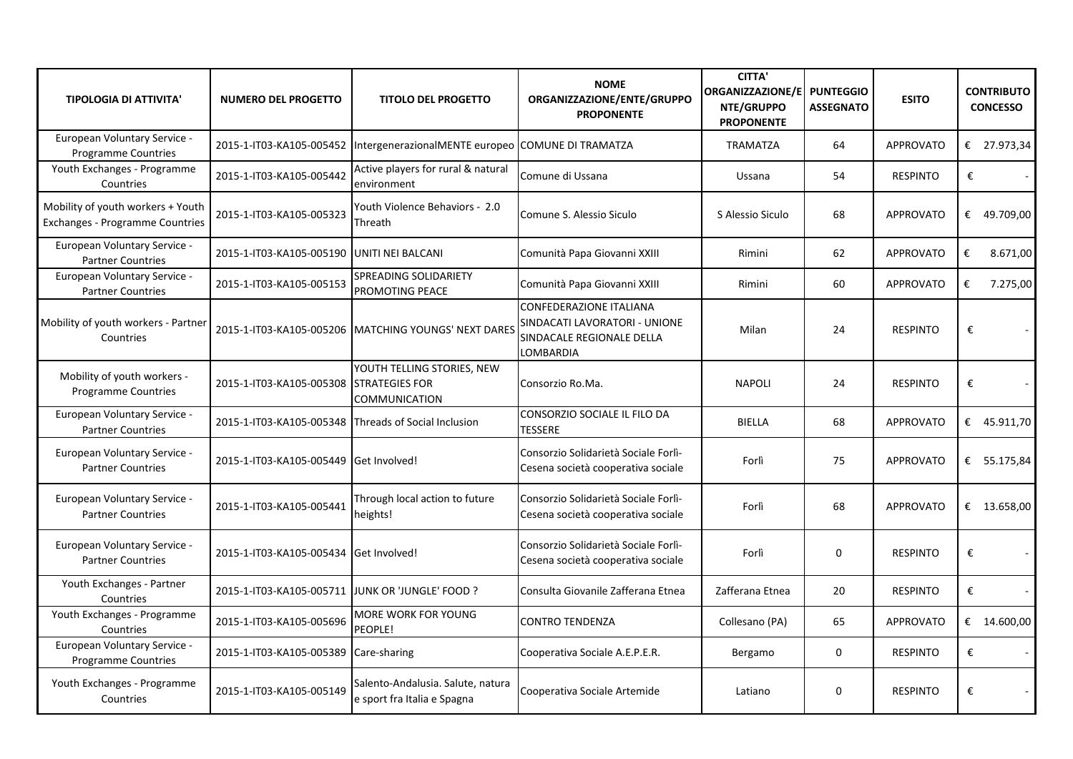| <b>TIPOLOGIA DI ATTIVITA'</b>                                               | <b>NUMERO DEL PROGETTO</b>                           | <b>TITOLO DEL PROGETTO</b>                                                  | <b>NOME</b><br>ORGANIZZAZIONE/ENTE/GRUPPO<br><b>PROPONENTE</b>                                            | <b>CITTA'</b><br>ORGANIZZAZIONE/E PUNTEGGIO<br>NTE/GRUPPO<br><b>PROPONENTE</b> | <b>ASSEGNATO</b> | <b>ESITO</b>     | <b>CONTRIBUTO</b><br><b>CONCESSO</b> |
|-----------------------------------------------------------------------------|------------------------------------------------------|-----------------------------------------------------------------------------|-----------------------------------------------------------------------------------------------------------|--------------------------------------------------------------------------------|------------------|------------------|--------------------------------------|
| European Voluntary Service -<br><b>Programme Countries</b>                  | 2015-1-IT03-KA105-005452                             | IntergenerazionalMENTE europeo COMUNE DI TRAMATZA                           |                                                                                                           | <b>TRAMATZA</b>                                                                | 64               | <b>APPROVATO</b> | € 27.973,34                          |
| Youth Exchanges - Programme<br>Countries                                    | 2015-1-IT03-KA105-005442                             | Active players for rural & natural<br>environment                           | Comune di Ussana                                                                                          | Ussana                                                                         | 54               | <b>RESPINTO</b>  | €                                    |
| Mobility of youth workers + Youth<br><b>Exchanges - Programme Countries</b> | 2015-1-IT03-KA105-005323                             | Youth Violence Behaviors - 2.0<br>Threath                                   | Comune S. Alessio Siculo                                                                                  | S Alessio Siculo                                                               | 68               | <b>APPROVATO</b> | € 49.709,00                          |
| European Voluntary Service -<br><b>Partner Countries</b>                    | 2015-1-IT03-KA105-005190 UNITI NEI BALCANI           |                                                                             | Comunità Papa Giovanni XXIII                                                                              | Rimini                                                                         | 62               | <b>APPROVATO</b> | €<br>8.671,00                        |
| European Voluntary Service -<br><b>Partner Countries</b>                    | 2015-1-IT03-KA105-005153                             | SPREADING SOLIDARIETY<br>PROMOTING PEACE                                    | Comunità Papa Giovanni XXIII                                                                              | Rimini                                                                         | 60               | <b>APPROVATO</b> | 7.275,00<br>€                        |
| Mobility of youth workers - Partner<br>Countries                            | 2015-1-IT03-KA105-005206                             | <b>MATCHING YOUNGS' NEXT DARES</b>                                          | <b>CONFEDERAZIONE ITALIANA</b><br>SINDACATI LAVORATORI - UNIONE<br>SINDACALE REGIONALE DELLA<br>LOMBARDIA | Milan                                                                          | 24               | <b>RESPINTO</b>  | €                                    |
| Mobility of youth workers -<br><b>Programme Countries</b>                   | 2015-1-IT03-KA105-005308                             | YOUTH TELLING STORIES, NEW<br><b>STRATEGIES FOR</b><br><b>COMMUNICATION</b> | Consorzio Ro.Ma.                                                                                          | <b>NAPOLI</b>                                                                  | 24               | <b>RESPINTO</b>  | €                                    |
| European Voluntary Service -<br><b>Partner Countries</b>                    | 2015-1-IT03-KA105-005348 Threads of Social Inclusion |                                                                             | CONSORZIO SOCIALE IL FILO DA<br><b>TESSERE</b>                                                            | <b>BIELLA</b>                                                                  | 68               | <b>APPROVATO</b> | € 45.911,70                          |
| European Voluntary Service -<br><b>Partner Countries</b>                    | 2015-1-IT03-KA105-005449 Get Involved!               |                                                                             | Consorzio Solidarietà Sociale Forlì-<br>Cesena società cooperativa sociale                                | Forlì                                                                          | 75               | <b>APPROVATO</b> | € 55.175,84                          |
| European Voluntary Service -<br><b>Partner Countries</b>                    | 2015-1-IT03-KA105-005441                             | Through local action to future<br>heights!                                  | Consorzio Solidarietà Sociale Forlì-<br>Cesena società cooperativa sociale                                | Forlì                                                                          | 68               | <b>APPROVATO</b> | € $13.658,00$                        |
| European Voluntary Service -<br><b>Partner Countries</b>                    | 2015-1-IT03-KA105-005434 Get Involved!               |                                                                             | Consorzio Solidarietà Sociale Forlì-<br>Cesena società cooperativa sociale                                | Forlì                                                                          | $\Omega$         | <b>RESPINTO</b>  | €<br>$\overline{\phantom{a}}$        |
| Youth Exchanges - Partner<br>Countries                                      | 2015-1-IT03-KA105-005711 JJUNK OR 'JUNGLE' FOOD ?    |                                                                             | Consulta Giovanile Zafferana Etnea                                                                        | Zafferana Etnea                                                                | 20               | <b>RESPINTO</b>  | €                                    |
| Youth Exchanges - Programme<br>Countries                                    | 2015-1-IT03-KA105-005696                             | MORE WORK FOR YOUNG<br>PEOPLE!                                              | <b>CONTRO TENDENZA</b>                                                                                    | Collesano (PA)                                                                 | 65               | <b>APPROVATO</b> | € $14.600,00$                        |
| European Voluntary Service -<br>Programme Countries                         | 2015-1-IT03-KA105-005389                             | Care-sharing                                                                | Cooperativa Sociale A.E.P.E.R.                                                                            | Bergamo                                                                        | $\mathbf 0$      | <b>RESPINTO</b>  | €                                    |
| Youth Exchanges - Programme<br>Countries                                    | 2015-1-IT03-KA105-005149                             | Salento-Andalusia. Salute, natura<br>e sport fra Italia e Spagna            | Cooperativa Sociale Artemide                                                                              | Latiano                                                                        | $\mathbf{0}$     | <b>RESPINTO</b>  | €                                    |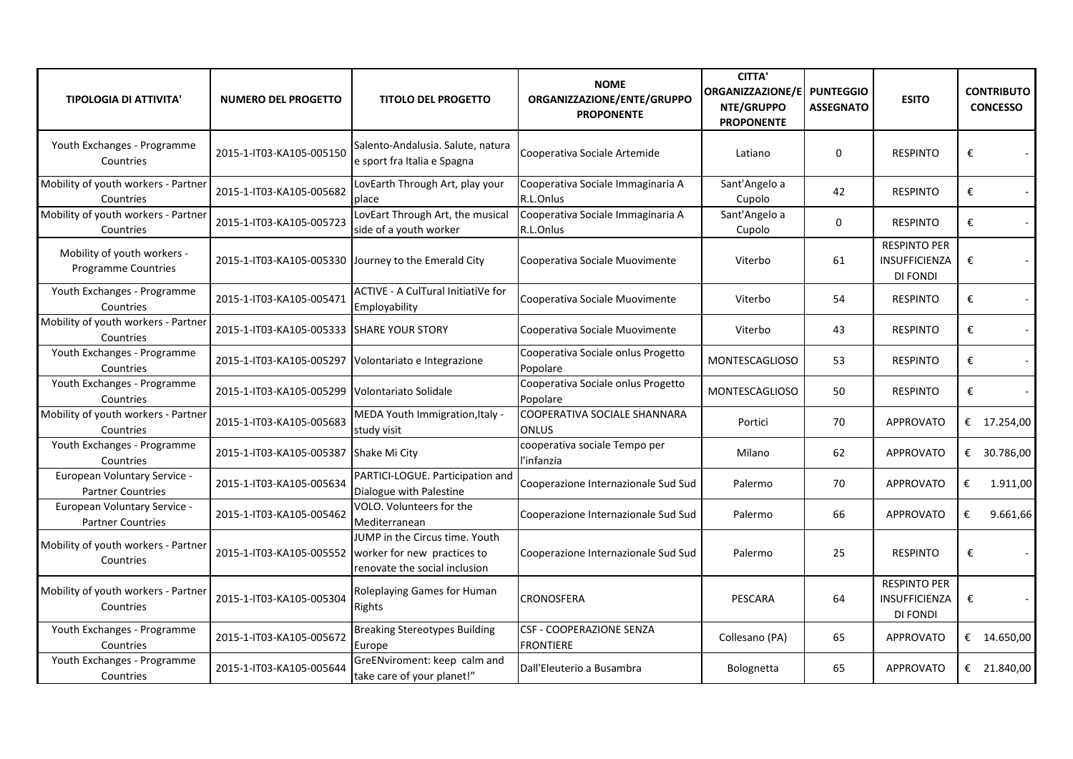| <b>TIPOLOGIA DI ATTIVITA'</b>                             | <b>NUMERO DEL PROGETTO</b>                           | <b>TITOLO DEL PROGETTO</b>                                                                                                | <b>NOME</b><br>ORGANIZZAZIONE/ENTE/GRUPPO<br><b>PROPONENTE</b> | <b>CITTA'</b><br><b>ORGANIZZAZIONE/E</b><br>NTE/GRUPPO<br><b>PROPONENTE</b> | <b>PUNTEGGIO</b><br><b>ASSEGNATO</b> | <b>ESITO</b>                                                   | <b>CONTRIBUTO</b><br><b>CONCESSO</b> |
|-----------------------------------------------------------|------------------------------------------------------|---------------------------------------------------------------------------------------------------------------------------|----------------------------------------------------------------|-----------------------------------------------------------------------------|--------------------------------------|----------------------------------------------------------------|--------------------------------------|
| Youth Exchanges - Programme<br>Countries                  | 2015-1-IT03-KA105-005150                             | Salento-Andalusia. Salute, natura<br>e sport fra Italia e Spagna                                                          | Cooperativa Sociale Artemide                                   | Latiano                                                                     | $\Omega$                             | <b>RESPINTO</b>                                                | €                                    |
| Mobility of youth workers - Partner<br>Countries          | 2015-1-IT03-KA105-005682                             | LovEarth Through Art, play your<br>place                                                                                  | Cooperativa Sociale Immaginaria A<br>R.L.Onlus                 | Sant'Angelo a<br>Cupolo                                                     | 42                                   | <b>RESPINTO</b>                                                | €                                    |
| Mobility of youth workers - Partner<br>Countries          | 2015-1-IT03-KA105-005723                             | LovEart Through Art, the musical<br>side of a youth worker                                                                | Cooperativa Sociale Immaginaria A<br>R.L.Onlus                 | Sant'Angelo a<br>Cupolo                                                     | $\mathbf 0$                          | <b>RESPINTO</b>                                                | €                                    |
| Mobility of youth workers -<br><b>Programme Countries</b> | 2015-1-IT03-KA105-005330 Journey to the Emerald City |                                                                                                                           | Cooperativa Sociale Muovimente                                 | Viterbo                                                                     | 61                                   | <b>RESPINTO PER</b><br><b>INSUFFICIENZA</b><br><b>DI FONDI</b> | €                                    |
| Youth Exchanges - Programme<br>Countries                  | 2015-1-IT03-KA105-005471                             | <b>ACTIVE - A CulTural InitiatiVe for</b><br>Employability                                                                | Cooperativa Sociale Muovimente                                 | Viterbo                                                                     | 54                                   | <b>RESPINTO</b>                                                | €                                    |
| Mobility of youth workers - Partner<br>Countries          | 2015-1-IT03-KA105-005333 SHARE YOUR STORY            |                                                                                                                           | Cooperativa Sociale Muovimente                                 | Viterbo                                                                     | 43                                   | <b>RESPINTO</b>                                                | €                                    |
| Youth Exchanges - Programme<br>Countries                  | 2015-1-IT03-KA105-005297 Volontariato e Integrazione |                                                                                                                           | Cooperativa Sociale onlus Progetto<br>Popolare                 | <b>MONTESCAGLIOSO</b>                                                       | 53                                   | <b>RESPINTO</b>                                                | €                                    |
| Youth Exchanges - Programme<br>Countries                  | 2015-1-IT03-KA105-005299 Volontariato Solidale       |                                                                                                                           | Cooperativa Sociale onlus Progetto<br>Popolare                 | <b>MONTESCAGLIOSO</b>                                                       | 50                                   | <b>RESPINTO</b>                                                | €                                    |
| Mobility of youth workers - Partner<br>Countries          | 2015-1-IT03-KA105-005683                             | MEDA Youth Immigration, Italy -<br>study visit                                                                            | COOPERATIVA SOCIALE SHANNARA<br><b>ONLUS</b>                   | Portici                                                                     | 70                                   | <b>APPROVATO</b>                                               | € 17.254,00                          |
| Youth Exchanges - Programme<br>Countries                  | 2015-1-IT03-KA105-005387 Shake Mi City               |                                                                                                                           | cooperativa sociale Tempo per<br>l'infanzia                    | Milano                                                                      | 62                                   | <b>APPROVATO</b>                                               | € 30.786,00                          |
| European Voluntary Service -<br><b>Partner Countries</b>  | 2015-1-IT03-KA105-005634                             | PARTICI-LOGUE. Participation and<br>Dialogue with Palestine                                                               | Cooperazione Internazionale Sud Sud                            | Palermo                                                                     | 70                                   | <b>APPROVATO</b>                                               | €<br>1.911,00                        |
| European Voluntary Service -<br><b>Partner Countries</b>  | 2015-1-IT03-KA105-005462                             | VOLO. Volunteers for the<br>Mediterranean                                                                                 | Cooperazione Internazionale Sud Sud                            | Palermo                                                                     | 66                                   | <b>APPROVATO</b>                                               | €<br>9.661,66                        |
| Mobility of youth workers - Partner<br>Countries          |                                                      | JUMP in the Circus time. Youth<br>2015-1-IT03-KA105-005552   worker for new practices to<br>renovate the social inclusion | Cooperazione Internazionale Sud Sud                            | Palermo                                                                     | 25                                   | <b>RESPINTO</b>                                                | €                                    |
| Mobility of youth workers - Partner<br>Countries          | 2015-1-IT03-KA105-005304                             | Roleplaying Games for Human<br>Rights                                                                                     | <b>CRONOSFERA</b>                                              | PESCARA                                                                     | 64                                   | <b>RESPINTO PER</b><br><b>INSUFFICIENZA</b><br><b>DI FONDI</b> | €                                    |
| Youth Exchanges - Programme<br>Countries                  | 2015-1-IT03-KA105-005672                             | <b>Breaking Stereotypes Building</b><br>Europe                                                                            | <b>CSF - COOPERAZIONE SENZA</b><br><b>FRONTIERE</b>            | Collesano (PA)                                                              | 65                                   | <b>APPROVATO</b>                                               | € 14.650,00                          |
| Youth Exchanges - Programme<br>Countries                  | 2015-1-IT03-KA105-005644                             | GreENviroment: keep calm and<br>take care of your planet!"                                                                | Dall'Eleuterio a Busambra                                      | Bolognetta                                                                  | 65                                   | <b>APPROVATO</b>                                               | € 21.840,00                          |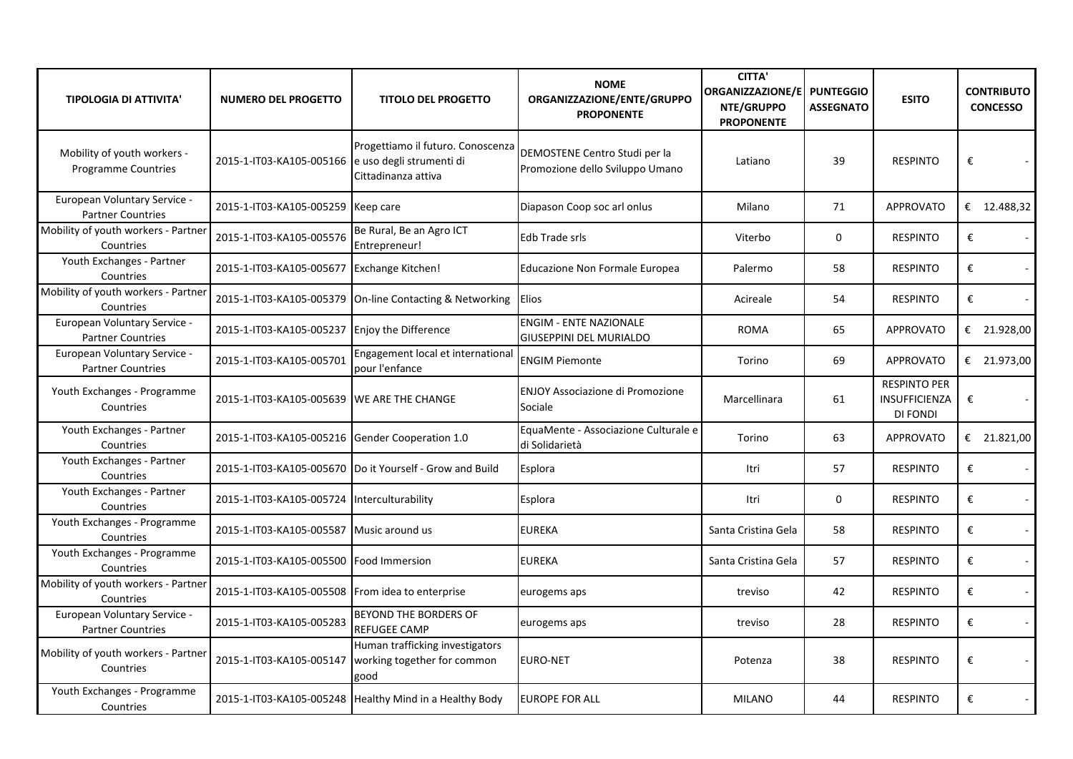| <b>TIPOLOGIA DI ATTIVITA'</b>                             | <b>NUMERO DEL PROGETTO</b>                        | <b>TITOLO DEL PROGETTO</b>                                                                      | <b>NOME</b><br>ORGANIZZAZIONE/ENTE/GRUPPO<br><b>PROPONENTE</b>   | <b>CITTA'</b><br>ORGANIZZAZIONE/E PUNTEGGIO<br>NTE/GRUPPO<br><b>PROPONENTE</b> | <b>ASSEGNATO</b> | <b>ESITO</b>                                     | <b>CONTRIBUTO</b><br><b>CONCESSO</b> |
|-----------------------------------------------------------|---------------------------------------------------|-------------------------------------------------------------------------------------------------|------------------------------------------------------------------|--------------------------------------------------------------------------------|------------------|--------------------------------------------------|--------------------------------------|
| Mobility of youth workers -<br><b>Programme Countries</b> | 2015-1-IT03-KA105-005166 e uso degli strumenti di | Progettiamo il futuro. Conoscenza<br>Cittadinanza attiva                                        | DEMOSTENE Centro Studi per la<br>Promozione dello Sviluppo Umano | Latiano                                                                        | 39               | <b>RESPINTO</b>                                  | €                                    |
| European Voluntary Service -<br><b>Partner Countries</b>  | 2015-1-IT03-KA105-005259 Keep care                |                                                                                                 | Diapason Coop soc arl onlus                                      | Milano                                                                         | 71               | <b>APPROVATO</b>                                 | € 12.488,32                          |
| Mobility of youth workers - Partner<br>Countries          | 2015-1-IT03-KA105-005576                          | Be Rural, Be an Agro ICT<br>Entrepreneur!                                                       | Edb Trade srls                                                   | Viterbo                                                                        | $\mathbf 0$      | <b>RESPINTO</b>                                  | €                                    |
| Youth Exchanges - Partner<br>Countries                    | 2015-1-IT03-KA105-005677 Exchange Kitchen!        |                                                                                                 | Educazione Non Formale Europea                                   | Palermo                                                                        | 58               | <b>RESPINTO</b>                                  | €                                    |
| Mobility of youth workers - Partner<br>Countries          |                                                   | 2015-1-IT03-KA105-005379 On-line Contacting & Networking                                        | <b>Elios</b>                                                     | Acireale                                                                       | 54               | <b>RESPINTO</b>                                  | €                                    |
| European Voluntary Service -<br><b>Partner Countries</b>  | 2015-1-IT03-KA105-005237 Enjoy the Difference     |                                                                                                 | <b>ENGIM - ENTE NAZIONALE</b><br><b>GIUSEPPINI DEL MURIALDO</b>  | <b>ROMA</b>                                                                    | 65               | <b>APPROVATO</b>                                 | € 21.928,00                          |
| European Voluntary Service -<br><b>Partner Countries</b>  | 2015-1-IT03-KA105-005701                          | Engagement local et international<br>pour l'enfance                                             | <b>ENGIM Piemonte</b>                                            | Torino                                                                         | 69               | <b>APPROVATO</b>                                 | € 21.973,00                          |
| Youth Exchanges - Programme<br>Countries                  | 2015-1-IT03-KA105-005639 WE ARE THE CHANGE        |                                                                                                 | <b>ENJOY Associazione di Promozione</b><br>Sociale               | Marcellinara                                                                   | 61               | <b>RESPINTO PER</b><br>INSUFFICIENZA<br>DI FONDI | €                                    |
| Youth Exchanges - Partner<br>Countries                    | 2015-1-IT03-KA105-005216 Gender Cooperation 1.0   |                                                                                                 | EquaMente - Associazione Culturale e<br>di Solidarietà           | Torino                                                                         | 63               | <b>APPROVATO</b>                                 | € 21.821,00                          |
| Youth Exchanges - Partner<br>Countries                    |                                                   | 2015-1-IT03-KA105-005670  Do it Yourself - Grow and Build                                       | Esplora                                                          | Itri                                                                           | 57               | <b>RESPINTO</b>                                  | €                                    |
| Youth Exchanges - Partner<br>Countries                    | 2015-1-IT03-KA105-005724 Interculturability       |                                                                                                 | Esplora                                                          | Itri                                                                           | 0                | <b>RESPINTO</b>                                  | €                                    |
| Youth Exchanges - Programme<br>Countries                  | 2015-1-IT03-KA105-005587 Music around us          |                                                                                                 | <b>EUREKA</b>                                                    | Santa Cristina Gela                                                            | 58               | <b>RESPINTO</b>                                  | €                                    |
| Youth Exchanges - Programme<br>Countries                  | 2015-1-IT03-KA105-005500 Food Immersion           |                                                                                                 | <b>EUREKA</b>                                                    | Santa Cristina Gela                                                            | 57               | <b>RESPINTO</b>                                  | €                                    |
| Mobility of youth workers - Partner<br>Countries          | 2015-1-IT03-KA105-005508 From idea to enterprise  |                                                                                                 | eurogems aps                                                     | treviso                                                                        | 42               | <b>RESPINTO</b>                                  | €                                    |
| European Voluntary Service -<br><b>Partner Countries</b>  | 2015-1-IT03-KA105-005283                          | <b>BEYOND THE BORDERS OF</b><br><b>REFUGEE CAMP</b>                                             | eurogems aps                                                     | treviso                                                                        | 28               | <b>RESPINTO</b>                                  | €                                    |
| Mobility of youth workers - Partner<br>Countries          |                                                   | Human trafficking investigators<br>2015-1-IT03-KA105-005147 working together for common<br>good | <b>EURO-NET</b>                                                  | Potenza                                                                        | 38               | <b>RESPINTO</b>                                  | $\pmb{\epsilon}$                     |
| Youth Exchanges - Programme<br>Countries                  |                                                   | 2015-1-IT03-KA105-005248   Healthy Mind in a Healthy Body                                       | <b>EUROPE FOR ALL</b>                                            | <b>MILANO</b>                                                                  | 44               | <b>RESPINTO</b>                                  | €                                    |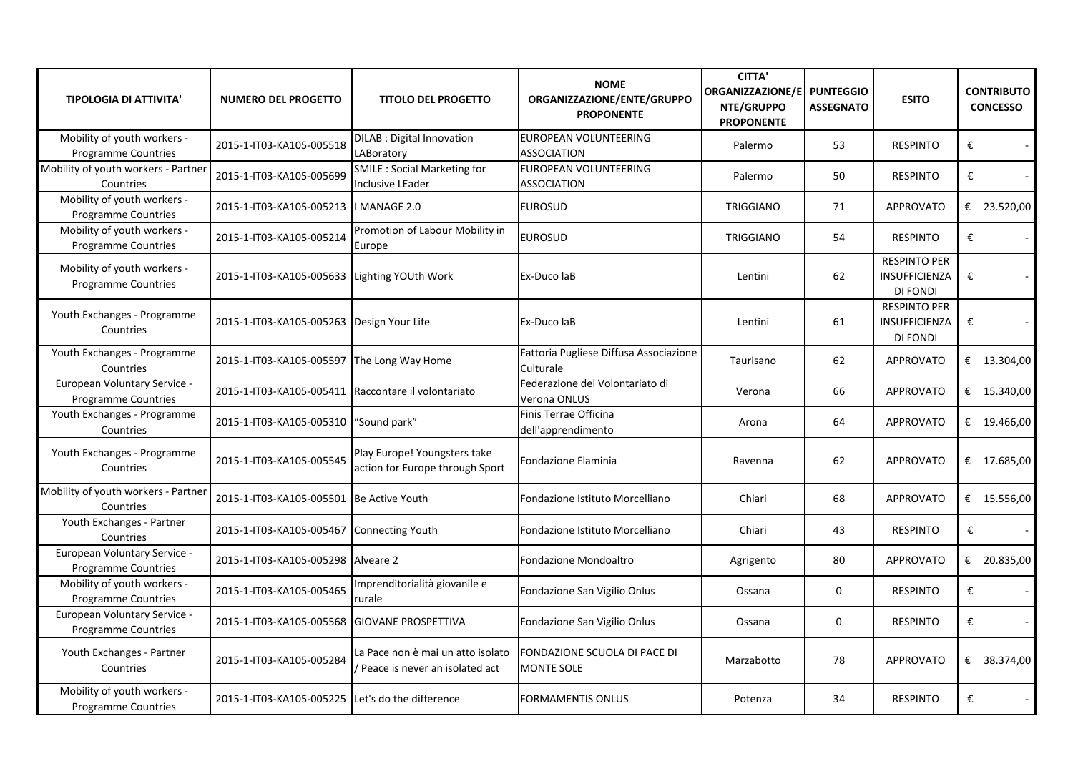| <b>TIPOLOGIA DI ATTIVITA'</b>                              | <b>NUMERO DEL PROGETTO</b>                          | <b>TITOLO DEL PROGETTO</b>                                          | <b>NOME</b><br>ORGANIZZAZIONE/ENTE/GRUPPO<br><b>PROPONENTE</b> | <b>CITTA'</b><br><b>ORGANIZZAZIONE/E</b><br>NTE/GRUPPO<br><b>PROPONENTE</b> | <b>PUNTEGGIO</b><br><b>ASSEGNATO</b> | <b>ESITO</b>                                            | <b>CONTRIBUTO</b><br><b>CONCESSO</b> |
|------------------------------------------------------------|-----------------------------------------------------|---------------------------------------------------------------------|----------------------------------------------------------------|-----------------------------------------------------------------------------|--------------------------------------|---------------------------------------------------------|--------------------------------------|
| Mobility of youth workers -<br><b>Programme Countries</b>  | 2015-1-IT03-KA105-005518                            | <b>DILAB</b> : Digital Innovation<br>LABoratory                     | EUROPEAN VOLUNTEERING<br><b>ASSOCIATION</b>                    | Palermo                                                                     | 53                                   | <b>RESPINTO</b>                                         | €                                    |
| Mobility of youth workers - Partner<br>Countries           | 2015-1-IT03-KA105-005699                            | <b>SMILE: Social Marketing for</b><br><b>Inclusive LEader</b>       | <b>EUROPEAN VOLUNTEERING</b><br><b>ASSOCIATION</b>             | Palermo                                                                     | 50                                   | <b>RESPINTO</b>                                         | €                                    |
| Mobility of youth workers -<br>Programme Countries         | 2015-1-IT03-KA105-005213   MANAGE 2.0               |                                                                     | <b>EUROSUD</b>                                                 | <b>TRIGGIANO</b>                                                            | 71                                   | <b>APPROVATO</b>                                        | € 23.520,00                          |
| Mobility of youth workers -<br>Programme Countries         | 2015-1-IT03-KA105-005214                            | Promotion of Labour Mobility in<br>Europe                           | <b>EUROSUD</b>                                                 | <b>TRIGGIANO</b>                                                            | 54                                   | <b>RESPINTO</b>                                         | €                                    |
| Mobility of youth workers -<br>Programme Countries         | 2015-1-IT03-KA105-005633 Lighting YOUth Work        |                                                                     | Ex-Duco laB                                                    | Lentini                                                                     | 62                                   | <b>RESPINTO PER</b><br>INSUFFICIENZA<br>DI FONDI        | €                                    |
| Youth Exchanges - Programme<br>Countries                   | 2015-1-IT03-KA105-005263 Design Your Life           |                                                                     | Ex-Duco laB                                                    | Lentini                                                                     | 61                                   | <b>RESPINTO PER</b><br><b>INSUFFICIENZA</b><br>DI FONDI | €                                    |
| Youth Exchanges - Programme<br>Countries                   | 2015-1-IT03-KA105-005597 The Long Way Home          |                                                                     | Fattoria Pugliese Diffusa Associazione<br>Culturale            | Taurisano                                                                   | 62                                   | <b>APPROVATO</b>                                        | € 13.304,00                          |
| European Voluntary Service -<br><b>Programme Countries</b> | 2015-1-IT03-KA105-005411 Raccontare il volontariato |                                                                     | Federazione del Volontariato di<br>Verona ONLUS                | Verona                                                                      | 66                                   | <b>APPROVATO</b>                                        | € 15.340,00                          |
| Youth Exchanges - Programme<br>Countries                   | 2015-1-IT03-KA105-005310 "Sound park"               |                                                                     | Finis Terrae Officina<br>dell'apprendimento                    | Arona                                                                       | 64                                   | <b>APPROVATO</b>                                        | € $19.466,00$                        |
| Youth Exchanges - Programme<br>Countries                   | 2015-1-IT03-KA105-005545                            | Play Europe! Youngsters take<br>action for Europe through Sport     | Fondazione Flaminia                                            | Ravenna                                                                     | 62                                   | <b>APPROVATO</b>                                        | € $17.685,00$                        |
| Mobility of youth workers - Partner<br>Countries           | 2015-1-IT03-KA105-005501 Be Active Youth            |                                                                     | Fondazione Istituto Morcelliano                                | Chiari                                                                      | 68                                   | <b>APPROVATO</b>                                        | € 15.556,00                          |
| Youth Exchanges - Partner<br>Countries                     | 2015-1-IT03-KA105-005467 Connecting Youth           |                                                                     | Fondazione Istituto Morcelliano                                | Chiari                                                                      | 43                                   | <b>RESPINTO</b>                                         | €                                    |
| European Voluntary Service -<br><b>Programme Countries</b> | 2015-1-IT03-KA105-005298 Alveare 2                  |                                                                     | Fondazione Mondoaltro                                          | Agrigento                                                                   | 80                                   | <b>APPROVATO</b>                                        | € 20.835,00                          |
| Mobility of youth workers -<br>Programme Countries         | 2015-1-IT03-KA105-005465                            | Imprenditorialità giovanile e<br>rurale                             | Fondazione San Vigilio Onlus                                   | Ossana                                                                      | 0                                    | <b>RESPINTO</b>                                         | €                                    |
| European Voluntary Service -<br>Programme Countries        | 2015-1-IT03-KA105-005568 GIOVANE PROSPETTIVA        |                                                                     | Fondazione San Vigilio Onlus                                   | Ossana                                                                      | $\mathbf 0$                          | <b>RESPINTO</b>                                         | €                                    |
| Youth Exchanges - Partner<br>Countries                     | 2015-1-IT03-KA105-005284                            | La Pace non è mai un atto isolato<br>Peace is never an isolated act | FONDAZIONE SCUOLA DI PACE DI<br><b>MONTE SOLE</b>              | Marzabotto                                                                  | 78                                   | <b>APPROVATO</b>                                        | € 38.374,00                          |
| Mobility of youth workers -<br>Programme Countries         | 2015-1-IT03-KA105-005225 Let's do the difference    |                                                                     | <b>FORMAMENTIS ONLUS</b>                                       | Potenza                                                                     | 34                                   | <b>RESPINTO</b>                                         | €                                    |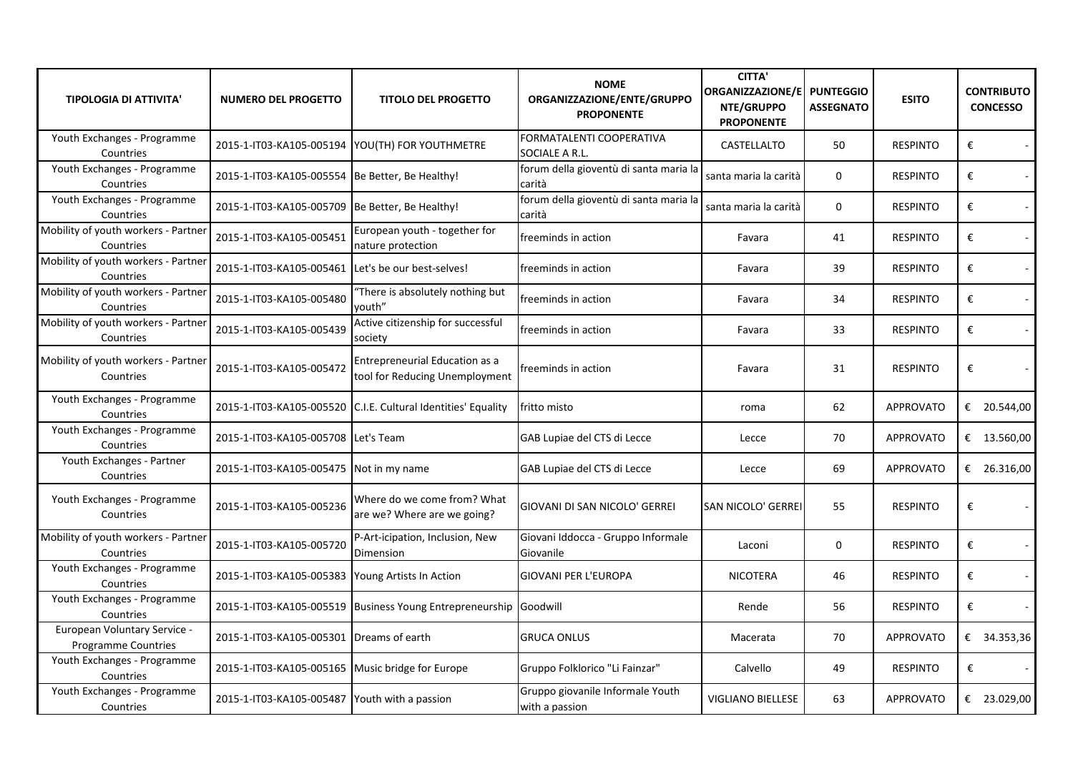| <b>TIPOLOGIA DI ATTIVITA'</b>                       | <b>NUMERO DEL PROGETTO</b>                         | <b>TITOLO DEL PROGETTO</b>                                        | <b>NOME</b><br>ORGANIZZAZIONE/ENTE/GRUPPO<br><b>PROPONENTE</b> | <b>CITTA'</b><br>ORGANIZZAZIONE/E<br>NTE/GRUPPO<br><b>PROPONENTE</b> | <b>PUNTEGGIO</b><br><b>ASSEGNATO</b> | <b>ESITO</b>     | <b>CONTRIBUTO</b><br><b>CONCESSO</b> |
|-----------------------------------------------------|----------------------------------------------------|-------------------------------------------------------------------|----------------------------------------------------------------|----------------------------------------------------------------------|--------------------------------------|------------------|--------------------------------------|
| Youth Exchanges - Programme<br>Countries            |                                                    | 2015-1-IT03-KA105-005194 YOU(TH) FOR YOUTHMETRE                   | FORMATALENTI COOPERATIVA<br>SOCIALE A R.L.                     | CASTELLALTO                                                          | 50                                   | <b>RESPINTO</b>  | €                                    |
| Youth Exchanges - Programme<br>Countries            | 2015-1-IT03-KA105-005554 Be Better, Be Healthy!    |                                                                   | forum della gioventù di santa maria la<br>carità               | santa maria la carità                                                | $\mathbf 0$                          | <b>RESPINTO</b>  | €                                    |
| Youth Exchanges - Programme<br>Countries            | 2015-1-IT03-KA105-005709 Be Better, Be Healthy!    |                                                                   | forum della gioventù di santa maria la<br>carità               | santa maria la carità                                                | $\mathbf 0$                          | <b>RESPINTO</b>  | €                                    |
| Mobility of youth workers - Partner<br>Countries    | 2015-1-IT03-KA105-005451                           | European youth - together for<br>nature protection                | freeminds in action                                            | Favara                                                               | 41                                   | <b>RESPINTO</b>  | €<br>$\sim$                          |
| Mobility of youth workers - Partner<br>Countries    | 2015-1-IT03-KA105-005461 Let's be our best-selves! |                                                                   | freeminds in action                                            | Favara                                                               | 39                                   | <b>RESPINTO</b>  | €                                    |
| Mobility of youth workers - Partner<br>Countries    | 2015-1-IT03-KA105-005480                           | 'There is absolutely nothing but<br>youth"                        | freeminds in action                                            | Favara                                                               | 34                                   | <b>RESPINTO</b>  | €                                    |
| Mobility of youth workers - Partner<br>Countries    | 2015-1-IT03-KA105-005439                           | Active citizenship for successful<br>society                      | freeminds in action                                            | Favara                                                               | 33                                   | <b>RESPINTO</b>  | €<br>$\sim$                          |
| Mobility of youth workers - Partner<br>Countries    | 2015-1-IT03-KA105-005472                           | Entrepreneurial Education as a<br>tool for Reducing Unemployment  | freeminds in action                                            | Favara                                                               | 31                                   | <b>RESPINTO</b>  | €                                    |
| Youth Exchanges - Programme<br>Countries            |                                                    | 2015-1-IT03-KA105-005520 C.I.E. Cultural Identities' Equality     | fritto misto                                                   | roma                                                                 | 62                                   | <b>APPROVATO</b> | € 20.544,00                          |
| Youth Exchanges - Programme<br>Countries            | 2015-1-IT03-KA105-005708 Let's Team                |                                                                   | GAB Lupiae del CTS di Lecce                                    | Lecce                                                                | 70                                   | <b>APPROVATO</b> | € 13.560,00                          |
| Youth Exchanges - Partner<br>Countries              | 2015-1-IT03-KA105-005475 Not in my name            |                                                                   | GAB Lupiae del CTS di Lecce                                    | Lecce                                                                | 69                                   | <b>APPROVATO</b> | € 26.316,00                          |
| Youth Exchanges - Programme<br>Countries            | 2015-1-IT03-KA105-005236                           | Where do we come from? What<br>are we? Where are we going?        | GIOVANI DI SAN NICOLO' GERREI                                  | <b>SAN NICOLO' GERREI</b>                                            | 55                                   | <b>RESPINTO</b>  | €                                    |
| Mobility of youth workers - Partner<br>Countries    | 2015-1-IT03-KA105-005720                           | P-Art-icipation, Inclusion, New<br>Dimension                      | Giovani Iddocca - Gruppo Informale<br>Giovanile                | Laconi                                                               | 0                                    | <b>RESPINTO</b>  | €                                    |
| Youth Exchanges - Programme<br>Countries            | 2015-1-IT03-KA105-005383 Young Artists In Action   |                                                                   | <b>GIOVANI PER L'EUROPA</b>                                    | <b>NICOTERA</b>                                                      | 46                                   | <b>RESPINTO</b>  | €                                    |
| Youth Exchanges - Programme<br>Countries            |                                                    | 2015-1-IT03-KA105-005519 Business Young Entrepreneurship Goodwill |                                                                | Rende                                                                | 56                                   | <b>RESPINTO</b>  | €                                    |
| European Voluntary Service -<br>Programme Countries | 2015-1-IT03-KA105-005301 Dreams of earth           |                                                                   | <b>GRUCA ONLUS</b>                                             | Macerata                                                             | 70                                   | <b>APPROVATO</b> | € 34.353,36                          |
| Youth Exchanges - Programme<br>Countries            | 2015-1-IT03-KA105-005165 Music bridge for Europe   |                                                                   | Gruppo Folklorico "Li Fainzar"                                 | Calvello                                                             | 49                                   | <b>RESPINTO</b>  | €                                    |
| Youth Exchanges - Programme<br>Countries            | 2015-1-IT03-KA105-005487 Youth with a passion      |                                                                   | Gruppo giovanile Informale Youth<br>with a passion             | <b>VIGLIANO BIELLESE</b>                                             | 63                                   | <b>APPROVATO</b> | € 23.029,00                          |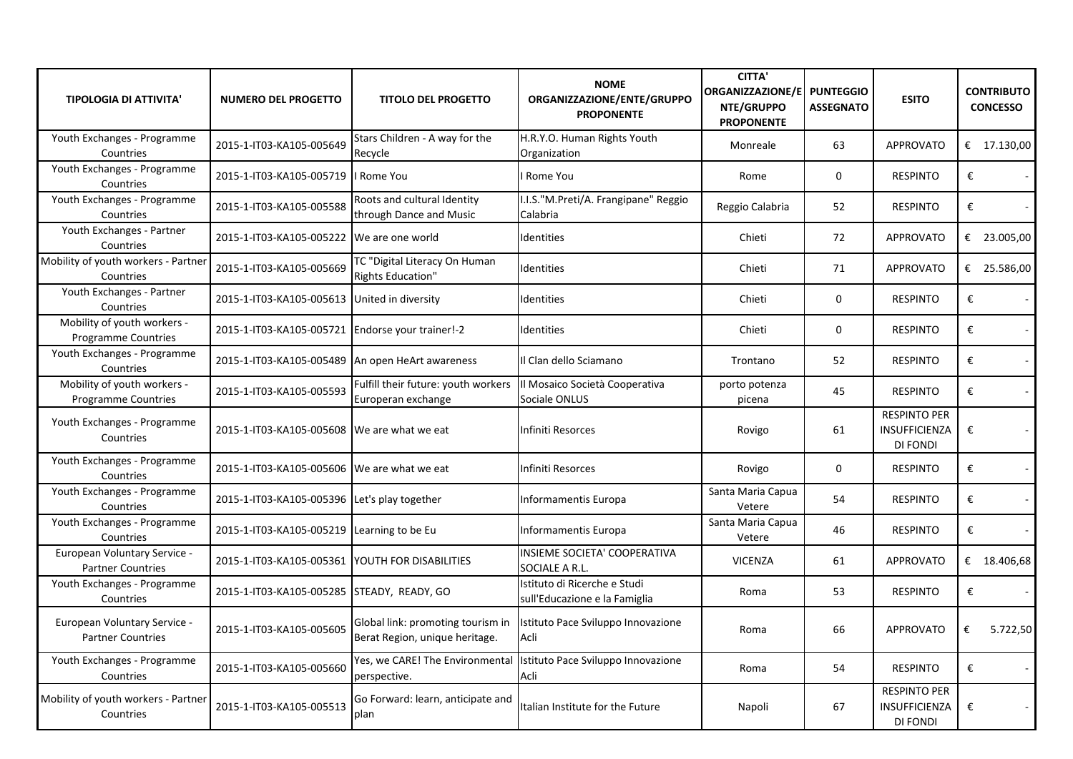| <b>TIPOLOGIA DI ATTIVITA'</b>                            | <b>NUMERO DEL PROGETTO</b>                       | <b>TITOLO DEL PROGETTO</b>                                          | <b>NOME</b><br>ORGANIZZAZIONE/ENTE/GRUPPO<br><b>PROPONENTE</b> | <b>CITTA'</b><br><b>ORGANIZZAZIONE/E</b><br>NTE/GRUPPO<br><b>PROPONENTE</b> | <b>PUNTEGGIO</b><br><b>ASSEGNATO</b> | <b>ESITO</b>                                            | <b>CONTRIBUTO</b><br><b>CONCESSO</b> |
|----------------------------------------------------------|--------------------------------------------------|---------------------------------------------------------------------|----------------------------------------------------------------|-----------------------------------------------------------------------------|--------------------------------------|---------------------------------------------------------|--------------------------------------|
| Youth Exchanges - Programme<br>Countries                 | 2015-1-IT03-KA105-005649                         | Stars Children - A way for the<br>Recycle                           | H.R.Y.O. Human Rights Youth<br>Organization                    | Monreale                                                                    | 63                                   | <b>APPROVATO</b>                                        | € $17.130,00$                        |
| Youth Exchanges - Programme<br>Countries                 | 2015-1-IT03-KA105-005719                         | I Rome You                                                          | Rome You                                                       | Rome                                                                        | 0                                    | <b>RESPINTO</b>                                         | €                                    |
| Youth Exchanges - Programme<br>Countries                 | 2015-1-IT03-KA105-005588                         | Roots and cultural Identity<br>through Dance and Music              | I.I.S."M.Preti/A. Frangipane" Reggio<br>Calabria               | Reggio Calabria                                                             | 52                                   | <b>RESPINTO</b>                                         | €                                    |
| Youth Exchanges - Partner<br>Countries                   | 2015-1-IT03-KA105-005222 We are one world        |                                                                     | Identities                                                     | Chieti                                                                      | 72                                   | <b>APPROVATO</b>                                        | € 23.005,00                          |
| Mobility of youth workers - Partner<br>Countries         | 2015-1-IT03-KA105-005669                         | TC "Digital Literacy On Human<br>Rights Education"                  | Identities                                                     | Chieti                                                                      | 71                                   | <b>APPROVATO</b>                                        | € 25.586,00                          |
| Youth Exchanges - Partner<br>Countries                   | 2015-1-IT03-KA105-005613                         | United in diversity                                                 | Identities                                                     | Chieti                                                                      | 0                                    | <b>RESPINTO</b>                                         | €<br>$\blacksquare$                  |
| Mobility of youth workers -<br>Programme Countries       | 2015-1-IT03-KA105-005721 Endorse your trainer!-2 |                                                                     | Identities                                                     | Chieti                                                                      | 0                                    | <b>RESPINTO</b>                                         | €<br>$\sim$                          |
| Youth Exchanges - Programme<br>Countries                 | 2015-1-IT03-KA105-005489 An open HeArt awareness |                                                                     | Il Clan dello Sciamano                                         | Trontano                                                                    | 52                                   | <b>RESPINTO</b>                                         | €<br>$\omega$                        |
| Mobility of youth workers -<br>Programme Countries       | 2015-1-IT03-KA105-005593                         | Fulfill their future: youth workers<br>Europeran exchange           | Il Mosaico Società Cooperativa<br>Sociale ONLUS                | porto potenza<br>picena                                                     | 45                                   | <b>RESPINTO</b>                                         | €<br>$\sim$                          |
| Youth Exchanges - Programme<br>Countries                 | 2015-1-IT03-KA105-005608 We are what we eat      |                                                                     | Infiniti Resorces                                              | Rovigo                                                                      | 61                                   | <b>RESPINTO PER</b><br><b>INSUFFICIENZA</b><br>DI FONDI | €<br>$\sim$                          |
| Youth Exchanges - Programme<br>Countries                 | 2015-1-IT03-KA105-005606 We are what we eat      |                                                                     | Infiniti Resorces                                              | Rovigo                                                                      | 0                                    | <b>RESPINTO</b>                                         | €<br>$\omega$                        |
| Youth Exchanges - Programme<br>Countries                 | 2015-1-IT03-KA105-005396 Let's play together     |                                                                     | Informamentis Europa                                           | Santa Maria Capua<br>Vetere                                                 | 54                                   | <b>RESPINTO</b>                                         | €<br>$\sim$                          |
| Youth Exchanges - Programme<br>Countries                 | 2015-1-IT03-KA105-005219 Learning to be Eu       |                                                                     | <b>Informamentis Europa</b>                                    | Santa Maria Capua<br>Vetere                                                 | 46                                   | <b>RESPINTO</b>                                         | €<br>$\blacksquare$                  |
| European Voluntary Service -<br><b>Partner Countries</b> | 2015-1-IT03-KA105-005361 YOUTH FOR DISABILITIES  |                                                                     | INSIEME SOCIETA' COOPERATIVA<br>SOCIALE A R.L.                 | <b>VICENZA</b>                                                              | 61                                   | <b>APPROVATO</b>                                        | € 18.406,68                          |
| Youth Exchanges - Programme<br>Countries                 | 2015-1-IT03-KA105-005285 STEADY, READY, GO       |                                                                     | Istituto di Ricerche e Studi<br>sull'Educazione e la Famiglia  | Roma                                                                        | 53                                   | <b>RESPINTO</b>                                         | €                                    |
| European Voluntary Service -<br><b>Partner Countries</b> | 2015-1-IT03-KA105-005605                         | Global link: promoting tourism in<br>Berat Region, unique heritage. | Istituto Pace Sviluppo Innovazione<br>Acli                     | Roma                                                                        | 66                                   | <b>APPROVATO</b>                                        | €<br>5.722,50                        |
| Youth Exchanges - Programme<br>Countries                 | 2015-1-IT03-KA105-005660                         | Yes, we CARE! The Environmental<br>perspective.                     | Istituto Pace Sviluppo Innovazione<br>Acli                     | Roma                                                                        | 54                                   | <b>RESPINTO</b>                                         | €                                    |
| Mobility of youth workers - Partner<br>Countries         | 2015-1-IT03-KA105-005513                         | Go Forward: learn, anticipate and<br>plan                           | Italian Institute for the Future                               | Napoli                                                                      | 67                                   | <b>RESPINTO PER</b><br><b>INSUFFICIENZA</b><br>DI FONDI | €                                    |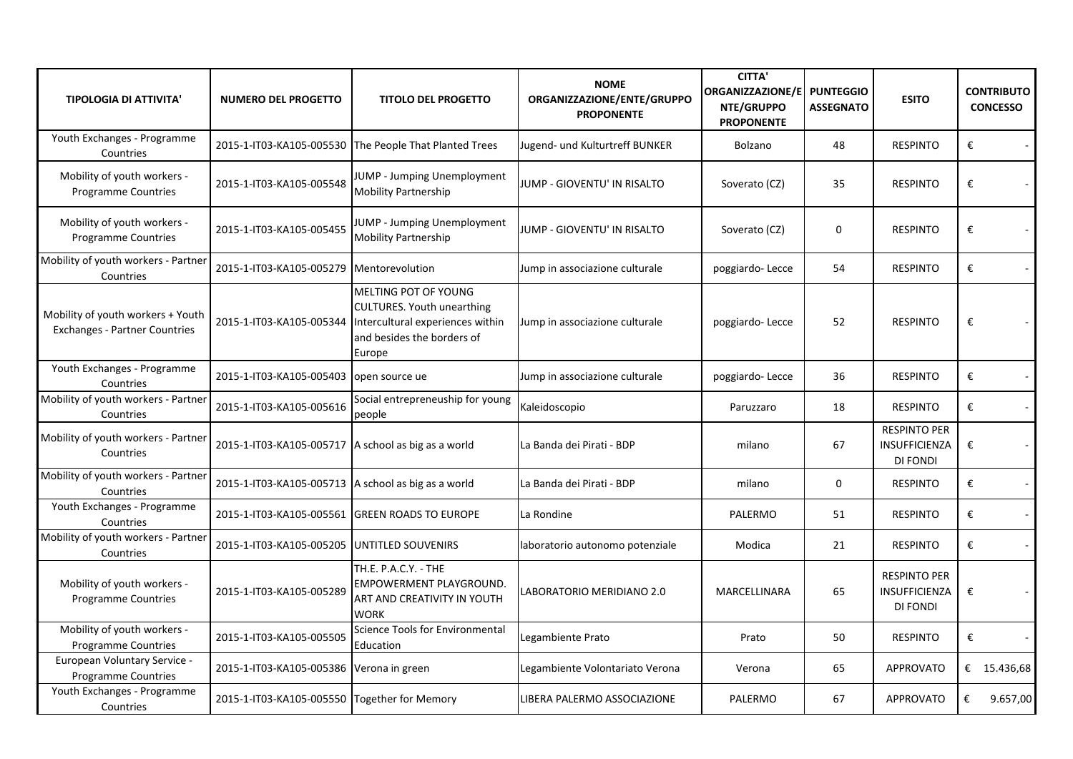| <b>TIPOLOGIA DI ATTIVITA'</b>                                             | <b>NUMERO DEL PROGETTO</b>                          | <b>TITOLO DEL PROGETTO</b>                                                                                                            | <b>NOME</b><br>ORGANIZZAZIONE/ENTE/GRUPPO<br><b>PROPONENTE</b> | <b>CITTA'</b><br>ORGANIZZAZIONE/E PUNTEGGIO<br>NTE/GRUPPO<br><b>PROPONENTE</b> | <b>ASSEGNATO</b> | <b>ESITO</b>                                                   | <b>CONTRIBUTO</b><br><b>CONCESSO</b> |
|---------------------------------------------------------------------------|-----------------------------------------------------|---------------------------------------------------------------------------------------------------------------------------------------|----------------------------------------------------------------|--------------------------------------------------------------------------------|------------------|----------------------------------------------------------------|--------------------------------------|
| Youth Exchanges - Programme<br>Countries                                  |                                                     | 2015-1-IT03-KA105-005530 The People That Planted Trees                                                                                | Jugend- und Kulturtreff BUNKER                                 | Bolzano                                                                        | 48               | <b>RESPINTO</b>                                                | €                                    |
| Mobility of youth workers -<br>Programme Countries                        | 2015-1-IT03-KA105-005548                            | JUMP - Jumping Unemployment<br><b>Mobility Partnership</b>                                                                            | JUMP - GIOVENTU' IN RISALTO                                    | Soverato (CZ)                                                                  | 35               | <b>RESPINTO</b>                                                | $\pmb{\epsilon}$<br>$\blacksquare$   |
| Mobility of youth workers -<br><b>Programme Countries</b>                 | 2015-1-IT03-KA105-005455                            | <b>JUMP - Jumping Unemployment</b><br>Mobility Partnership                                                                            | JUMP - GIOVENTU' IN RISALTO                                    | Soverato (CZ)                                                                  | $\mathbf 0$      | <b>RESPINTO</b>                                                | €                                    |
| Mobility of youth workers - Partner<br>Countries                          | 2015-1-IT03-KA105-005279                            | Mentorevolution                                                                                                                       | Jump in associazione culturale                                 | poggiardo-Lecce                                                                | 54               | <b>RESPINTO</b>                                                | $\pmb{\epsilon}$                     |
| Mobility of youth workers + Youth<br><b>Exchanges - Partner Countries</b> | 2015-1-IT03-KA105-005344                            | MELTING POT OF YOUNG<br><b>CULTURES. Youth unearthing</b><br>Intercultural experiences within<br>and besides the borders of<br>Europe | Jump in associazione culturale                                 | poggiardo-Lecce                                                                | 52               | <b>RESPINTO</b>                                                | €                                    |
| Youth Exchanges - Programme<br>Countries                                  | 2015-1-IT03-KA105-005403                            | open source ue                                                                                                                        | Jump in associazione culturale                                 | poggiardo-Lecce                                                                | 36               | <b>RESPINTO</b>                                                | €                                    |
| Mobility of youth workers - Partner<br>Countries                          | 2015-1-IT03-KA105-005616                            | Social entrepreneuship for young<br>people                                                                                            | Kaleidoscopio                                                  | Paruzzaro                                                                      | 18               | <b>RESPINTO</b>                                                | €<br>$\sim$                          |
| Mobility of youth workers - Partner<br>Countries                          | 2015-1-IT03-KA105-005717 A school as big as a world |                                                                                                                                       | La Banda dei Pirati - BDP                                      | milano                                                                         | 67               | <b>RESPINTO PER</b><br>INSUFFICIENZA<br>DI FONDI               | €<br>$\sim$                          |
| Mobility of youth workers - Partner<br>Countries                          | 2015-1-IT03-KA105-005713 A school as big as a world |                                                                                                                                       | La Banda dei Pirati - BDP                                      | milano                                                                         | 0                | <b>RESPINTO</b>                                                | €<br>$\blacksquare$                  |
| Youth Exchanges - Programme<br>Countries                                  | 2015-1-IT03-KA105-005561                            | <b>GREEN ROADS TO EUROPE</b>                                                                                                          | La Rondine                                                     | PALERMO                                                                        | 51               | <b>RESPINTO</b>                                                | €<br>$\blacksquare$                  |
| Mobility of youth workers - Partner<br>Countries                          | 2015-1-IT03-KA105-005205                            | UNTITLED SOUVENIRS                                                                                                                    | laboratorio autonomo potenziale                                | Modica                                                                         | 21               | <b>RESPINTO</b>                                                | €<br>$\blacksquare$                  |
| Mobility of youth workers -<br><b>Programme Countries</b>                 | 2015-1-IT03-KA105-005289                            | TH.E. P.A.C.Y. - THE<br>EMPOWERMENT PLAYGROUND.<br>ART AND CREATIVITY IN YOUTH<br><b>WORK</b>                                         | LABORATORIO MERIDIANO 2.0                                      | MARCELLINARA                                                                   | 65               | <b>RESPINTO PER</b><br><b>INSUFFICIENZA</b><br><b>DI FONDI</b> | €<br>$\sim$                          |
| Mobility of youth workers -<br><b>Programme Countries</b>                 | 2015-1-IT03-KA105-005505                            | <b>Science Tools for Environmental</b><br>Education                                                                                   | Legambiente Prato                                              | Prato                                                                          | 50               | <b>RESPINTO</b>                                                | €                                    |
| European Voluntary Service -<br><b>Programme Countries</b>                | 2015-1-IT03-KA105-005386                            | Verona in green                                                                                                                       | Legambiente Volontariato Verona                                | Verona                                                                         | 65               | <b>APPROVATO</b>                                               | € 15.436,68                          |
| Youth Exchanges - Programme<br>Countries                                  | 2015-1-IT03-KA105-005550 Together for Memory        |                                                                                                                                       | LIBERA PALERMO ASSOCIAZIONE                                    | PALERMO                                                                        | 67               | APPROVATO                                                      | €<br>9.657,00                        |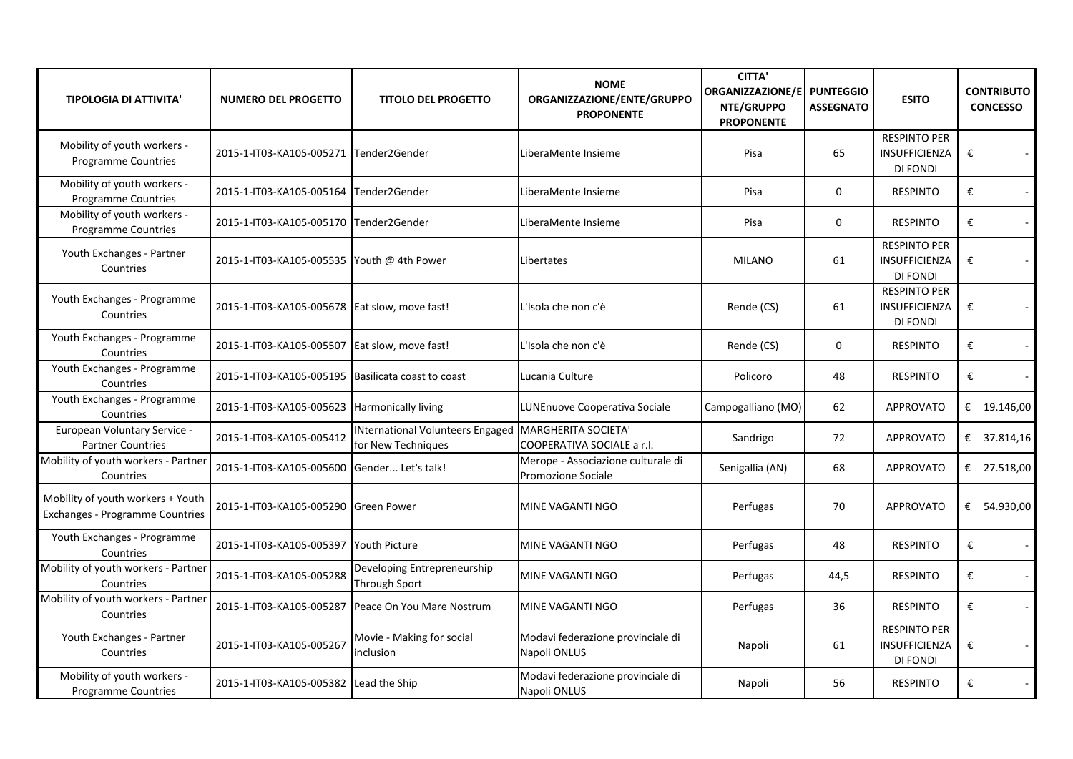| <b>TIPOLOGIA DI ATTIVITA'</b>                                               | <b>NUMERO DEL PROGETTO</b>                         | <b>TITOLO DEL PROGETTO</b>                                                   | <b>NOME</b><br>ORGANIZZAZIONE/ENTE/GRUPPO<br><b>PROPONENTE</b>  | <b>CITTA'</b><br><b>ORGANIZZAZIONE/E</b><br>NTE/GRUPPO<br><b>PROPONENTE</b> | <b>PUNTEGGIO</b><br><b>ASSEGNATO</b> | <b>ESITO</b>                                                   | <b>CONTRIBUTO</b><br><b>CONCESSO</b> |
|-----------------------------------------------------------------------------|----------------------------------------------------|------------------------------------------------------------------------------|-----------------------------------------------------------------|-----------------------------------------------------------------------------|--------------------------------------|----------------------------------------------------------------|--------------------------------------|
| Mobility of youth workers -<br><b>Programme Countries</b>                   | 2015-1-IT03-KA105-005271 Tender2Gender             |                                                                              | LiberaMente Insieme                                             | Pisa                                                                        | 65                                   | <b>RESPINTO PER</b><br><b>INSUFFICIENZA</b><br>DI FONDI        | €<br>$\blacksquare$                  |
| Mobility of youth workers -<br><b>Programme Countries</b>                   | 2015-1-IT03-KA105-005164 Tender2Gender             |                                                                              | LiberaMente Insieme                                             | Pisa                                                                        | $\mathbf 0$                          | <b>RESPINTO</b>                                                | €                                    |
| Mobility of youth workers -<br><b>Programme Countries</b>                   | 2015-1-IT03-KA105-005170 Tender2Gender             |                                                                              | LiberaMente Insieme                                             | Pisa                                                                        | 0                                    | <b>RESPINTO</b>                                                | €<br>$\blacksquare$                  |
| Youth Exchanges - Partner<br>Countries                                      | 2015-1-IT03-KA105-005535 Youth @ 4th Power         |                                                                              | Libertates                                                      | <b>MILANO</b>                                                               | 61                                   | <b>RESPINTO PER</b><br><b>INSUFFICIENZA</b><br><b>DI FONDI</b> | €                                    |
| Youth Exchanges - Programme<br>Countries                                    | 2015-1-IT03-KA105-005678 Eat slow, move fast!      |                                                                              | L'Isola che non c'è                                             | Rende (CS)                                                                  | 61                                   | <b>RESPINTO PER</b><br>INSUFFICIENZA<br><b>DI FONDI</b>        | €                                    |
| Youth Exchanges - Programme<br>Countries                                    | 2015-1-IT03-KA105-005507 Eat slow, move fast!      |                                                                              | L'Isola che non c'è                                             | Rende (CS)                                                                  | $\mathbf{0}$                         | <b>RESPINTO</b>                                                | €<br>$\sim$                          |
| Youth Exchanges - Programme<br>Countries                                    | 2015-1-IT03-KA105-005195 Basilicata coast to coast |                                                                              | Lucania Culture                                                 | Policoro                                                                    | 48                                   | <b>RESPINTO</b>                                                | €                                    |
| Youth Exchanges - Programme<br>Countries                                    | 2015-1-IT03-KA105-005623 Harmonically living       |                                                                              | LUNEnuove Cooperativa Sociale                                   | Campogalliano (MO)                                                          | 62                                   | <b>APPROVATO</b>                                               | € $19.146,00$                        |
| European Voluntary Service -<br><b>Partner Countries</b>                    | 2015-1-IT03-KA105-005412                           | INternational Volunteers Engaged   MARGHERITA SOCIETA'<br>for New Techniques | COOPERATIVA SOCIALE a r.l.                                      | Sandrigo                                                                    | 72                                   | <b>APPROVATO</b>                                               | € 37.814,16                          |
| Mobility of youth workers - Partner<br>Countries                            | 2015-1-IT03-KA105-005600                           | Gender Let's talk!                                                           | Merope - Associazione culturale di<br><b>Promozione Sociale</b> | Senigallia (AN)                                                             | 68                                   | <b>APPROVATO</b>                                               | € 27.518,00                          |
| Mobility of youth workers + Youth<br><b>Exchanges - Programme Countries</b> | 2015-1-IT03-KA105-005290                           | <b>Green Power</b>                                                           | MINE VAGANTI NGO                                                | Perfugas                                                                    | 70                                   | <b>APPROVATO</b>                                               | € 54.930,00                          |
| Youth Exchanges - Programme<br>Countries                                    | 2015-1-IT03-KA105-005397 Youth Picture             |                                                                              | MINE VAGANTI NGO                                                | Perfugas                                                                    | 48                                   | <b>RESPINTO</b>                                                | €                                    |
| Mobility of youth workers - Partner<br>Countries                            | 2015-1-IT03-KA105-005288                           | Developing Entrepreneurship<br><b>Through Sport</b>                          | MINE VAGANTI NGO                                                | Perfugas                                                                    | 44,5                                 | <b>RESPINTO</b>                                                | €<br>$\overline{\phantom{a}}$        |
| Mobility of youth workers - Partner<br>Countries                            | 2015-1-IT03-KA105-005287                           | Peace On You Mare Nostrum                                                    | MINE VAGANTI NGO                                                | Perfugas                                                                    | 36                                   | <b>RESPINTO</b>                                                | €                                    |
| Youth Exchanges - Partner<br>Countries                                      | 2015-1-IT03-KA105-005267                           | Movie - Making for social<br>inclusion                                       | Modavi federazione provinciale di<br>Napoli ONLUS               | Napoli                                                                      | 61                                   | <b>RESPINTO PER</b><br><b>INSUFFICIENZA</b><br>DI FONDI        | €<br>$\sim$                          |
| Mobility of youth workers -<br><b>Programme Countries</b>                   | 2015-1-IT03-KA105-005382 Lead the Ship             |                                                                              | Modavi federazione provinciale di<br>Napoli ONLUS               | Napoli                                                                      | 56                                   | <b>RESPINTO</b>                                                | €                                    |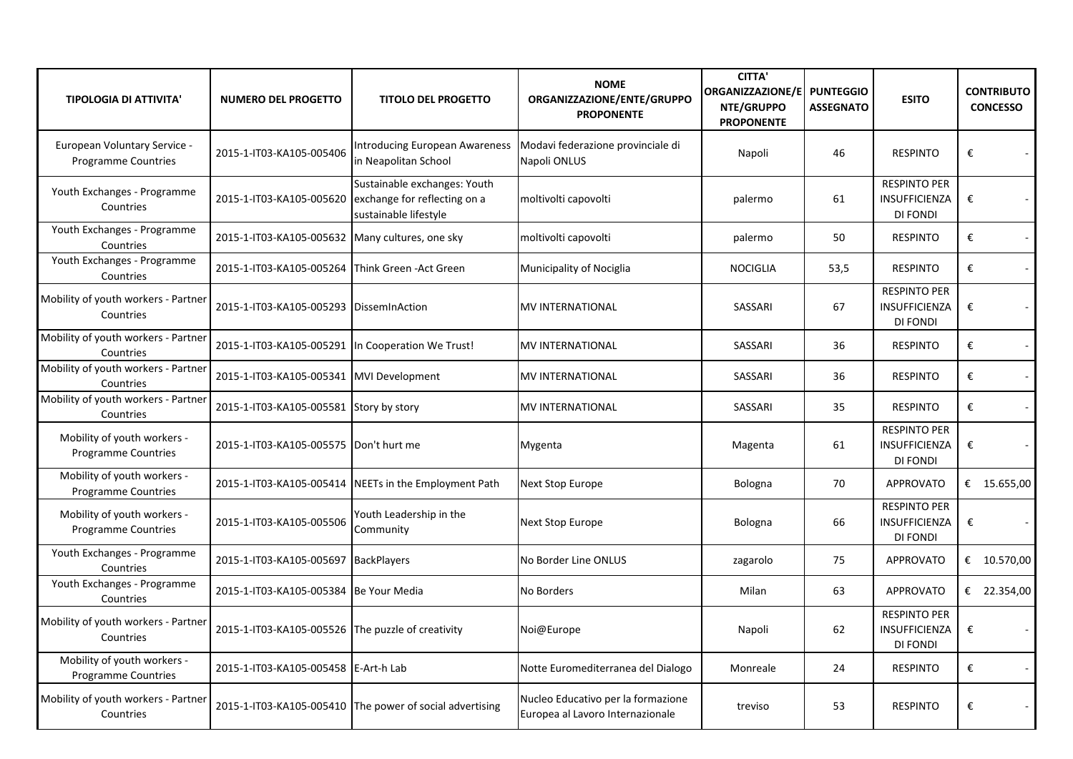| <b>TIPOLOGIA DI ATTIVITA'</b>                             | <b>NUMERO DEL PROGETTO</b>                        | <b>TITOLO DEL PROGETTO</b>                                                            | <b>NOME</b><br>ORGANIZZAZIONE/ENTE/GRUPPO<br><b>PROPONENTE</b>         | <b>CITTA'</b><br>ORGANIZZAZIONE/E<br>NTE/GRUPPO<br><b>PROPONENTE</b> | <b>PUNTEGGIO</b><br><b>ASSEGNATO</b> | <b>ESITO</b>                                                   | <b>CONTRIBUTO</b><br><b>CONCESSO</b> |
|-----------------------------------------------------------|---------------------------------------------------|---------------------------------------------------------------------------------------|------------------------------------------------------------------------|----------------------------------------------------------------------|--------------------------------------|----------------------------------------------------------------|--------------------------------------|
| European Voluntary Service -<br>Programme Countries       | 2015-1-IT03-KA105-005406                          | Introducing European Awareness<br>in Neapolitan School                                | Modavi federazione provinciale di<br>Napoli ONLUS                      | Napoli                                                               | 46                                   | <b>RESPINTO</b>                                                | €                                    |
| Youth Exchanges - Programme<br>Countries                  | 2015-1-IT03-KA105-005620                          | Sustainable exchanges: Youth<br>exchange for reflecting on a<br>sustainable lifestyle | moltivolti capovolti                                                   | palermo                                                              | 61                                   | <b>RESPINTO PER</b><br><b>INSUFFICIENZA</b><br><b>DI FONDI</b> | €                                    |
| Youth Exchanges - Programme<br>Countries                  | 2015-1-IT03-KA105-005632 Many cultures, one sky   |                                                                                       | moltivolti capovolti                                                   | palermo                                                              | 50                                   | <b>RESPINTO</b>                                                | €<br>$\sim$                          |
| Youth Exchanges - Programme<br>Countries                  | 2015-1-IT03-KA105-005264 Think Green -Act Green   |                                                                                       | Municipality of Nociglia                                               | <b>NOCIGLIA</b>                                                      | 53,5                                 | <b>RESPINTO</b>                                                | €<br>$\sim$                          |
| Mobility of youth workers - Partner<br>Countries          | 2015-1-IT03-KA105-005293 DissemInAction           |                                                                                       | <b>MV INTERNATIONAL</b>                                                | SASSARI                                                              | 67                                   | <b>RESPINTO PER</b><br><b>INSUFFICIENZA</b><br><b>DI FONDI</b> | €<br>$\overline{\phantom{a}}$        |
| Mobility of youth workers - Partner<br>Countries          | 2015-1-IT03-KA105-005291 In Cooperation We Trust! |                                                                                       | <b>MV INTERNATIONAL</b>                                                | SASSARI                                                              | 36                                   | <b>RESPINTO</b>                                                | €<br>$\sim$                          |
| Mobility of youth workers - Partner<br>Countries          | 2015-1-IT03-KA105-005341 MVI Development          |                                                                                       | <b>MV INTERNATIONAL</b>                                                | SASSARI                                                              | 36                                   | <b>RESPINTO</b>                                                | €<br>$\sim$                          |
| Mobility of youth workers - Partner<br>Countries          | 2015-1-IT03-KA105-005581 Story by story           |                                                                                       | <b>MV INTERNATIONAL</b>                                                | SASSARI                                                              | 35                                   | <b>RESPINTO</b>                                                | €<br>$\sim$                          |
| Mobility of youth workers -<br><b>Programme Countries</b> | 2015-1-IT03-KA105-005575 Don't hurt me            |                                                                                       | Mygenta                                                                | Magenta                                                              | 61                                   | <b>RESPINTO PER</b><br>INSUFFICIENZA<br>DI FONDI               | €                                    |
| Mobility of youth workers -<br><b>Programme Countries</b> |                                                   | 2015-1-IT03-KA105-005414 NEETs in the Employment Path                                 | <b>Next Stop Europe</b>                                                | Bologna                                                              | 70                                   | <b>APPROVATO</b>                                               | € 15.655,00                          |
| Mobility of youth workers -<br><b>Programme Countries</b> | 2015-1-IT03-KA105-005506                          | Youth Leadership in the<br>Community                                                  | <b>Next Stop Europe</b>                                                | Bologna                                                              | 66                                   | <b>RESPINTO PER</b><br><b>INSUFFICIENZA</b><br>DI FONDI        | €                                    |
| Youth Exchanges - Programme<br>Countries                  | 2015-1-IT03-KA105-005697 BackPlayers              |                                                                                       | No Border Line ONLUS                                                   | zagarolo                                                             | 75                                   | <b>APPROVATO</b>                                               | € $10.570,00$                        |
| Youth Exchanges - Programme<br>Countries                  | 2015-1-IT03-KA105-005384 Be Your Media            |                                                                                       | No Borders                                                             | Milan                                                                | 63                                   | <b>APPROVATO</b>                                               | € 22.354,00                          |
| Mobility of youth workers - Partner<br>Countries          | 2015-1-IT03-KA105-005526 The puzzle of creativity |                                                                                       | Noi@Europe                                                             | Napoli                                                               | 62                                   | <b>RESPINTO PER</b><br><b>INSUFFICIENZA</b><br>DI FONDI        | €<br>$\sim$                          |
| Mobility of youth workers -<br>Programme Countries        | 2015-1-IT03-KA105-005458 E-Art-h Lab              |                                                                                       | Notte Euromediterranea del Dialogo                                     | Monreale                                                             | 24                                   | <b>RESPINTO</b>                                                | €                                    |
| Mobility of youth workers - Partner<br>Countries          |                                                   | 2015-1-IT03-KA105-005410 The power of social advertising                              | Nucleo Educativo per la formazione<br>Europea al Lavoro Internazionale | treviso                                                              | 53                                   | <b>RESPINTO</b>                                                | €                                    |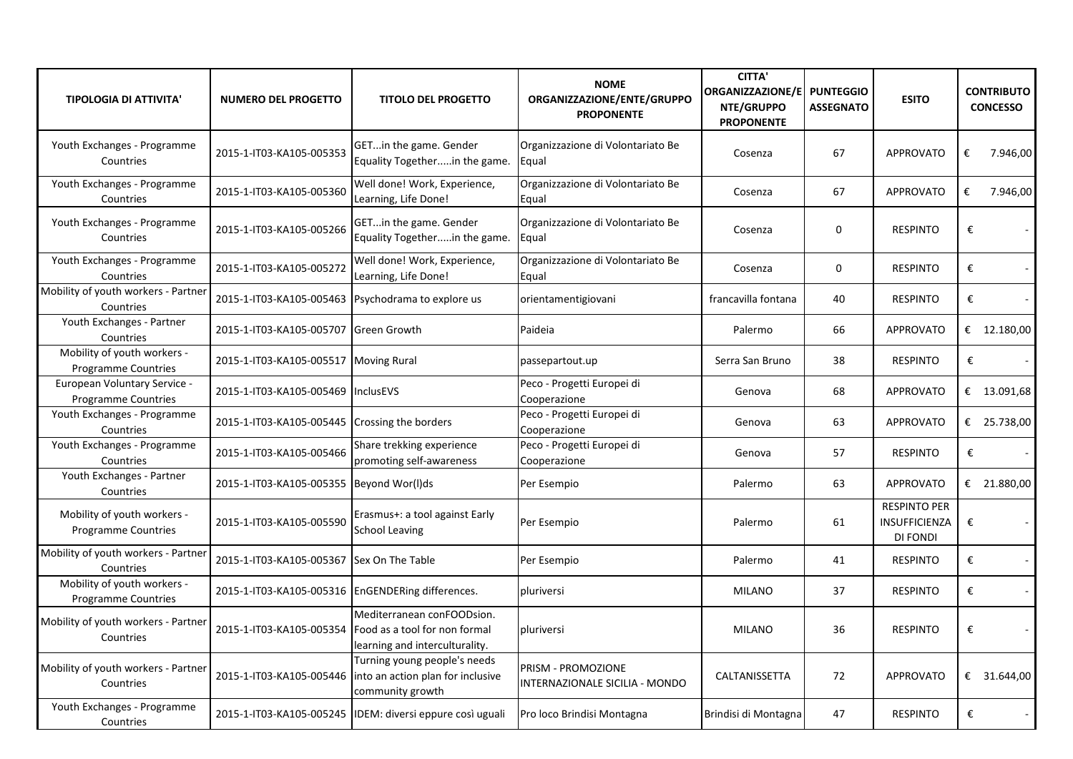| <b>TIPOLOGIA DI ATTIVITA'</b>                             | <b>NUMERO DEL PROGETTO</b>                         | <b>TITOLO DEL PROGETTO</b>                                                                    | <b>NOME</b><br>ORGANIZZAZIONE/ENTE/GRUPPO<br><b>PROPONENTE</b> | <b>CITTA'</b><br>ORGANIZZAZIONE/E PUNTEGGIO<br>NTE/GRUPPO<br><b>PROPONENTE</b> | <b>ASSEGNATO</b> | <b>ESITO</b>                                     | <b>CONTRIBUTO</b><br><b>CONCESSO</b> |
|-----------------------------------------------------------|----------------------------------------------------|-----------------------------------------------------------------------------------------------|----------------------------------------------------------------|--------------------------------------------------------------------------------|------------------|--------------------------------------------------|--------------------------------------|
| Youth Exchanges - Programme<br>Countries                  | 2015-1-IT03-KA105-005353                           | GETin the game. Gender<br>Equality Togetherin the game.                                       | Organizzazione di Volontariato Be<br>Equal                     | Cosenza                                                                        | 67               | <b>APPROVATO</b>                                 | €<br>7.946,00                        |
| Youth Exchanges - Programme<br>Countries                  | 2015-1-IT03-KA105-005360                           | Well done! Work, Experience,<br>Learning, Life Done!                                          | Organizzazione di Volontariato Be<br>Equal                     | Cosenza                                                                        | 67               | <b>APPROVATO</b>                                 | €<br>7.946,00                        |
| Youth Exchanges - Programme<br>Countries                  | 2015-1-IT03-KA105-005266                           | GETin the game. Gender<br>Equality Togetherin the game.                                       | Organizzazione di Volontariato Be<br>Equal                     | Cosenza                                                                        | 0                | <b>RESPINTO</b>                                  | €                                    |
| Youth Exchanges - Programme<br>Countries                  | 2015-1-IT03-KA105-005272                           | Well done! Work, Experience,<br>Learning, Life Done!                                          | Organizzazione di Volontariato Be<br>Equal                     | Cosenza                                                                        | 0                | <b>RESPINTO</b>                                  | €                                    |
| Mobility of youth workers - Partner<br>Countries          | 2015-1-IT03-KA105-005463 Psychodrama to explore us |                                                                                               | orientamentigiovani                                            | francavilla fontana                                                            | 40               | <b>RESPINTO</b>                                  | €                                    |
| Youth Exchanges - Partner<br>Countries                    | 2015-1-IT03-KA105-005707 Green Growth              |                                                                                               | Paideia                                                        | Palermo                                                                        | 66               | <b>APPROVATO</b>                                 | € $12.180,00$                        |
| Mobility of youth workers -<br><b>Programme Countries</b> | 2015-1-IT03-KA105-005517 Moving Rural              |                                                                                               | passepartout.up                                                | Serra San Bruno                                                                | 38               | <b>RESPINTO</b>                                  | €                                    |
| European Voluntary Service -<br>Programme Countries       | 2015-1-IT03-KA105-005469 InclusEVS                 |                                                                                               | Peco - Progetti Europei di<br>Cooperazione                     | Genova                                                                         | 68               | <b>APPROVATO</b>                                 | € $13.091,68$                        |
| Youth Exchanges - Programme<br>Countries                  | 2015-1-IT03-KA105-005445 Crossing the borders      |                                                                                               | Peco - Progetti Europei di<br>Cooperazione                     | Genova                                                                         | 63               | <b>APPROVATO</b>                                 | € 25.738,00                          |
| Youth Exchanges - Programme<br>Countries                  | 2015-1-IT03-KA105-005466                           | Share trekking experience<br>promoting self-awareness                                         | Peco - Progetti Europei di<br>Cooperazione                     | Genova                                                                         | 57               | <b>RESPINTO</b>                                  | €                                    |
| Youth Exchanges - Partner<br>Countries                    | 2015-1-IT03-KA105-005355 Beyond Wor(I)ds           |                                                                                               | Per Esempio                                                    | Palermo                                                                        | 63               | <b>APPROVATO</b>                                 | € 21.880,00                          |
| Mobility of youth workers -<br><b>Programme Countries</b> | 2015-1-IT03-KA105-005590                           | Erasmus+: a tool against Early<br>School Leaving                                              | Per Esempio                                                    | Palermo                                                                        | 61               | <b>RESPINTO PER</b><br>INSUFFICIENZA<br>DI FONDI | €                                    |
| Mobility of youth workers - Partner<br>Countries          | 2015-1-IT03-KA105-005367 Sex On The Table          |                                                                                               | Per Esempio                                                    | Palermo                                                                        | 41               | <b>RESPINTO</b>                                  | €                                    |
| Mobility of youth workers -<br>Programme Countries        | 2015-1-IT03-KA105-005316 EnGENDERing differences.  |                                                                                               | pluriversi                                                     | <b>MILANO</b>                                                                  | 37               | <b>RESPINTO</b>                                  | €<br>$\sim$                          |
| Mobility of youth workers - Partner<br>Countries          | 2015-1-IT03-KA105-005354                           | Mediterranean conFOODsion.<br>Food as a tool for non formal<br>learning and interculturality. | pluriversi                                                     | <b>MILANO</b>                                                                  | 36               | <b>RESPINTO</b>                                  | €                                    |
| Mobility of youth workers - Partner<br>Countries          | 2015-1-IT03-KA105-005446                           | Turning young people's needs<br>into an action plan for inclusive<br>community growth         | <b>PRISM - PROMOZIONE</b><br>INTERNAZIONALE SICILIA - MONDO    | <b>CALTANISSETTA</b>                                                           | 72               | <b>APPROVATO</b>                                 | € 31.644,00                          |
| Youth Exchanges - Programme<br>Countries                  |                                                    | 2015-1-IT03-KA105-005245  IDEM: diversi eppure così uguali                                    | Pro loco Brindisi Montagna                                     | Brindisi di Montagna                                                           | 47               | <b>RESPINTO</b>                                  | €                                    |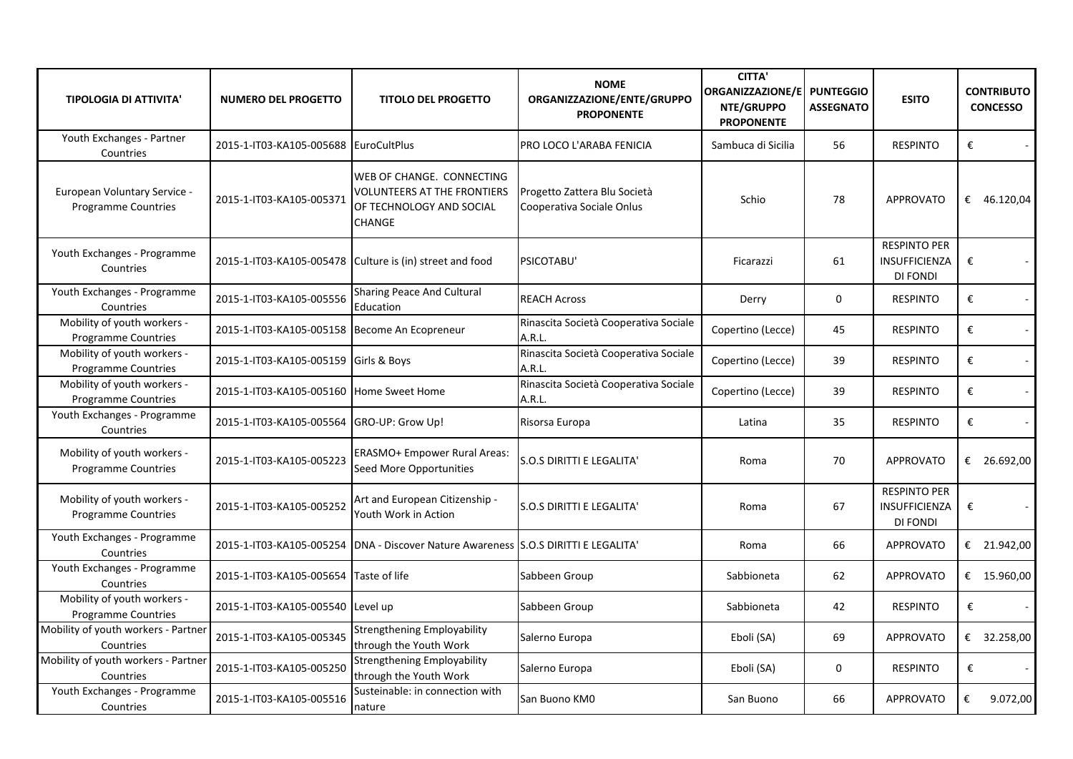| <b>TIPOLOGIA DI ATTIVITA'</b>                             | <b>NUMERO DEL PROGETTO</b>                    | <b>TITOLO DEL PROGETTO</b>                                                                                   | <b>NOME</b><br>ORGANIZZAZIONE/ENTE/GRUPPO<br><b>PROPONENTE</b> | <b>CITTA'</b><br>ORGANIZZAZIONE/E PUNTEGGIO<br>NTE/GRUPPO<br><b>PROPONENTE</b> | <b>ASSEGNATO</b> | <b>ESITO</b>                                                   | <b>CONTRIBUTO</b><br><b>CONCESSO</b> |
|-----------------------------------------------------------|-----------------------------------------------|--------------------------------------------------------------------------------------------------------------|----------------------------------------------------------------|--------------------------------------------------------------------------------|------------------|----------------------------------------------------------------|--------------------------------------|
| Youth Exchanges - Partner<br>Countries                    | 2015-1-IT03-KA105-005688 EuroCultPlus         |                                                                                                              | PRO LOCO L'ARABA FENICIA                                       | Sambuca di Sicilia                                                             | 56               | <b>RESPINTO</b>                                                | €                                    |
| European Voluntary Service -<br>Programme Countries       | 2015-1-IT03-KA105-005371                      | WEB OF CHANGE. CONNECTING<br><b>VOLUNTEERS AT THE FRONTIERS</b><br>OF TECHNOLOGY AND SOCIAL<br><b>CHANGE</b> | Progetto Zattera Blu Società<br>Cooperativa Sociale Onlus      | Schio                                                                          | 78               | <b>APPROVATO</b>                                               | € 46.120,04                          |
| Youth Exchanges - Programme<br>Countries                  |                                               | 2015-1-IT03-KA105-005478 Culture is (in) street and food                                                     | PSICOTABU'                                                     | Ficarazzi                                                                      | 61               | <b>RESPINTO PER</b><br>INSUFFICIENZA<br><b>DI FONDI</b>        | €                                    |
| Youth Exchanges - Programme<br>Countries                  | 2015-1-IT03-KA105-005556                      | <b>Sharing Peace And Cultural</b><br>Education                                                               | <b>REACH Across</b>                                            | Derry                                                                          | $\mathbf 0$      | <b>RESPINTO</b>                                                | €                                    |
| Mobility of youth workers -<br><b>Programme Countries</b> | 2015-1-IT03-KA105-005158 Become An Ecopreneur |                                                                                                              | Rinascita Società Cooperativa Sociale<br>A.R.L.                | Copertino (Lecce)                                                              | 45               | <b>RESPINTO</b>                                                | €                                    |
| Mobility of youth workers -<br>Programme Countries        | 2015-1-IT03-KA105-005159 Girls & Boys         |                                                                                                              | Rinascita Società Cooperativa Sociale<br>A.R.L.                | Copertino (Lecce)                                                              | 39               | <b>RESPINTO</b>                                                | €                                    |
| Mobility of youth workers -<br><b>Programme Countries</b> | 2015-1-IT03-KA105-005160 Home Sweet Home      |                                                                                                              | Rinascita Società Cooperativa Sociale<br>A.R.L.                | Copertino (Lecce)                                                              | 39               | <b>RESPINTO</b>                                                | €                                    |
| Youth Exchanges - Programme<br>Countries                  | 2015-1-IT03-KA105-005564 GRO-UP: Grow Up!     |                                                                                                              | Risorsa Europa                                                 | Latina                                                                         | 35               | <b>RESPINTO</b>                                                | €                                    |
| Mobility of youth workers -<br><b>Programme Countries</b> | 2015-1-IT03-KA105-005223                      | <b>ERASMO+ Empower Rural Areas:</b><br>Seed More Opportunities                                               | S.O.S DIRITTI E LEGALITA'                                      | Roma                                                                           | 70               | <b>APPROVATO</b>                                               | € 26.692,00                          |
| Mobility of youth workers -<br><b>Programme Countries</b> | 2015-1-IT03-KA105-005252                      | Art and European Citizenship -<br>Youth Work in Action                                                       | <b>S.O.S DIRITTI E LEGALITA'</b>                               | Roma                                                                           | 67               | <b>RESPINTO PER</b><br><b>INSUFFICIENZA</b><br><b>DI FONDI</b> | €                                    |
| Youth Exchanges - Programme<br>Countries                  |                                               | 2015-1-IT03-KA105-005254 DNA - Discover Nature Awareness S.O.S DIRITTI E LEGALITA'                           |                                                                | Roma                                                                           | 66               | <b>APPROVATO</b>                                               | € 21.942,00                          |
| Youth Exchanges - Programme<br>Countries                  | 2015-1-IT03-KA105-005654 Taste of life        |                                                                                                              | Sabbeen Group                                                  | Sabbioneta                                                                     | 62               | <b>APPROVATO</b>                                               | € 15.960,00                          |
| Mobility of youth workers -<br><b>Programme Countries</b> | 2015-1-IT03-KA105-005540 Level up             |                                                                                                              | Sabbeen Group                                                  | Sabbioneta                                                                     | 42               | <b>RESPINTO</b>                                                | €                                    |
| Mobility of youth workers - Partner<br>Countries          | 2015-1-IT03-KA105-005345                      | <b>Strengthening Employability</b><br>through the Youth Work                                                 | Salerno Europa                                                 | Eboli (SA)                                                                     | 69               | <b>APPROVATO</b>                                               | € 32.258,00                          |
| Mobility of youth workers - Partner<br>Countries          | 2015-1-IT03-KA105-005250                      | <b>Strengthening Employability</b><br>through the Youth Work                                                 | Salerno Europa                                                 | Eboli (SA)                                                                     | 0                | <b>RESPINTO</b>                                                | $\pmb{\epsilon}$                     |
| Youth Exchanges - Programme<br>Countries                  | 2015-1-IT03-KA105-005516                      | Susteinable: in connection with<br>nature                                                                    | San Buono KM0                                                  | San Buono                                                                      | 66               | <b>APPROVATO</b>                                               | €<br>9.072,00                        |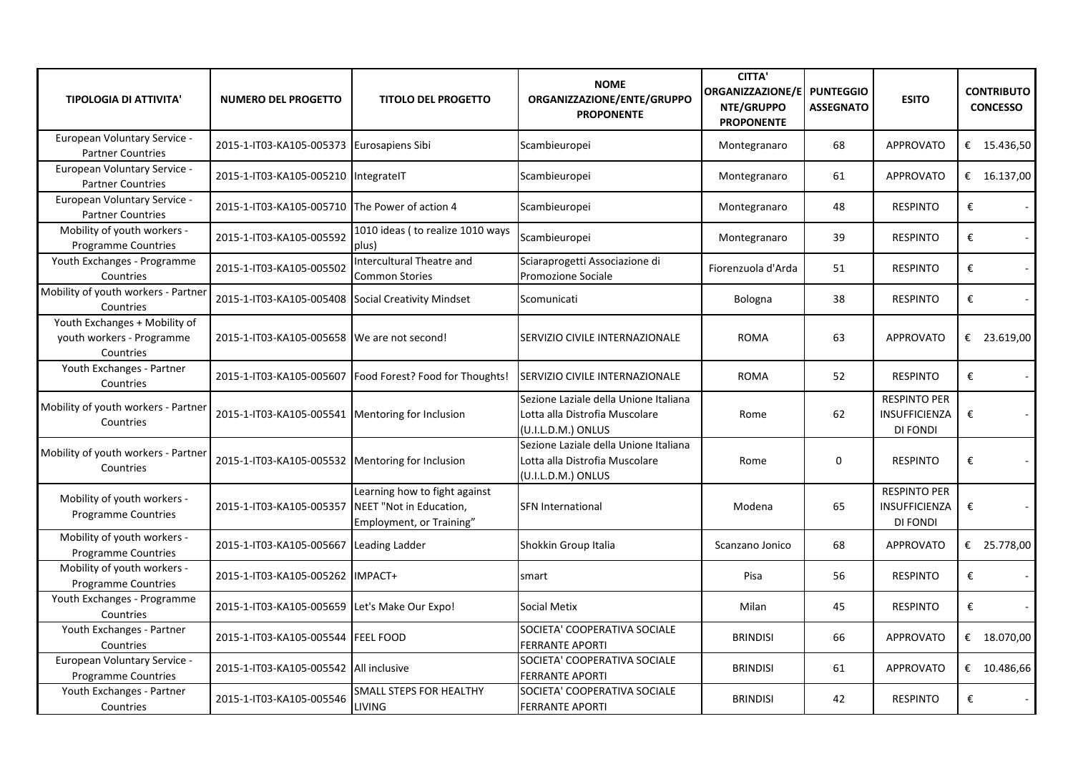| <b>TIPOLOGIA DI ATTIVITA'</b>                                           | <b>NUMERO DEL PROGETTO</b>                         | <b>TITOLO DEL PROGETTO</b>                                 | <b>NOME</b><br>ORGANIZZAZIONE/ENTE/GRUPPO<br><b>PROPONENTE</b>                                | <b>CITTA'</b><br><b>ORGANIZZAZIONE/E</b><br>NTE/GRUPPO<br><b>PROPONENTE</b> | <b>PUNTEGGIO</b><br><b>ASSEGNATO</b> | <b>ESITO</b>                                            | <b>CONTRIBUTO</b><br><b>CONCESSO</b> |
|-------------------------------------------------------------------------|----------------------------------------------------|------------------------------------------------------------|-----------------------------------------------------------------------------------------------|-----------------------------------------------------------------------------|--------------------------------------|---------------------------------------------------------|--------------------------------------|
| European Voluntary Service -<br><b>Partner Countries</b>                | 2015-1-IT03-KA105-005373 Eurosapiens Sibi          |                                                            | Scambieuropei                                                                                 | Montegranaro                                                                | 68                                   | <b>APPROVATO</b>                                        | € 15.436,50                          |
| European Voluntary Service -<br><b>Partner Countries</b>                | 2015-1-IT03-KA105-005210 IntegrateIT               |                                                            | Scambieuropei                                                                                 | Montegranaro                                                                | 61                                   | <b>APPROVATO</b>                                        | € 16.137,00                          |
| European Voluntary Service -<br><b>Partner Countries</b>                | 2015-1-IT03-KA105-005710 The Power of action 4     |                                                            | Scambieuropei                                                                                 | Montegranaro                                                                | 48                                   | <b>RESPINTO</b>                                         | €<br>$\sim$                          |
| Mobility of youth workers -<br>Programme Countries                      | 2015-1-IT03-KA105-005592                           | 1010 ideas (to realize 1010 ways<br>plus)                  | Scambieuropei                                                                                 | Montegranaro                                                                | 39                                   | <b>RESPINTO</b>                                         | €<br>$\mathcal{L}_{\mathcal{A}}$     |
| Youth Exchanges - Programme<br>Countries                                | 2015-1-IT03-KA105-005502                           | Intercultural Theatre and<br><b>Common Stories</b>         | Sciaraprogetti Associazione di<br>Promozione Sociale                                          | Fiorenzuola d'Arda                                                          | 51                                   | <b>RESPINTO</b>                                         | €<br>$\sim$                          |
| Mobility of youth workers - Partner<br>Countries                        | 2015-1-IT03-KA105-005408 Social Creativity Mindset |                                                            | Scomunicati                                                                                   | Bologna                                                                     | 38                                   | <b>RESPINTO</b>                                         | €                                    |
| Youth Exchanges + Mobility of<br>youth workers - Programme<br>Countries | 2015-1-IT03-KA105-005658 We are not second!        |                                                            | SERVIZIO CIVILE INTERNAZIONALE                                                                | <b>ROMA</b>                                                                 | 63                                   | <b>APPROVATO</b>                                        | € 23.619,00                          |
| Youth Exchanges - Partner<br>Countries                                  |                                                    | 2015-1-IT03-KA105-005607   Food Forest? Food for Thoughts! | SERVIZIO CIVILE INTERNAZIONALE                                                                | <b>ROMA</b>                                                                 | 52                                   | <b>RESPINTO</b>                                         | €                                    |
| Mobility of youth workers - Partner<br>Countries                        | 2015-1-IT03-KA105-005541 Mentoring for Inclusion   |                                                            | Sezione Laziale della Unione Italiana<br>Lotta alla Distrofia Muscolare<br>(U.I.L.D.M.) ONLUS | Rome                                                                        | 62                                   | <b>RESPINTO PER</b><br>INSUFFICIENZA<br><b>DI FONDI</b> | €                                    |
| Mobility of youth workers - Partner<br>Countries                        | 2015-1-IT03-KA105-005532 Mentoring for Inclusion   |                                                            | Sezione Laziale della Unione Italiana<br>Lotta alla Distrofia Muscolare<br>(U.I.L.D.M.) ONLUS | Rome                                                                        | 0                                    | <b>RESPINTO</b>                                         | €<br>$\sim$                          |
| Mobility of youth workers -<br><b>Programme Countries</b>               | 2015-1-IT03-KA105-005357 NEET "Not in Education,   | Learning how to fight against<br>Employment, or Training"  | <b>SFN International</b>                                                                      | Modena                                                                      | 65                                   | <b>RESPINTO PER</b><br>INSUFFICIENZA<br><b>DI FONDI</b> | €                                    |
| Mobility of youth workers -<br><b>Programme Countries</b>               | 2015-1-IT03-KA105-005667                           | <b>Leading Ladder</b>                                      | Shokkin Group Italia                                                                          | Scanzano Jonico                                                             | 68                                   | <b>APPROVATO</b>                                        | € 25.778,00                          |
| Mobility of youth workers -<br><b>Programme Countries</b>               | 2015-1-IT03-KA105-005262 IMPACT+                   |                                                            | smart                                                                                         | Pisa                                                                        | 56                                   | <b>RESPINTO</b>                                         | €                                    |
| Youth Exchanges - Programme<br>Countries                                | 2015-1-IT03-KA105-005659                           | Let's Make Our Expo!                                       | <b>Social Metix</b>                                                                           | Milan                                                                       | 45                                   | <b>RESPINTO</b>                                         | €                                    |
| Youth Exchanges - Partner<br>Countries                                  | 2015-1-IT03-KA105-005544 FEEL FOOD                 |                                                            | SOCIETA' COOPERATIVA SOCIALE<br><b>FERRANTE APORTI</b>                                        | <b>BRINDISI</b>                                                             | 66                                   | APPROVATO                                               | € $18.070,00$                        |
| European Voluntary Service -<br><b>Programme Countries</b>              | 2015-1-IT03-KA105-005542 All inclusive             |                                                            | SOCIETA' COOPERATIVA SOCIALE<br><b>FERRANTE APORTI</b>                                        | <b>BRINDISI</b>                                                             | 61                                   | <b>APPROVATO</b>                                        | € $10.486,66$                        |
| Youth Exchanges - Partner<br>Countries                                  | 2015-1-IT03-KA105-005546                           | SMALL STEPS FOR HEALTHY<br><b>LIVING</b>                   | SOCIETA' COOPERATIVA SOCIALE<br><b>FERRANTE APORTI</b>                                        | <b>BRINDISI</b>                                                             | 42                                   | <b>RESPINTO</b>                                         | €                                    |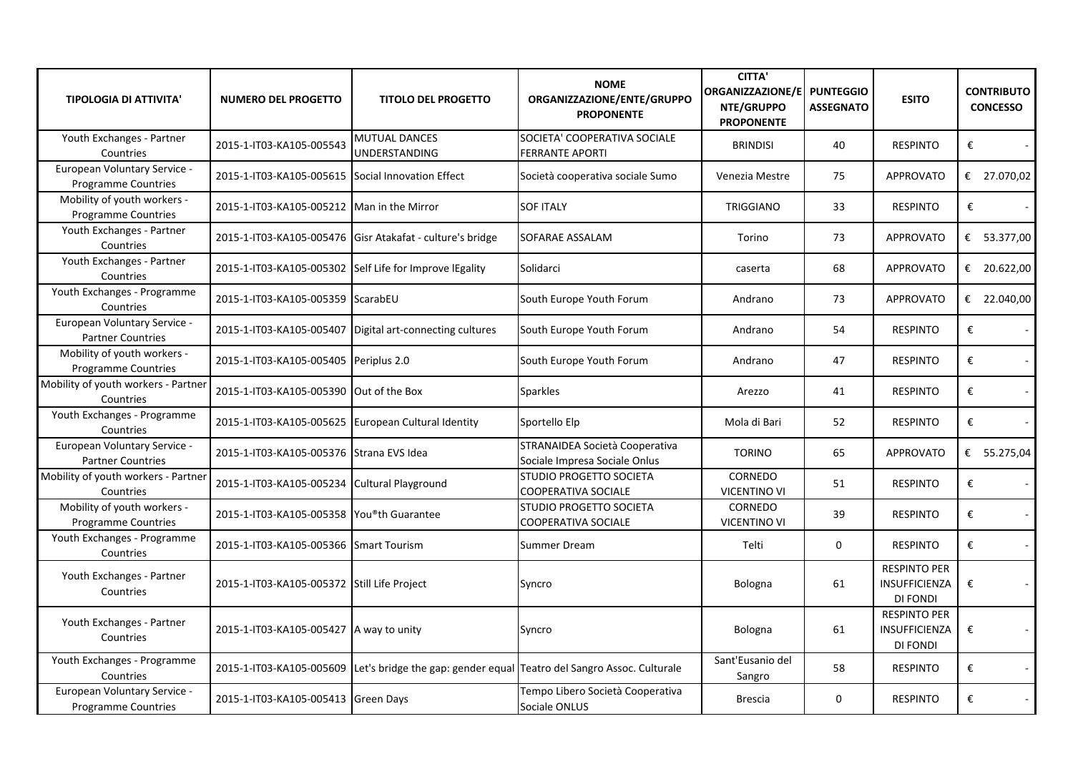| <b>TIPOLOGIA DI ATTIVITA'</b>                              | <b>NUMERO DEL PROGETTO</b>                          | <b>TITOLO DEL PROGETTO</b>                                | <b>NOME</b><br>ORGANIZZAZIONE/ENTE/GRUPPO<br><b>PROPONENTE</b>                                 | <b>CITTA'</b><br><b>ORGANIZZAZIONE/E</b><br>NTE/GRUPPO<br><b>PROPONENTE</b> | <b>PUNTEGGIO</b><br><b>ASSEGNATO</b> | <b>ESITO</b>                                            | <b>CONTRIBUTO</b><br><b>CONCESSO</b> |
|------------------------------------------------------------|-----------------------------------------------------|-----------------------------------------------------------|------------------------------------------------------------------------------------------------|-----------------------------------------------------------------------------|--------------------------------------|---------------------------------------------------------|--------------------------------------|
| Youth Exchanges - Partner<br>Countries                     | 2015-1-IT03-KA105-005543                            | <b>MUTUAL DANCES</b><br>UNDERSTANDING                     | SOCIETA' COOPERATIVA SOCIALE<br><b>FERRANTE APORTI</b>                                         | <b>BRINDISI</b>                                                             | 40                                   | <b>RESPINTO</b>                                         | €                                    |
| European Voluntary Service -<br><b>Programme Countries</b> | 2015-1-IT03-KA105-005615 Social Innovation Effect   |                                                           | Società cooperativa sociale Sumo                                                               | Venezia Mestre                                                              | 75                                   | <b>APPROVATO</b>                                        | € 27.070,02                          |
| Mobility of youth workers -<br><b>Programme Countries</b>  | 2015-1-IT03-KA105-005212 Man in the Mirror          |                                                           | <b>SOF ITALY</b>                                                                               | <b>TRIGGIANO</b>                                                            | 33                                   | <b>RESPINTO</b>                                         | €                                    |
| Youth Exchanges - Partner<br>Countries                     |                                                     | 2015-1-IT03-KA105-005476 Gisr Atakafat - culture's bridge | SOFARAE ASSALAM                                                                                | Torino                                                                      | 73                                   | <b>APPROVATO</b>                                        | € 53.377,00                          |
| Youth Exchanges - Partner<br>Countries                     |                                                     | 2015-1-IT03-KA105-005302 Self Life for Improve lEgality   | Solidarci                                                                                      | caserta                                                                     | 68                                   | <b>APPROVATO</b>                                        | € 20.622,00                          |
| Youth Exchanges - Programme<br>Countries                   | 2015-1-IT03-KA105-005359 ScarabEU                   |                                                           | South Europe Youth Forum                                                                       | Andrano                                                                     | 73                                   | <b>APPROVATO</b>                                        | € 22.040,00                          |
| European Voluntary Service -<br><b>Partner Countries</b>   |                                                     | 2015-1-IT03-KA105-005407 Digital art-connecting cultures  | South Europe Youth Forum                                                                       | Andrano                                                                     | 54                                   | <b>RESPINTO</b>                                         | €                                    |
| Mobility of youth workers -<br>Programme Countries         | 2015-1-IT03-KA105-005405 Periplus 2.0               |                                                           | South Europe Youth Forum                                                                       | Andrano                                                                     | 47                                   | <b>RESPINTO</b>                                         | €                                    |
| Mobility of youth workers - Partner<br>Countries           | 2015-1-IT03-KA105-005390 Out of the Box             |                                                           | <b>Sparkles</b>                                                                                | Arezzo                                                                      | 41                                   | <b>RESPINTO</b>                                         | €                                    |
| Youth Exchanges - Programme<br>Countries                   | 2015-1-IT03-KA105-005625 European Cultural Identity |                                                           | Sportello Elp                                                                                  | Mola di Bari                                                                | 52                                   | <b>RESPINTO</b>                                         | €                                    |
| European Voluntary Service -<br><b>Partner Countries</b>   | 2015-1-IT03-KA105-005376 Strana EVS Idea            |                                                           | STRANAIDEA Società Cooperativa<br>Sociale Impresa Sociale Onlus                                | <b>TORINO</b>                                                               | 65                                   | <b>APPROVATO</b>                                        | € 55.275,04                          |
| Mobility of youth workers - Partner<br>Countries           | 2015-1-IT03-KA105-005234 Cultural Playground        |                                                           | <b>STUDIO PROGETTO SOCIETA</b><br><b>COOPERATIVA SOCIALE</b>                                   | <b>CORNEDO</b><br><b>VICENTINO VI</b>                                       | 51                                   | <b>RESPINTO</b>                                         | €                                    |
| Mobility of youth workers -<br>Programme Countries         | 2015-1-IT03-KA105-005358 You®th Guarantee           |                                                           | STUDIO PROGETTO SOCIETA<br><b>COOPERATIVA SOCIALE</b>                                          | CORNEDO<br><b>VICENTINO VI</b>                                              | 39                                   | <b>RESPINTO</b>                                         | €                                    |
| Youth Exchanges - Programme<br>Countries                   | 2015-1-IT03-KA105-005366 Smart Tourism              |                                                           | Summer Dream                                                                                   | Telti                                                                       | $\mathbf 0$                          | <b>RESPINTO</b>                                         | €<br>$\omega_{\rm c}$                |
| Youth Exchanges - Partner<br>Countries                     | 2015-1-IT03-KA105-005372 Still Life Project         |                                                           | Syncro                                                                                         | Bologna                                                                     | 61                                   | <b>RESPINTO PER</b><br><b>INSUFFICIENZA</b><br>DI FONDI | €                                    |
| Youth Exchanges - Partner<br>Countries                     | 2015-1-IT03-KA105-005427 A way to unity             |                                                           | Syncro                                                                                         | Bologna                                                                     | 61                                   | <b>RESPINTO PER</b><br><b>INSUFFICIENZA</b><br>DI FONDI | €                                    |
| Youth Exchanges - Programme<br>Countries                   |                                                     |                                                           | 2015-1-IT03-KA105-005609 Let's bridge the gap: gender equal Teatro del Sangro Assoc. Culturale | Sant'Eusanio del<br>Sangro                                                  | 58                                   | <b>RESPINTO</b>                                         | €                                    |
| European Voluntary Service -<br>Programme Countries        | 2015-1-IT03-KA105-005413 Green Days                 |                                                           | Tempo Libero Società Cooperativa<br>Sociale ONLUS                                              | <b>Brescia</b>                                                              | 0                                    | <b>RESPINTO</b>                                         | €                                    |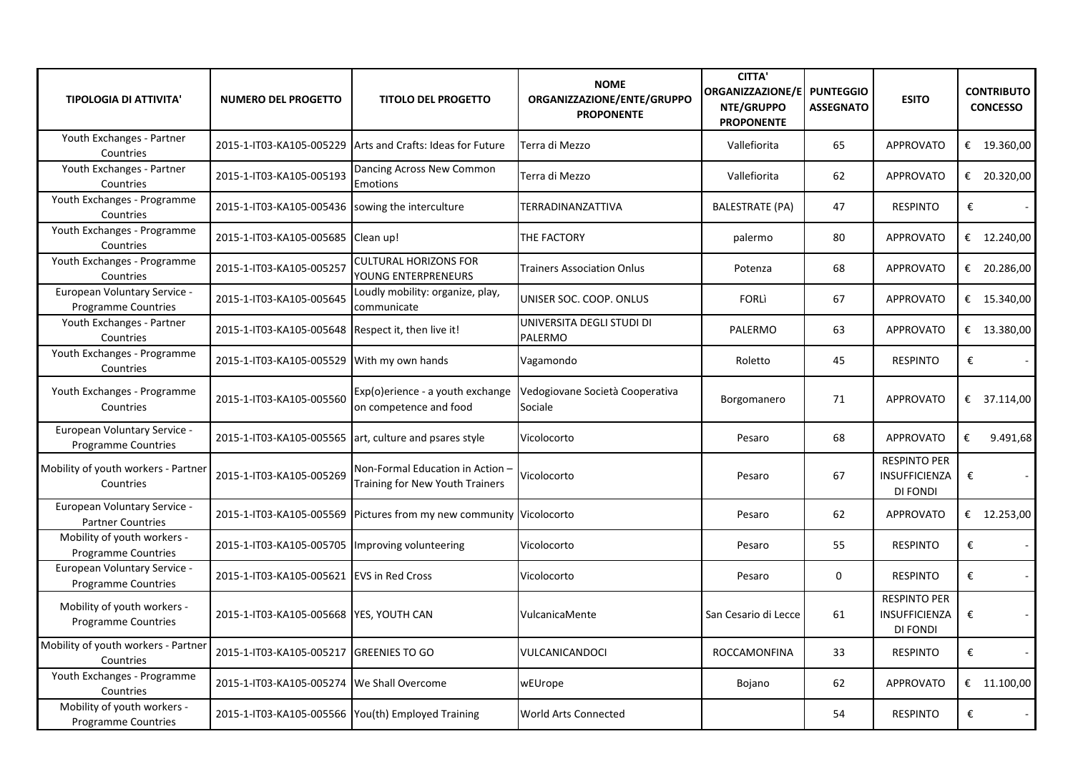| <b>TIPOLOGIA DI ATTIVITA'</b>                              | <b>NUMERO DEL PROGETTO</b>                         | <b>TITOLO DEL PROGETTO</b>                                          | <b>NOME</b><br>ORGANIZZAZIONE/ENTE/GRUPPO<br><b>PROPONENTE</b> | <b>CITTA'</b><br>ORGANIZZAZIONE/E<br>NTE/GRUPPO<br><b>PROPONENTE</b> | <b>PUNTEGGIO</b><br><b>ASSEGNATO</b> | <b>ESITO</b>                                     | <b>CONTRIBUTO</b><br><b>CONCESSO</b> |
|------------------------------------------------------------|----------------------------------------------------|---------------------------------------------------------------------|----------------------------------------------------------------|----------------------------------------------------------------------|--------------------------------------|--------------------------------------------------|--------------------------------------|
| Youth Exchanges - Partner<br>Countries                     |                                                    | 2015-1-IT03-KA105-005229 Arts and Crafts: Ideas for Future          | Terra di Mezzo                                                 | Vallefiorita                                                         | 65                                   | <b>APPROVATO</b>                                 | € 19.360,00                          |
| Youth Exchanges - Partner<br>Countries                     | 2015-1-IT03-KA105-005193                           | Dancing Across New Common<br>Emotions                               | Terra di Mezzo                                                 | Vallefiorita                                                         | 62                                   | <b>APPROVATO</b>                                 | € 20.320,00                          |
| Youth Exchanges - Programme<br>Countries                   | 2015-1-IT03-KA105-005436 sowing the interculture   |                                                                     | TERRADINANZATTIVA                                              | <b>BALESTRATE (PA)</b>                                               | 47                                   | <b>RESPINTO</b>                                  | €                                    |
| Youth Exchanges - Programme<br>Countries                   | 2015-1-IT03-KA105-005685 Clean up!                 |                                                                     | THE FACTORY                                                    | palermo                                                              | 80                                   | <b>APPROVATO</b>                                 | € 12.240,00                          |
| Youth Exchanges - Programme<br>Countries                   | 2015-1-IT03-KA105-005257                           | <b>CULTURAL HORIZONS FOR</b><br>YOUNG ENTERPRENEURS                 | Trainers Association Onlus                                     | Potenza                                                              | 68                                   | <b>APPROVATO</b>                                 | € 20.286,00                          |
| European Voluntary Service -<br>Programme Countries        | 2015-1-IT03-KA105-005645                           | Loudly mobility: organize, play,<br>communicate                     | UNISER SOC. COOP. ONLUS                                        | <b>FORLI</b>                                                         | 67                                   | <b>APPROVATO</b>                                 | € $15.340,00$                        |
| Youth Exchanges - Partner<br>Countries                     | 2015-1-IT03-KA105-005648 Respect it, then live it! |                                                                     | UNIVERSITA DEGLI STUDI DI<br>PALERMO                           | PALERMO                                                              | 63                                   | <b>APPROVATO</b>                                 | € 13.380,00                          |
| Youth Exchanges - Programme<br>Countries                   | 2015-1-IT03-KA105-005529 With my own hands         |                                                                     | Vagamondo                                                      | Roletto                                                              | 45                                   | <b>RESPINTO</b>                                  | €                                    |
| Youth Exchanges - Programme<br>Countries                   | 2015-1-IT03-KA105-005560                           | Exp(o)erience - a youth exchange<br>on competence and food          | Vedogiovane Società Cooperativa<br>Sociale                     | Borgomanero                                                          | 71                                   | <b>APPROVATO</b>                                 | € 37.114,00                          |
| European Voluntary Service -<br><b>Programme Countries</b> |                                                    | 2015-1-IT03-KA105-005565 art, culture and psares style              | Vicolocorto                                                    | Pesaro                                                               | 68                                   | <b>APPROVATO</b>                                 | €<br>9.491,68                        |
| Mobility of youth workers - Partner<br>Countries           | 2015-1-IT03-KA105-005269                           | Non-Formal Education in Action -<br>Training for New Youth Trainers | Vicolocorto                                                    | Pesaro                                                               | 67                                   | <b>RESPINTO PER</b><br>INSUFFICIENZA<br>DI FONDI | €                                    |
| European Voluntary Service -<br><b>Partner Countries</b>   |                                                    | 2015-1-IT03-KA105-005569 Pictures from my new community Vicolocorto |                                                                | Pesaro                                                               | 62                                   | <b>APPROVATO</b>                                 | € 12.253,00                          |
| Mobility of youth workers -<br>Programme Countries         | 2015-1-IT03-KA105-005705  Improving volunteering   |                                                                     | Vicolocorto                                                    | Pesaro                                                               | 55                                   | <b>RESPINTO</b>                                  | €                                    |
| European Voluntary Service -<br>Programme Countries        | 2015-1-IT03-KA105-005621 EVS in Red Cross          |                                                                     | Vicolocorto                                                    | Pesaro                                                               | 0                                    | <b>RESPINTO</b>                                  | €                                    |
| Mobility of youth workers -<br><b>Programme Countries</b>  | 2015-1-IT03-KA105-005668 YES, YOUTH CAN            |                                                                     | VulcanicaMente                                                 | San Cesario di Lecce                                                 | 61                                   | <b>RESPINTO PER</b><br>INSUFFICIENZA<br>DI FONDI | €                                    |
| Mobility of youth workers - Partner<br>Countries           | 2015-1-IT03-KA105-005217 GREENIES TO GO            |                                                                     | VULCANICANDOCI                                                 | <b>ROCCAMONFINA</b>                                                  | 33                                   | <b>RESPINTO</b>                                  | €                                    |
| Youth Exchanges - Programme<br>Countries                   | 2015-1-IT03-KA105-005274 We Shall Overcome         |                                                                     | wEUrope                                                        | Bojano                                                               | 62                                   | <b>APPROVATO</b>                                 | € $11.100,00$                        |
| Mobility of youth workers -<br>Programme Countries         | 2015-1-IT03-KA105-005566 You(th) Employed Training |                                                                     | World Arts Connected                                           |                                                                      | 54                                   | <b>RESPINTO</b>                                  | €                                    |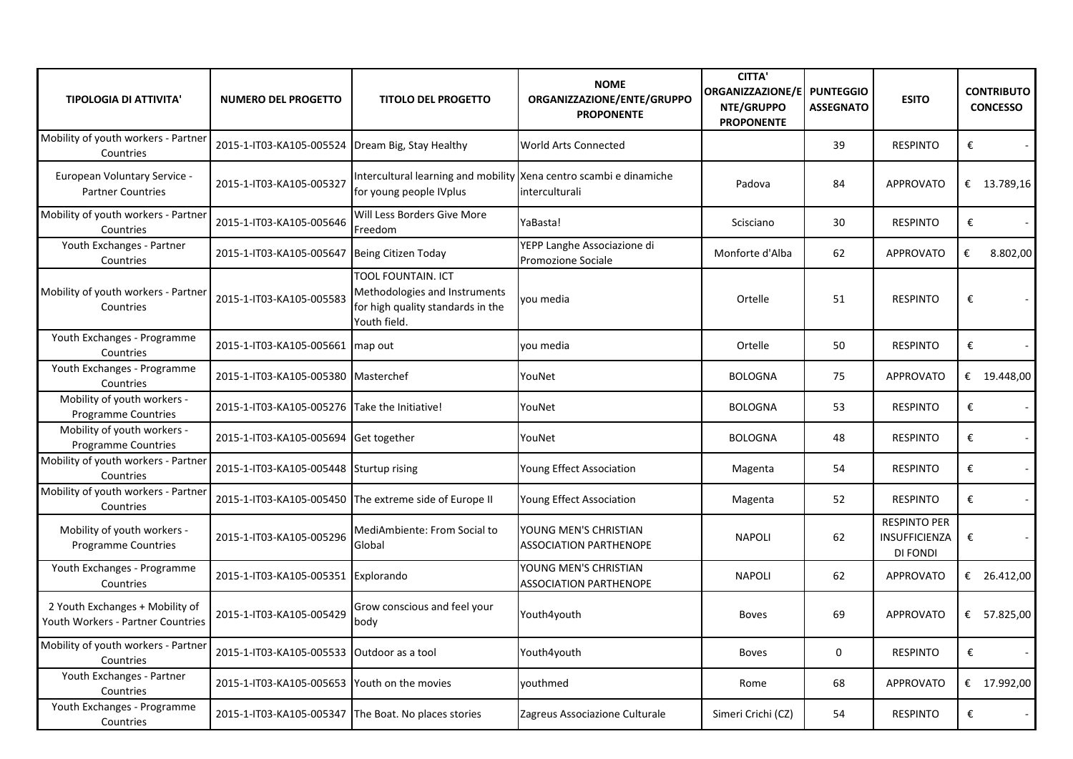| <b>TIPOLOGIA DI ATTIVITA'</b>                                        | <b>NUMERO DEL PROGETTO</b>                           | <b>TITOLO DEL PROGETTO</b>                                                                               | <b>NOME</b><br>ORGANIZZAZIONE/ENTE/GRUPPO<br><b>PROPONENTE</b> | <b>CITTA'</b><br>ORGANIZZAZIONE/E<br>NTE/GRUPPO<br><b>PROPONENTE</b> | <b>PUNTEGGIO</b><br><b>ASSEGNATO</b> | <b>ESITO</b>                                     | <b>CONTRIBUTO</b><br><b>CONCESSO</b> |
|----------------------------------------------------------------------|------------------------------------------------------|----------------------------------------------------------------------------------------------------------|----------------------------------------------------------------|----------------------------------------------------------------------|--------------------------------------|--------------------------------------------------|--------------------------------------|
| Mobility of youth workers - Partner<br>Countries                     | 2015-1-IT03-KA105-005524 Dream Big, Stay Healthy     |                                                                                                          | <b>World Arts Connected</b>                                    |                                                                      | 39                                   | <b>RESPINTO</b>                                  | €                                    |
| European Voluntary Service -<br><b>Partner Countries</b>             | 2015-1-IT03-KA105-005327                             | Intercultural learning and mobility Xena centro scambi e dinamiche<br>for young people IVplus            | interculturali                                                 | Padova                                                               | 84                                   | <b>APPROVATO</b>                                 | € 13.789,16                          |
| Mobility of youth workers - Partner<br>Countries                     | 2015-1-IT03-KA105-005646                             | Will Less Borders Give More<br>Freedom                                                                   | YaBasta!                                                       | Scisciano                                                            | 30                                   | <b>RESPINTO</b>                                  | €                                    |
| Youth Exchanges - Partner<br>Countries                               | 2015-1-IT03-KA105-005647                             | Being Citizen Today                                                                                      | YEPP Langhe Associazione di<br>Promozione Sociale              | Monforte d'Alba                                                      | 62                                   | <b>APPROVATO</b>                                 | €<br>8.802,00                        |
| Mobility of youth workers - Partner<br>Countries                     | 2015-1-IT03-KA105-005583                             | TOOL FOUNTAIN. ICT<br>Methodologies and Instruments<br>for high quality standards in the<br>Youth field. | vou media                                                      | Ortelle                                                              | 51                                   | <b>RESPINTO</b>                                  | €                                    |
| Youth Exchanges - Programme<br>Countries                             | 2015-1-IT03-KA105-005661                             | map out                                                                                                  | vou media                                                      | Ortelle                                                              | 50                                   | <b>RESPINTO</b>                                  | €                                    |
| Youth Exchanges - Programme<br>Countries                             | 2015-1-IT03-KA105-005380                             | Masterchef                                                                                               | YouNet                                                         | <b>BOLOGNA</b>                                                       | 75                                   | <b>APPROVATO</b>                                 | € $19.448,00$                        |
| Mobility of youth workers -<br>Programme Countries                   | 2015-1-IT03-KA105-005276                             | Take the Initiative!                                                                                     | YouNet                                                         | <b>BOLOGNA</b>                                                       | 53                                   | <b>RESPINTO</b>                                  | $\pmb{\epsilon}$                     |
| Mobility of youth workers -<br><b>Programme Countries</b>            | 2015-1-IT03-KA105-005694 Get together                |                                                                                                          | YouNet                                                         | <b>BOLOGNA</b>                                                       | 48                                   | <b>RESPINTO</b>                                  | $\pmb{\epsilon}$                     |
| Mobility of youth workers - Partner<br>Countries                     | 2015-1-IT03-KA105-005448                             | Sturtup rising                                                                                           | Young Effect Association                                       | Magenta                                                              | 54                                   | <b>RESPINTO</b>                                  | €                                    |
| Mobility of youth workers - Partner<br>Countries                     |                                                      | 2015-1-IT03-KA105-005450 The extreme side of Europe II                                                   | Young Effect Association                                       | Magenta                                                              | 52                                   | <b>RESPINTO</b>                                  | €                                    |
| Mobility of youth workers -<br>Programme Countries                   | 2015-1-IT03-KA105-005296                             | MediAmbiente: From Social to<br>Global                                                                   | YOUNG MEN'S CHRISTIAN<br><b>ASSOCIATION PARTHENOPE</b>         | <b>NAPOLI</b>                                                        | 62                                   | <b>RESPINTO PER</b><br>INSUFFICIENZA<br>DI FONDI | $\pmb{\epsilon}$                     |
| Youth Exchanges - Programme<br>Countries                             | 2015-1-IT03-KA105-005351                             | Explorando                                                                                               | YOUNG MEN'S CHRISTIAN<br><b>ASSOCIATION PARTHENOPE</b>         | <b>NAPOLI</b>                                                        | 62                                   | <b>APPROVATO</b>                                 | € 26.412,00                          |
| 2 Youth Exchanges + Mobility of<br>Youth Workers - Partner Countries | 2015-1-IT03-KA105-005429                             | Grow conscious and feel your<br>body                                                                     | Youth4youth                                                    | <b>Boves</b>                                                         | 69                                   | <b>APPROVATO</b>                                 | € 57.825,00                          |
| Mobility of youth workers - Partner<br>Countries                     | 2015-1-IT03-KA105-005533                             | Outdoor as a tool                                                                                        | Youth4youth                                                    | <b>Boves</b>                                                         | 0                                    | <b>RESPINTO</b>                                  | €                                    |
| Youth Exchanges - Partner<br>Countries                               | 2015-1-IT03-KA105-005653                             | Youth on the movies                                                                                      | vouthmed                                                       | Rome                                                                 | 68                                   | <b>APPROVATO</b>                                 | € 17.992,00                          |
| Youth Exchanges - Programme<br>Countries                             | 2015-1-IT03-KA105-005347 The Boat. No places stories |                                                                                                          | Zagreus Associazione Culturale                                 | Simeri Crichi (CZ)                                                   | 54                                   | <b>RESPINTO</b>                                  | €                                    |